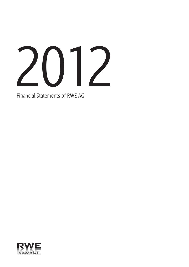

Financial Statements of RWE AG

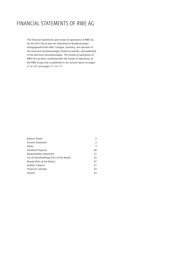# FINANCIAL STATEMENTS OF RWE AG

The financial statements and review of operations of RWE AG for the 2012 fiscal year are submitted to Bundesanzeiger Verlagsgesellschaft mbH, Cologne, Germany, the operator of the electronic Bundesanzeiger (Federal Gazette), and published in the electronic Bundesanzeiger. The review of operations of RWE AG has been combined with the review of operations of the RWE Group and is published in our annual report on pages 31 to 101 and pages 111 to 117.

| <b>Balance Sheet</b>                      |    |
|-------------------------------------------|----|
| Income Statement                          | 3  |
| <b>Notes</b>                              | 3  |
| Dividend Proposal                         | 20 |
| <b>Responsibility Statement</b>           | 21 |
| List of Shareholdings (Part of the Notes) | 22 |
| Boards (Part of the Notes)                | 47 |
| Auditor's Report                          | 51 |
| <b>Financial Calendar</b>                 | 52 |
| Imprint                                   | 53 |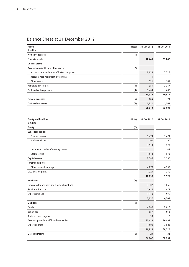| Assets                                              | (Note) | 31 Dec 2012  | 31 Dec 2011 |
|-----------------------------------------------------|--------|--------------|-------------|
| $\epsilon$ million                                  |        |              |             |
| Non-current assets                                  | (1)    |              |             |
| Financial assets                                    |        | 42,440       | 39,246      |
| <b>Current assets</b>                               |        |              |             |
| Accounts receivable and other assets                | (2)    |              |             |
| Accounts receivable from affiliated companies       |        | 9,039        | 7,719       |
| Accounts receivable from investments                |        | $\mathbf{1}$ |             |
| Other assets                                        |        | 121          | 141         |
| Marketable securities                               | (3)    | 351          | 2,357       |
| Cash and cash equivalents                           | (4)    | 1,404        | 697         |
|                                                     |        | 10,916       | 10,914      |
| <b>Prepaid expenses</b>                             | (5)    | 465          | 73          |
| Deferred tax assets                                 | (6)    | 2,221        | 2,761       |
|                                                     |        | 56,042       | 52,994      |
|                                                     |        |              |             |
| <b>Equity and liabilities</b><br>$\epsilon$ million | (Note) | 31 Dec 2012  | 31 Dec 2011 |
| <b>Equity</b>                                       | (7)    |              |             |
| Subscribed capital                                  |        |              |             |
| Common shares                                       |        | 1,474        | 1,474       |
| Preferred shares                                    |        | 100          | 100         |
|                                                     |        | 1,574        | 1,574       |
| Less nominal value of treasury shares               |        |              | $-1$        |
| Capital issued                                      |        | 1,574        | 1,573       |
| Capital reserve                                     |        | 2,385        | 2,385       |
| Retained earnings                                   |        |              |             |
| Other retained earnings                             |        | 4,870        | 4,737       |
| Distributable profit                                |        | 1,229        | 1,230       |
|                                                     |        | 10,058       | 9,925       |
| <b>Provisions</b>                                   | (8)    |              |             |
| Provisions for pensions and similar obligations     |        | 1,302        | 1,066       |
| Provisions for taxes                                |        | 2,616        | 2,473       |
| Other provisions                                    |        | 1,119        | 970         |
|                                                     |        | 5,037        | 4,509       |
| <b>Liabilities</b>                                  | (9)    |              |             |
| <b>Bonds</b>                                        |        | 4,980        | 2,812       |
| Bank debt                                           |        | 957          | 912         |
| Trade accounts payable                              |        | 33           | 18          |
| Accounts payable to affiliated companies            |        | 33,439       | 30,902      |
| Other liabilities                                   |        | 1,509        | 3,883       |
|                                                     |        | 40,918       | 38,527      |
| Deferred income                                     | (10)   | 29           | 33          |
|                                                     |        | 56,042       | 52,994      |

# Balance Sheet at 31 December 2012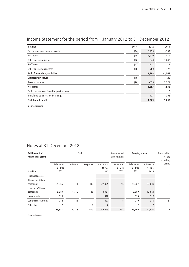| $\epsilon$ million                         | (Note) | 2012     | 2011        |
|--------------------------------------------|--------|----------|-------------|
| Net income from financial assets           | (14)   | 3,259    | $-353$      |
| Net interest                               | (15)   | $-1,219$ | $-1,419$    |
| Other operating income                     | (16)   | 840      | 1,047       |
| Staff costs                                | (17)   | $-112$   | $-115$      |
| Other operating expenses                   | (18)   | $-780$   | $-422$      |
| Profit from ordinary activities            |        | 1,988    | $-1,262$    |
| <b>Extraordinary result</b>                | (19)   |          | 29          |
| Taxes on income                            | (20)   | $-635$   | 2,771       |
| Net profit                                 |        | 1,353    | 1,538       |
| Profit carryforward from the previous year |        |          | $\mathbf 0$ |
| Transfer to other retained earnings        |        | $-125$   | $-308$      |
| Distributable profit                       |        | 1,229    | 1,230       |

# Income Statement for the period from 1 January 2012 to 31 December 2012

0 = small amount.

# Notes at 31 December 2012

| Roll-forward of<br>non-current assets | Cost       |           |                  | Accumulated<br>Carrying amounts<br>amortisation |                   |                | Amortisation<br>for the<br>reporting |        |
|---------------------------------------|------------|-----------|------------------|-------------------------------------------------|-------------------|----------------|--------------------------------------|--------|
|                                       | Balance at | Additions | <b>Disposals</b> | <b>Balance</b> at                               | <b>Balance</b> at | Balance at     | Balance at                           | period |
|                                       | 31 Dec     |           |                  | 31 Dec                                          | 31 Dec            | 31 Dec         | 31 Dec                               |        |
| $\epsilon$ million                    | 2011       |           |                  | 2012                                            | 2012              | 2011           | 2012                                 |        |
| <b>Financial assets</b>               |            |           |                  |                                                 |                   |                |                                      |        |
| Shares in affiliated<br>companies     | 29,356     | 11        | 1,432            | 27,935                                          | 95                | 29,267         | 27,840                               | 6      |
| Loans to affiliated<br>companies      | 9,389      | 4,710     | 138              | 13,961                                          |                   | 9,389          | 13,961                               |        |
| Investments                           | 318        |           |                  | 318                                             |                   | 318            | 318                                  |        |
| Long-term securities                  | 272        | 55        |                  | 327                                             | 8                 | 270            | 319                                  | 6      |
| Other loans                           | 2          |           | $\mathbf{0}$     | $\overline{2}$                                  |                   | $\overline{2}$ | $\overline{2}$                       |        |
|                                       | 39,337     | 4,776     | 1,570            | 42,543                                          | 103               | 39,246         | 42,440                               | 12     |

 $0 =$ small amount.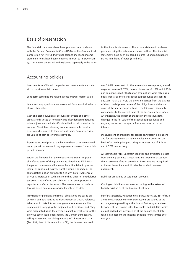## Basis of presentation

The financial statements have been prepared in accordance with the German Commercial Code (HGB) and the German Stock Corporation Act (AktG). Individual balance sheet and income statement items have been combined in order to improve clarity. These items are stated and explained separately in the notes to the financial statements. The income statement has been prepared using the nature of expense method. The financial statements have been prepared in euros  $(\epsilon)$  and amounts are stated in millions of euros (€ million).

## Accounting policies

Investments in affiliated companies and investments are stated at cost or at lower fair values.

Long-term securities are valued at cost or lower market value.

Loans and employer loans are accounted for at nominal value or at lower fair value.

Cash and cash equivalents, accounts receivable and other assets are disclosed at nominal value after deducting required value adjustments. All identifiable individual risks are taken into account. Non-interest-bearing accounts receivable for other assets are discounted to their present value. Current securities are valued at cost or lower market value.

Expenses incurred prior to the balance-sheet date are reported under prepaid expenses if they represent expenses for a certain period thereafter.

Within the framework of the corporate and trade tax group, all deferred taxes of the group are attributable to RWE AG as the parent company and hence as the entity liable to pay tax, insofar as continued existence of the group is expected. The capitalisation option pursuant to Sec. 274 Para 1 Sentence 2 of HGB is exercised in such a manner that, after netting deferred tax assets and deferred tax liabilities, a net asset position is reported as deferred tax assets. The measurement of deferred taxes is based on a group-specific tax rate of 31.4 %.

Provisions for pensions and similar obligations are based on actuarial computations using Klaus Heubeck's 2005G reference tables – which take into account generation-dependent life expectancies – applying the projected unit credit method. They were discounted using the average market interest rates for the previous seven years published by the German Bundesbank, taking an assumed remaining maturity of 15 years as a basis (Sec. 253, Para. 2, Sentence 2 of HGB); the interest rate used

was 5.06 %. In respect of other calculation assumptions, annual wage increases of 2.75 %, pension increases of 1.0 % and 1.75 % and company-specific fluctuation assumptions were taken as a basis. Insofar as there are special-purpose funds pursuant to Sec. 246, Para. 2 of HGB, the provision derives from the balance of the actuarial present value of the obligations and the fair value of the special-purpose funds; the fair value essentially corresponds to the market value of the special-purpose funds. After netting, the impact of changes in the discount rate, changes in the fair value of the special-purpose funds and ongoing returns on the special funds are reported in net interest.

Measurement of provisions for service anniversary obligations and for pre-retirement part-time employment occurs on the basis of actuarial principles, using an interest rate of 5.06 % and 4.12 %, respectively.

All identifiable risks, uncertain liabilities and anticipated losses from pending business transactions are taken into account in the assessment of other provisions. Provisions are recognised at the settlement amount dictated by prudent business judgement.

Liabilities are valued at settlement amounts.

Contingent liabilities are valued according to the extent of liability existing as of the balance-sheet date.

Insofar as possible, valuation units pursuant to Sec. 254 of HGB are formed. Foreign currency transactions are valued at the exchange rate prevailing at the time of first entry or – when hedged – at the forward rate. Receivables and liabilities which are not hedged are measured as at the balance-sheet date, taking into account the imparity principle for maturities over one year.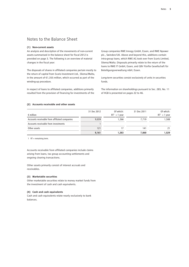## Notes to the Balance Sheet

#### **(1) Non-current assets**

An analysis and description of the movements of non-current assets summarised in the balance sheet for fiscal 2012 is provided on page 3. The following is an overview of material changes in the fiscal year:

The disposals of shares in affiliated companies pertain mostly to the return of capital from Scaris Investment Ltd., Sliema/Malta, in the amount of €1,355 million, which occurred as part of the winding-up procedure.

In respect of loans to affiliated companies, additions primarily resulted from the provision of financing for investments of the Group companies RWE Innogy GmbH, Essen, and RWE Npower plc., Swindon/UK. Above and beyond this, additions contain intra-group loans, which RWE AG took over from Scaris Limited, Sliema/Malta. Disposals primarily relate to the return of the loans to RWE IT GmbH, Essen, and GBV Fünfte Gesellschaft für Beteiligungsverwaltung mbH, Essen.

Long-term securities consist exclusively of units in securities funds.

The information on shareholdings pursuant to Sec. 285, No. 11 of HGB is presented on pages 22 to 46.

#### **(2) Accounts receivable and other assets**

|                                               | 31 Dec 2012 | Of which:       | 31 Dec 2011 | Of which:       |
|-----------------------------------------------|-------------|-----------------|-------------|-----------------|
| $\epsilon$ million                            |             | $RT^1 > 1$ year |             | $RT^1 > 1$ year |
| Accounts receivable from affiliated companies | 9,039       | 1.266           | 7.719       | 1,508           |
| Accounts receivable from investments          |             |                 |             |                 |
| Other assets                                  | 121         |                 | 141         | 21              |
|                                               | 9,161       | 1.283           | 7.860       | 1.529           |

1 RT = remaining term.

Accounts receivable from affiliated companies include claims arising from loans, tax group accounting settlements and ongoing clearing transactions.

Other assets primarily consist of interest accruals and receivables.

#### **(3) Marketable securities**

Other marketable securities relate to money market funds from the investment of cash and cash equivalents.

#### **(4) Cash and cash equivalents**

Cash and cash equivalents relate nearly exclusively to bank balances.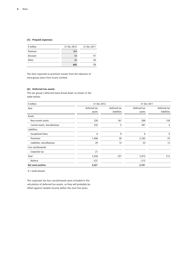### **(5) Prepaid expenses**

| $\epsilon$ million | 31 Dec 2012 | 31 Dec 2011 |
|--------------------|-------------|-------------|
| Premium            | 389         |             |
| Discount           | 50          | 47          |
| Other              | 26          | 26          |
|                    | 465         | 73          |

The item reported as premium results from the takeover of intra-group loans from Scaris Limited.

### **(6) Deferred tax assets**

The tax group's deferred taxes break down as shown in the table below:

| $\epsilon$ million            | 31 Dec 2012  |              | 31 Dec 2011  |              |  |
|-------------------------------|--------------|--------------|--------------|--------------|--|
| Item                          | Deferred tax | Deferred tax | Deferred tax | Deferred tax |  |
|                               | assets       | liabilities  | assets       | liabilities  |  |
| Assets                        |              |              |              |              |  |
| Non-current assets            | 230          | 181          | 208          | 158          |  |
| Current assets, miscellaneous | 332          | 5            | 387          | 5            |  |
| Liabilities                   |              |              |              |              |  |
| <b>Exceptional items</b>      | 0            | 9            | 0            | 9            |  |
| Provisions                    | 1,846        | 28           | 2,345        | 25           |  |
| Liabilities, miscellaneous    | 29           | 14           | 33           | 15           |  |
| Loss carryforwards            |              |              |              |              |  |
| Corporate tax                 | 21           |              |              |              |  |
| Total                         | 2,458        | 237          | 2,973        | 212          |  |
| Balance                       | $-237$       |              | $-212$       |              |  |
| Net asset position            | 2,221        |              | 2,761        |              |  |

0 = small amount.

The corporate tax loss carryforwards were included in the calculation of deferred tax assets, as they will probably be offset against taxable income within the next five years.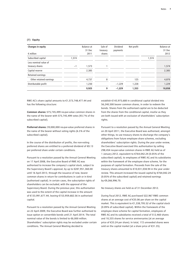#### **(7) Equity**

| Changes in equity       |       | Balance at<br>31 Dec | Sale of<br>treasury | Dividend<br>payments | Net profit |       | Balance at<br>31 Dec |
|-------------------------|-------|----------------------|---------------------|----------------------|------------|-------|----------------------|
| $\epsilon$ million      |       | 2011                 | shares              |                      |            |       | 2012                 |
| Subscribed capital      | 1.574 |                      |                     |                      |            | 1,574 |                      |
| Less nominal value of   |       |                      |                     |                      |            |       |                      |
| treasury shares         | $-1$  | 1,573                |                     |                      |            |       | 1,574                |
| Capital reserve         |       | 2,385                |                     |                      |            |       | 2,385                |
| Retained earnings       |       |                      |                     |                      |            |       |                      |
| Other retained earnings |       | 4,737                | 8                   |                      | 125        |       | 4,870                |
| Distributable profit    |       | 1,230                |                     | $-1,229$             | 1,228      |       | 1,229                |
|                         |       | 9,925                | 9                   | $-1,229$             | 1,353      |       | 10,058               |

RWE AG's share capital amounts to €1,573,748,477.44 and has the following structure:

**Common shares:** 575,745,499 no-par-value common shares in the name of the bearer with 575,745,499 votes (93.7 % of the subscribed capital).

**Preferred shares:** 39,000,000 no-par-value preferred shares in the name of the bearer without voting rights (6.3 % of the subscribed capital).

In the course of the distribution of profits, the non-voting preferred shares are entitled to a preferred dividend of €0.13 per preferred share under certain conditions.

Pursuant to a resolution passed by the Annual General Meeting on 17 April 2008, the Executive Board of RWE AG was authorised to increase the company's capital stock, subject to the Supervisory Board's approval, by up to €287,951,360.00 until 16 April 2013, through the issuance of new, bearer common shares in return for contributions in cash or in kind (authorised capital). In certain cases, the subscription rights of shareholders can be excluded, with the approval of the Supervisory Board. During the previous year, this authorisation was used to the extent of the capital increase in the amount of €133,991,677.44, leaving €153,959,682.56 in authorised capital.

Pursuant to a resolution passed by the Annual General Meeting on 22 April 2009, the Executive Board was further authorised to issue option or convertible bonds until 21 April 2014. The total nominal value of the bonds is limited to €6,000 million. Shareholders' subscription rights may be excluded under certain conditions. The Annual General Meeting decided to

establish €143,975,680 in conditional capital divided into 56,240,500 bearer common shares, in order to redeem the bonds. Shares from the authorised capital are to be deducted from the shares from the conditional capital, insofar as they are both issued with an exclusion of shareholders' subscription rights.

Pursuant to a resolution passed by the Annual General Meeting on 20 April 2011, the Executive Board was authorised, amongst other things, to use treasury shares to discharge the company's obligations from future employee share schemes, excluding shareholders' subscription rights. During the year under review, the Executive Board exercised this authorisation by selling 298,454 no-par-value common shares in RWE AG held as of 1 January 2012, equivalent to €764,042.24 (0.05 % of the subscribed capital), to employees of RWE AG and its subsidiaries within the framework of the employee share scheme, for the purposes of capital formation. Proceeds from the sale of the treasury shares amounted to €10,031,038.94 in the year under review. This amount increased the issued capital by €764,042.24 (0.05 % of the subscribed capital) and retained earnings by €9,266,996.70.

No treasury shares are held as of 31 December 2012.

During fiscal 2012, RWE AG purchased 522,967 RWE common shares at an average cost of €35.06 per share on the capital market. This is equivalent to €1,338,795.52 of the capital stock (0.09 % of subscribed capital). Within the framework of the employee share scheme for capital formation, employees of RWE AG and its subsidiaries received a total of 512,460 shares and 10,335 shares for service anniversaries (at an average price of €33.24 per share). In total, 172 unneeded shares were sold on the capital market (at a share price of €31.35).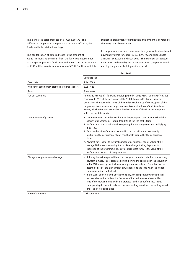This generated total proceeds of €17,383,601.73. The difference compared to the purchase price was offset against freely available retained earnings.

The capitalisation of deferred taxes in the amount of €2,221 million and the result from the fair value measurement of the special-purpose funds over and above cost in the amount of €141 million results in a total sum of €2,362 million, which is

subject to prohibition of distribution; this amount is covered by the freely available reserves.

In the year under review, there were two groupwide share-based payment systems for executives of RWE AG and subordinate affiliates: Beat 2005 and Beat 2010. The expenses associated with these are borne by the respective Group companies which employ the persons holding notional stocks.

|                                                    | <b>Beat 2005</b>                                                                                                                                                                                                                                                                                                                                                                                                                                                                                                                                                                                                                                                                                                                                              |  |  |  |
|----------------------------------------------------|---------------------------------------------------------------------------------------------------------------------------------------------------------------------------------------------------------------------------------------------------------------------------------------------------------------------------------------------------------------------------------------------------------------------------------------------------------------------------------------------------------------------------------------------------------------------------------------------------------------------------------------------------------------------------------------------------------------------------------------------------------------|--|--|--|
|                                                    | 2009 tranche                                                                                                                                                                                                                                                                                                                                                                                                                                                                                                                                                                                                                                                                                                                                                  |  |  |  |
| Grant date                                         | 1 Jan 2009                                                                                                                                                                                                                                                                                                                                                                                                                                                                                                                                                                                                                                                                                                                                                    |  |  |  |
| Number of conditionally granted performance shares | 3,251,625                                                                                                                                                                                                                                                                                                                                                                                                                                                                                                                                                                                                                                                                                                                                                     |  |  |  |
| <b>Term</b>                                        | Three years                                                                                                                                                                                                                                                                                                                                                                                                                                                                                                                                                                                                                                                                                                                                                   |  |  |  |
| Pay-out conditions                                 | Automatic pay-out, if - following a waiting period of three years - an outperformance<br>compared to 25% of the peer group of the STOXX Europe 600 Utilities Index has<br>been achieved, measured in terms of their index weighting as of the inception of the<br>programme. Measurement of outperformance is carried out using Total Shareholder<br>Return, which takes into account both the development of the share price together<br>with reinvested dividends.                                                                                                                                                                                                                                                                                          |  |  |  |
| Determination of payment                           | 1. Determination of the index weighting of the peer group companies which exhibit<br>a lower Total Shareholder Return than RWE at the end of the term.<br>2. Performance factor is calculated by squaring this percentage rate and multiplying<br>it by 1.25.<br>3. Total number of performance shares which can be paid out is calculated by<br>multiplying the performance shares conditionally granted by the performance<br>factor.<br>4. Payment corresponds to the final number of performance shares valued at the<br>average RWE share price during the last 20 exchange trading days prior to<br>expiration of the programme. The payment is limited to twice the value of the<br>performance shares as of the grant date.                           |  |  |  |
| Change in corporate control/merger                 | • If during the waiting period there is a change in corporate control, a compensatory<br>payment is made. This is calculated by multiplying the price paid in the acquisition<br>of the RWE shares by the final number of performance shares. The latter shall be<br>determined as per the plan conditions with regard to the time when the bid for<br>corporate control is submitted.<br>• In the event of merger with another company, the compensatory payment shall<br>be calculated on the basis of the fair value of the performance shares at the<br>time of the merger multiplied by the prorated number of performance shares<br>corresponding to the ratio between the total waiting period and the waiting period<br>until the merger takes place. |  |  |  |
| Form of settlement                                 | Cash settlement                                                                                                                                                                                                                                                                                                                                                                                                                                                                                                                                                                                                                                                                                                                                               |  |  |  |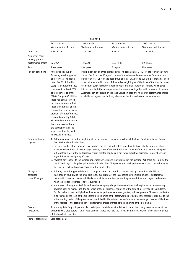| <b>Beat 2010</b>                                           |                                                                                                                                                                                                                                                                                                                                                                                                                                                                                                                                                             |                                                           |                                                                                                                                                                                                                                                                                                                                                                                                                                                                                                                                                                                                                                                                                                                                                                                                                                |                                                                                                                                                                                                                                                     |  |
|------------------------------------------------------------|-------------------------------------------------------------------------------------------------------------------------------------------------------------------------------------------------------------------------------------------------------------------------------------------------------------------------------------------------------------------------------------------------------------------------------------------------------------------------------------------------------------------------------------------------------------|-----------------------------------------------------------|--------------------------------------------------------------------------------------------------------------------------------------------------------------------------------------------------------------------------------------------------------------------------------------------------------------------------------------------------------------------------------------------------------------------------------------------------------------------------------------------------------------------------------------------------------------------------------------------------------------------------------------------------------------------------------------------------------------------------------------------------------------------------------------------------------------------------------|-----------------------------------------------------------------------------------------------------------------------------------------------------------------------------------------------------------------------------------------------------|--|
|                                                            | 2010 tranche<br>Waiting period: 3 years                                                                                                                                                                                                                                                                                                                                                                                                                                                                                                                     | 2010 tranche<br>Waiting period: 4 years                   | 2011 tranche<br>Waiting period: 4 years                                                                                                                                                                                                                                                                                                                                                                                                                                                                                                                                                                                                                                                                                                                                                                                        | 2012 tranche<br>Waiting period: 4 years                                                                                                                                                                                                             |  |
| Grant date                                                 | 1 Jan 2010                                                                                                                                                                                                                                                                                                                                                                                                                                                                                                                                                  | 1 Jan 2010                                                | 1 Jan 2011                                                                                                                                                                                                                                                                                                                                                                                                                                                                                                                                                                                                                                                                                                                                                                                                                     | 1 Jan 2012                                                                                                                                                                                                                                          |  |
| Number of condi-<br>tionally granted<br>performance shares | 826,954                                                                                                                                                                                                                                                                                                                                                                                                                                                                                                                                                     | 1,059,467                                                 | 2,621,542                                                                                                                                                                                                                                                                                                                                                                                                                                                                                                                                                                                                                                                                                                                                                                                                                      | 6,942,033                                                                                                                                                                                                                                           |  |
| Term                                                       | Three years                                                                                                                                                                                                                                                                                                                                                                                                                                                                                                                                                 | Five years                                                | Five years                                                                                                                                                                                                                                                                                                                                                                                                                                                                                                                                                                                                                                                                                                                                                                                                                     | Five years                                                                                                                                                                                                                                          |  |
| Pay-out conditions                                         | Automatic pay-out, if -<br>following a waiting period<br>of three years (valuation<br>date: Dec 31 of the third<br>year) – an outperformance<br>compared to at least 25%<br>of the peer group of the<br>STOXX Europe 600 Utilities<br>Index has been achieved.<br>measured in terms of their<br>index weighting as of the<br>issue of the tranche. Meas-<br>urement of outperformance<br>is carried out using Total<br>Shareholder Return, which<br>takes into account both<br>the development of the<br>share price together with<br>reinvested dividends. |                                                           | Possible pay-out on three exercise dates (valuation dates: Dec 31 of the fourth year, June<br>30 and Dec 31 of the fifth year) if - as of the valuation date - an outperformance com-<br>urement of outperformance is carried out using Total Shareholder Return, which takes<br>into account both the development of the share price together with reinvested dividends.<br>Automatic pay-out occurs on the third valuation date; the number of performance shares<br>available for pay-out can be freely chosen on the first and second valuation date.                                                                                                                                                                                                                                                                      | pared to at least 25% of the peer group of the STOXX Europe 600 Utilities Index has been<br>achieved, measured in terms of their index weighting as of the issue of the tranche. Meas-                                                              |  |
| Determination of<br>payment                                | than RWE at the valuation date.<br>beyond the index weighting of 25%.                                                                                                                                                                                                                                                                                                                                                                                                                                                                                       | the value of each performance share as of the grant date. | 1. Determination of the index weighting of the peer group companies which exhibit a lower Total Shareholder Return<br>2. The total number of performance shares which can be paid out is determined on the basis of a linear payment curve.<br>If the index weighting of 25% is outperformed, 7.5% of the conditionally-granted performance shares can be paid<br>out. Another 1.5% of the performance shares granted can be paid out for each further percentage point above and<br>3. Payment corresponds to the number of payable performance shares valued at the average RWE share price during the<br>last 60 exchange trading days prior to the valuation date. The payment for each performance share is limited to twice                                                                                              |                                                                                                                                                                                                                                                     |  |
| Change in<br>corporate<br>control/merger                   | when the bid for corporate control is submitted.<br>٠                                                                                                                                                                                                                                                                                                                                                                                                                                                                                                       |                                                           | If during the waiting period there is a change in corporate control, a compensatory payment is made. This is<br>calculated by multiplying the price paid in the acquisition of the RWE shares by the final number of performance<br>shares which have not been used. The latter shall be determined as per the plan conditions with regard to the time<br>In the event of merger of RWE AG with another company, the performance shares shall expire and a compensatory<br>payment shall be made. First, the fair value of the performance shares as of the time of merger shall be calculated.<br>entire waiting period of the programme, multiplied by the ratio of the performance shares not yet used as of the time<br>of the merger to the total number of performance shares granted at the beginning of the programme. | This fair value is then multiplied by the number of performance shares granted, reduced pro-rata. The reduction factor<br>is calculated as the ratio of the time from the beginning of the total waiting period until the merger takes place to the |  |
| Personal<br>investment                                     | of the tranche in question.                                                                                                                                                                                                                                                                                                                                                                                                                                                                                                                                 |                                                           | As a prerequisite for participation, plan participants must demonstrably invest one sixth of the gross grant value of the<br>performance shares before taxes in RWE common shares and hold such investment until expiration of the waiting period                                                                                                                                                                                                                                                                                                                                                                                                                                                                                                                                                                              |                                                                                                                                                                                                                                                     |  |
| Form of settlement                                         | Cash settlement                                                                                                                                                                                                                                                                                                                                                                                                                                                                                                                                             |                                                           |                                                                                                                                                                                                                                                                                                                                                                                                                                                                                                                                                                                                                                                                                                                                                                                                                                |                                                                                                                                                                                                                                                     |  |
|                                                            |                                                                                                                                                                                                                                                                                                                                                                                                                                                                                                                                                             |                                                           |                                                                                                                                                                                                                                                                                                                                                                                                                                                                                                                                                                                                                                                                                                                                                                                                                                |                                                                                                                                                                                                                                                     |  |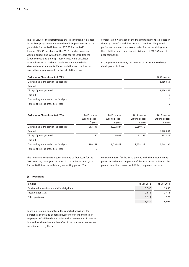The fair value of the performance shares conditionally granted in the Beat programme amounted to €6.66 per share as of the grant date for the 2012 tranche, €17.01 for the 2011 tranche, €25.96 per share for the 2010 tranche (four-year waiting period) and €28.80 per share for the 2010 tranche (three-year waiting period). These values were calculated externally using a stochastic, multivariate Black-Scholes standard model via Monte Carlo simulations on the basis of one million scenarios each. In the calculations, due

consideration was taken of the maximum payment stipulated in the programme's conditions for each conditionally granted performance share, the discount rates for the remaining term, the volatilities and the expected dividends of RWE AG and of peer companies.

In the year under review, the number of performance shares developed as follows:

| <b>Performance Shares from Beat 2005</b>    | 2009 tranche |
|---------------------------------------------|--------------|
| Outstanding at the start of the fiscal year | 3,156,854    |
| Granted                                     |              |
| Change (granted/expired)                    | $-3,156,854$ |
| Paid out                                    | $\mathbf{0}$ |
| Outstanding at the end of the fiscal year   | $\mathbf{0}$ |
| Payable at the end of the fiscal year       | $\mathbf{0}$ |

| <b>Performance Shares from Beat 2010</b>    | 2010 tranche<br>Waiting period:<br>3 years | 2010 tranche<br>Waiting period:<br>4 years | 2011 tranche<br>Waiting period:<br>4 years | 2012 tranche<br>Waiting period:<br>4 years |
|---------------------------------------------|--------------------------------------------|--------------------------------------------|--------------------------------------------|--------------------------------------------|
| Outstanding at the start of the fiscal year | 803,497                                    | 1,032,834                                  | 2,560,618                                  |                                            |
| Granted                                     |                                            |                                            |                                            | 6,942,033                                  |
| Change (granted/expired)                    | $-13,250$                                  | $-16,022$                                  | $-32.295$                                  | $-273,837$                                 |
| Paid out                                    |                                            |                                            |                                            |                                            |
| Outstanding at the end of the fiscal year   | 790.247                                    | 1,016,812                                  | 2,528,323                                  | 6,668,196                                  |
| Payable at the end of the fiscal year       | 0                                          |                                            |                                            |                                            |

The remaining contractual term amounts to four years for the 2012 tranche, three years for the 2011 tranche and two years for the 2010 tranche with four-year waiting period. The

contractual term for the 2010 tranche with three-year waiting period ended upon completion of the year under review. As the pay-out conditions were not fulfilled, no pay-out occurred.

#### **(8) Provisions**

| $\epsilon$ million                              | 31 Dec 2012 | 31 Dec 2011 |
|-------------------------------------------------|-------------|-------------|
| Provisions for pensions and similar obligations | 1,302       | 1,066       |
| Provisions for taxes                            | 2,616       | 2.473       |
| Other provisions                                | 1.119       | 970         |
|                                                 | 5,037       | 4.509       |

Based on existing guarantees, the reported provisions for pensions also include benefits payable to current and former employees of affiliated companies and an investment. Expenses incurred for the retirement benefits of the companies concerned are reimbursed by them.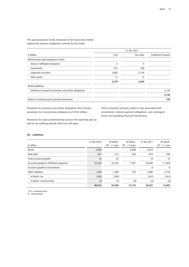The special-purpose funds measured at fair value were netted against the pension obligations covered by the funds:

|                                                        |       | 31 Dec 2012 |                   |
|--------------------------------------------------------|-------|-------------|-------------------|
| $\epsilon$ million                                     | Cost  | Fair value  | Settlement amount |
| Netted assets (special-purpose funds)                  |       |             |                   |
| Shares in affiliated companies                         | 5     | 4           |                   |
| Investments                                            | 272   | 258         |                   |
| Long-term securities                                   | 2,085 | 2,145       |                   |
| Other assets                                           | 17    | 17          |                   |
|                                                        | 2,379 | 2,424       |                   |
| <b>Netted liabilities</b>                              |       |             |                   |
| Settlement amount for pensions and similar obligations |       |             | 3,193             |
|                                                        |       |             | 3,193             |
| Balance of netting assets (pension provisions)         |       |             | 769               |

Provisions for pensions and similar obligations also includes provisions for concessionary allowances of €533 million.

Other provisions primarily relate to risks associated with investments, interest payment obligations, and contingent losses from pending financial transactions.

Provisions for taxes predominantly concern the reporting year as well as tax auditing periods which are still open.

### **(9) Liabilities**

|                                          | 31 Dec 2012 | Of which:          | Of which:        | 31 Dec 2011 | Of which:                        |
|------------------------------------------|-------------|--------------------|------------------|-------------|----------------------------------|
| $\epsilon$ million                       |             | $RT^1 \leq 1$ year | $RT^1 > 5$ years |             | RT <sup>1</sup><br>$\leq$ 1 year |
| <b>Bonds</b>                             | 4,980       |                    | 4,880            | 2,812       |                                  |
| Bank debt                                | 957         | 312                | 645              | 912         | 268                              |
| Trade accounts payable                   | 33          | 33                 |                  | 18          | 18                               |
| Accounts payable to affiliated companies | 33,439      | 23,555             | 7,547            | 30,902      | 11,828                           |
| Accounts payable to investments          |             |                    |                  | 0           | 0                                |
| Other liabilities                        | 1,509       | 1,404              | 102              | 3,883       | 3,733                            |
| of which: tax                            | (262)       | (262)              |                  | (261)       | (261)                            |
| of which: social security                | (3)         | (1)                | (0)              | (4)         | (2)                              |
|                                          | 40,918      | 25,304             | 13,174           | 38,527      | 15,847                           |

1 RT = remaining term.

 $0 =$  small amount.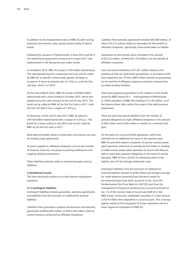In addition to the medium-term notes of RWE AG with varying maturities and interest rates, bonds consist mainly of hybrid bonds.

Following the issuance of hybrid bonds in fiscal 2010 and 2011, the hybrid bond programme announced in August 2011 was implemented in full during the year under review.

In mid-March 2012, RWE AG issued a £750 million hybrid bond. This subordinated bond is a perpetual and may only be called by RWE AG on specific contractually agreed call dates or occasions. It bears an interest rate of 7.0 % p.a. until the first call date, which is in 2019.

At the end of March 2012, RWE AG issued a US\$500 million hybrid bond with a tenor ending in October 2072, which was topped up by the same amount at the end of June 2012. The bond can be called by RWE AG for the first time in 2017. Until the first call date it has a coupon of 7.0 % p.a.

Furthermore, at the end of June 2012, RWE AG placed a CHF150 million hybrid bond with a coupon of 5.0 % p.a. This bond has a tenor ending in July 2072 and can be called by RWE AG for the first time in 2017.

Bank debt principally relates to bank loans and interest accruals for existing swap agreements.

Accounts payable to affiliated companies concern the transfer of financial resources, tax group accounting settlements and ongoing clearing transactions.

Other liabilities primarily relate to commercial paper and tax liabilities.

#### **(10) Deferred income**

This item exclusively relates to accrued interest equalisation payments.

#### **(11) Contingent liabilities**

Contingent liabilities include guarantees, warranty agreements and liabilities from the provision of collateral for external liabilities.

Liabilities from guarantees comprise performance and warranty guarantees totalling €65 million, of which €43 million relate to current business conducted by affiliated companies.

Liabilities from warranty agreements totalled €20,485 million, of which €19,313 million relates to warranties for the benefit of affiliated companies. Specifically, these break down as follows:

Guarantees to third parties were extended in the amount of €5,213 million, of which €5,178 million is for the benefit of affiliated companies.

Joint and several liabilities of €1,421 million relates to the granting of lines of credit (bank guarantees), in accordance with their respective use. Of this, €893 million pertains to guarantees for the benefit of affiliated companies and joint ventures from so-called ancillary facilities.

There were payment guarantees to the creditors of the bonds issued by RWE Finance B.V., `s-Hertogenbosch/Netherlands, (a 100 % subsidiary of RWE AG) totalling €13,122 million, as of the balance-sheet date, within the scope of the debt-issuance programme.

There are joint and several liabilities from the transfer of pension obligations to eight affiliated companies in the amount of €62 million and of €58 million in relation to a notional cash pool.

On the basis of a mutual benefit agreement, which was extended for an additional ten years in the previous year, RWE AG and other parent companies of German nuclear power plant operators undertook to provide €2,244 million in funding to liable nuclear power plant operators to ensure that they are able to meet their payment obligations in the event of nuclear damages. RWE AG has a 25.851 % contractual share in the liability, plus 5 % for damage settlement costs.

Contingent liabilities from the provision of collateral for external liabilities amount to €250 million and include coverage for credit balances stemming from the block model for pre-retirement part-time work, pursuant to Sec. 8a of the Pre-Retirement Part-Time Work Act (AltTZG) and from the management of long-term working hours accounts pursuant to Sec. 7e of the German Code of Social Law (SGB IV) in the RWE Group. To this end, marketable securities in a total amount of €318 million were deposited in a trust account. This coverage applies mainly to the employees of Group companies and to a lesser degree to employees of RWE AG.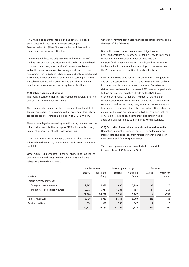RWE AG is a co-guarantor for a joint and several liability in accordance with Sec. 133 of the German Company Transformation Act (UmwG) in connection with transactions under company transformation law.

Contingent liabilities are only assumed within the scope of our business activities and after in-depth analysis of the related risks. We continuously monitor the aforementioned issues within the framework of our risk management system. In our assessment, the underlying liabilities can probably be discharged by the parties with primary responsibility. Accordingly, it is not probable that these will materialise and thus the contingent liabilities assumed need not be recognised as liabilities.

#### **(12) Other financial obligations**

The total amount of other financial obligations is €1,555 million and pertains to the following items:

The co-shareholders of an affiliated company have the right to tender their shares in this company. Full exercise of this right to tender can lead to a financial obligation of €1,318 million.

There is an obligation stemming from financing commitments to effect further contributions of up to €176 million to the equity capital of an investment in the following years.

In relation to a control agreement, there is an obligation to an affiliated Czech company to assume losses if certain conditions are fulfilled.

Other future – undiscounted − financial obligations from leases and rent amounted to €61 million, of which €55 million is related to affiliated companies.

Other currently unquantifiable financial obligations may arise on the basis of the following:

Due to the transfer of certain pension obligations to RWE Pensionsfonds AG in previous years, RWE AG, the affiliated companies and investments which entered into the Pensionsfonds agreement are legally obligated to contribute further capital in their function as employer in the event that the Pensionsfonds has insufficient funds in the future.

RWE AG and some of its subsidiaries are involved in regulatory and anti-trust procedures, lawsuits and arbitration proceedings in connection with their business operations. Out-of-court claims have also been filed. However, RWE does not expect such to have any material negative effects on the RWE Group's economic or financial situation. A number of shareholder compensation claims were also filed by outside shareholders in connection with restructuring programmes under company law to examine the reasonability of the conversion ratios and/or the amount of the cash compensations. RWE AG assumes that the conversion ratios and cash compensations determined by appraisers and verified by auditing firms were reasonable.

#### **(13) Derivative financial instruments and valuation units**

Derivative financial instruments are used to hedge currency, interest rate and price risks from foreign currency items, cash investments and financing transactions.

The following overview shows our derivative financial instruments as of 31 December 2012:

|                                    | Nominal volume |            | Remaining term $> 1$ year |            | Fair value |            |
|------------------------------------|----------------|------------|---------------------------|------------|------------|------------|
|                                    | External       | Within the | External                  | Within the | External   | Within the |
| $\epsilon$ million                 |                | Group      |                           | Group      |            | Group      |
| Foreign currency derivatives       |                |            |                           |            |            |            |
| Foreign exchange forwards          | 2.787          | 18,828     | 807                       | 5,190      | $-7$       | 127        |
| Interest-rate/cross-currency swaps | 19,873         | 5,911      | 4,384                     | 757        | 11         | $-264$     |
|                                    | 22,660         | 24,739     | 5,191                     | 5,947      | 4          | $-137$     |
| Interest rate swaps                | 7,439          | 5,050      | 5,733                     | 3,960      | 219        | 35         |
| Credit derivatives                 | 378            | 378        | 367                       | 367        | $-2$       |            |
|                                    | 30,477         | 30,167     | 11.291                    | 10.274     | 221        | $-100$     |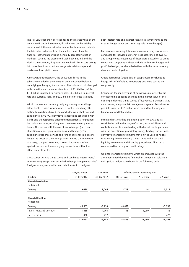The fair value generally corresponds to the market value of the derivative financial instrument, if such value can be reliably determined. If the market value cannot be determined reliably, the fair value is derived from the market value of similar financial instruments or using generally accepted valuation methods, such as the discounted cash flow method and the Black-Scholes model, if options are involved. This occurs taking into consideration current exchange rate relationships and market-conform yield curves.

Almost without exception, the derivatives listed in the table are included in the valuation units described below as underlying or hedging transactions. The volume of risks hedged with valuation units amounts to a total of €1.5 billion; of this, €1.0 billion is related to currency risks, €0.3 billion to interest rate and currency risks, and €0.2 billion to interest rate risks.

Within the scope of currency hedging, among other things, interest-rate/cross-currency swaps as well as matching offsetting transactions have been concluded with wholly-owned subsidiaries. RWE AG's derivative transactions concluded with banks and the respective offsetting transactions are grouped into valuation units, resulting in no re-measurement gains or losses. This occurs with the use of micro hedges (i.e. clear allocation of underlying transactions and hedges). The subsidiaries use these swaps and foreign currency liabilities to hedge the prices of their foreign investments. On termination of a swap, the positive or negative market value is offset against the cost of the underlying transactions without an effect on profit or loss.

Cross-currency swap transactions and combined interest-rate/ cross-currency swaps are concluded to hedge Group companies' foreign-currency receivables and liabilities (micro hedges).

Both interest-rate and interest-rate/cross-currency swaps are used to hedge bonds and notes payable (micro hedges).

Furthermore, currency futures and cross-currency swaps were concluded for individual currency risks associated at RWE AG and Group companies; most of these were passed on to Group companies congruently. These include both micro hedges and portfolio hedges, in which derivatives with the same currency risks are pooled together.

Credit derivatives (credit default swaps) were concluded to hedge risks of default at a subsidiary and were passed on congruently.

Changes in the market value of derivatives are offset by the corresponding opposite changes in the market value of the existing underlying transactions. Effectiveness is demonstrated via a proper, adequate risk management system. Provisions for possible losses of €15 million were formed for the negative balances of portfolio hedges.

Internal directives that are binding upon RWE AG and its subsidiaries define the range of action, responsibilities and controls allowable when trading with derivatives. In particular, with the exception of proprietary energy trading transactions, derivative financial instruments may only be used to hedge risks arising from underlying transactions and associated liquidity investment and financing procedures. All external counterparties have good credit ratings.

Original financial instruments which are included with the aforementioned derivative financial instruments in valuation units (micro hedges) are shown in the following table:

|                                              | Carrying amount | Fair value  | Of which: with a remaining term |               |             |  |
|----------------------------------------------|-----------------|-------------|---------------------------------|---------------|-------------|--|
| $\epsilon$ million                           | 31 Dec 2012     | 31 Dec 2012 | Up to 1 year                    | $2 - 5$ years | $> 5$ years |  |
| <b>Financial receivables</b><br>Hedged risk: |                 |             |                                 |               |             |  |
| Currency                                     | 9,690           | 9,046       | 3,718                           | 14            | 5,314       |  |
| <b>Financial liabilities</b><br>Hedged risk: |                 |             |                                 |               |             |  |
| Currency                                     | $-8,853$        | $-8,250$    | $-4,491$                        |               | $-3,759$    |  |
| Interest rates and currencies                | $-1,438$        | $-1,066$    | $-15$                           | $-1,089$      | 38          |  |
| Interest rates                               | $-400$          | $-472$      |                                 |               | $-472$      |  |
|                                              | $-10,691$       | $-9,788$    | $-4.506$                        | $-1,089$      | $-4,193$    |  |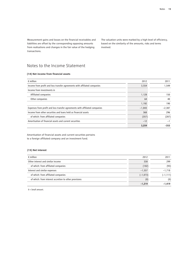Measurement gains and losses on the financial receivables and liabilities are offset by the corresponding opposing amounts from realisations and changes in the fair value of the hedging transactions.

The valuation units were marked by a high level of efficiency, based on the similarity of the amounts, risks and terms involved.

# Notes to the Income Statement

#### **(14) Net income from financial assets**

| $\epsilon$ million                                                          | 2012     | 2011     |
|-----------------------------------------------------------------------------|----------|----------|
| Income from profit and loss transfer agreements with affiliated companies   | 3,554    | 1.549    |
| Income from investments in                                                  |          |          |
| Affiliated companies                                                        | 1,128    | 150      |
| Other companies                                                             | 64       | 40       |
|                                                                             | 1,192    | 190      |
| Expenses from profit and loss transfer agreements with affiliated companies | $-1,843$ | $-2,387$ |
| Income from other securities and loans held as financial assets             | 368      | 296      |
| of which: from affiliated companies                                         | (357)    | (287)    |
| Amortisation of financial assets and current securities                     | $-12$    | $-1$     |
|                                                                             | 3,259    | -353     |

Amortisation of financial assets and current securities pertains to a foreign affiliated company and an investment fund.

### **(15) Net interest**

| $\epsilon$ million                                    | 2012       | 2011        |
|-------------------------------------------------------|------------|-------------|
| Other interest and similar income                     | 338        | 299         |
| of which: from affiliated companies                   | (102)      | (93)        |
| Interest and similar expenses                         | $-1,557$   | $-1.718$    |
| of which: from affiliated companies                   | $(-1,073)$ | $(-1, 111)$ |
| of which: from interest accretion to other provisions | (0)        | (0)         |
|                                                       | $-1,219$   | $-1.419$    |

0 = Small amount.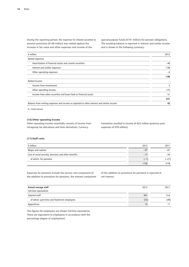During the reporting period, the expense for interest accretion to pension provisions (€148 million) was netted against the increase in fair value and other expenses and income of the

special-purpose funds (€191 million) for pension obligations. The resulting balance is reported in interest and similar income and is shown in the following summary:

| $\epsilon$ million                                                                        | 2012   |
|-------------------------------------------------------------------------------------------|--------|
| Netted expenses                                                                           |        |
| Amortisation of financial assets and current securities                                   | $-40$  |
| Interest and similar expenses                                                             | $-148$ |
| Other operating expenses                                                                  | $-0$   |
|                                                                                           | $-188$ |
| Netted income                                                                             |        |
| Income from investments                                                                   | 5      |
| Other operating income                                                                    | 175    |
| Income from other securities and loans held as financial assets                           | 51     |
|                                                                                           | 231    |
| Balance from netting expenses and income as reported in other interest and similar income | 43     |

 $0 =$  Small amount.

### **(16) Other operating income**

Other operating income essentially consists of income from intragroup tax allocations and from derivatives. Currency

translation resulted in income of €23 million (previous year: expenses of €39 million).

#### **(17) Staff costs**

| $\epsilon$ million                                   | 2012   | 2011    |
|------------------------------------------------------|--------|---------|
| Wages and salaries                                   | $-97$  | $-81$   |
| Cost of social security, pensions and other benefits | $-15$  | $-34$   |
| of which: for pensions                               | $-1$   | $(-27)$ |
|                                                      | $-112$ | $-115$  |

Expenses for pensions include the service cost component of the addition to provisions for pensions; the interest component

of the addition to provisions for pensions is reported in net interest.

| Annual average staff                         | 2012            | 2011 |
|----------------------------------------------|-----------------|------|
| Full-time equivalents                        |                 |      |
| Salaried staff                               | 491             | 516  |
| of which: part-time and fixed-term employees | (55)            | (49) |
| Apprentices                                  | 10 <sup>°</sup> |      |

The figures for employees are shown full-time equivalents. These are equivalent to employees in accordance with the percentage degree of employment.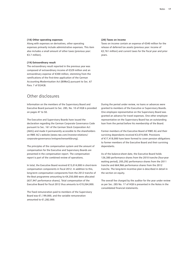#### **(18) Other operating expenses**

Along with expenses on derivatives, other operating expenses primarily include administrative expenses. This item also includes a small amount of other taxes (previous year: €3.7 million).

#### **(19) Extraordinary result**

The extraordinary result reported in the previous year was composed of extraordinary income of €329 million and an extraordinary expense of €300 million, stemming from the ramifications of the first-time application of the German Accounting Modernisation Act (BilMoG) pursuant to Sec. 67 Para. 7 of EGHGB.

# Other disclosures

Information on the members of the Supervisory Board and Executive Board pursuant to Sec. 285, No. 10 of HGB is provided on pages 47 to 50.

The Executive and Supervisory Boards have issued the declaration regarding the German Corporate Governance Code pursuant to Sec. 161 of the German Stock Corporation Act (AktG) and made it permanently accessible to the shareholders on RWE AG's website (www.rwe.com/investor-relations/ corporate-governance/entsprechenserklärung).

The principles of the compensation system and the amount of compensation for the Executive and Supervisory Boards are presented in the compensation report. The compensation report is part of the combined review of operations.

In total, the Executive Board received €15,014,000 in short-term compensation components in fiscal 2012. In addition to this, long-term compensation components from the 2012 tranche of the Beat programme amounting to €4,250,000 were allocated (637,947 performance shares). Total compensation of the Executive Board for fiscal 2012 thus amounts to €19,264,000.

The fixed remuneration paid to members of the Supervisory Board was €1,199,000, and the variable remuneration amounted to €1,282,000.

#### **(20) Taxes on income**

Taxes on income contain an expense of €540 million for the release of deferred tax assets (previous year: income of €2,761 million) and current taxes for the fiscal year and prior years.

During the period under review, no loans or advances were granted to members of the Executive or Supervisory Boards. One employee representative on the Supervisory Board was granted an advance for travel expenses. One other employee representative on the Supervisory Board has an outstanding loan from the period before his membership of the Board.

Former members of the Executive Board of RWE AG and their surviving dependants received €3,074,000. Provisions of €17,418,000 have been formed to cover pension obligations to former members of the Executive Board and their surviving dependants.

As of the balance-sheet date, the Executive Board holds 126,380 performance shares from the 2010 tranche (four-year waiting period), 205,292 performance shares from the 2011 tranche and 664,966 performance shares from the 2012 tranche. The long-term incentive plan is described in detail in the section on equity.

The overall fee charged by the auditor for the year under review as per Sec. 285 No. 17 of HGB is presented in the Notes in the consolidated financial statements.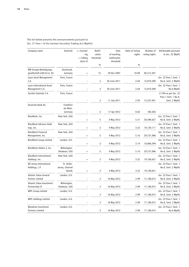| Company name                                            | Domicile                       | $+=$ Exceed-<br>ing<br>$-$ = Falling<br>short of | Notifi-<br>cation<br>threshold | Date<br>of reaching<br>notification<br>threshold | Ratio of voting<br>rights | Number of<br>voting rights | Attributable pursuant<br>to Sec. 22 WpHG                  |
|---------------------------------------------------------|--------------------------------|--------------------------------------------------|--------------------------------|--------------------------------------------------|---------------------------|----------------------------|-----------------------------------------------------------|
|                                                         |                                |                                                  | $\%$                           |                                                  | $\%$                      |                            |                                                           |
| RW Energie-Beteiligungs-<br>gesellschaft mbH & Co. KG   | Dortmund,<br>Germany           |                                                  | 15                             | 20 Dec 2007                                      | 16.09                     | 84, 212, 447               |                                                           |
| Lyxor Asset Management<br>S.A.                          | Paris, France                  |                                                  | 3                              | 20 June 2011                                     | 2.64                      | 13,810,589                 | Sec. 22 Para.1 Sent. 1<br>No.6, Sent. 2 WpHG              |
| Lyxor International Asset<br>Management S.A.            | Paris, France                  |                                                  | 3                              | 20 June 2011                                     | 2.64                      | 13,810,589                 | Sec. 22 Para.1 Sent. 1<br>No.6 WpHG                       |
| Société Générale S.A.                                   | Paris, France                  |                                                  |                                |                                                  |                           |                            | 2.74% as per Sec. 22<br>Para.1 Sent. 1 No.6,              |
| Deutsche Bank AG                                        | Frankfurt                      |                                                  | 3                              | 11 July 2011                                     | 2.93                      | 15,337,041                 | Sent. 2 WpHG                                              |
|                                                         | am Main,<br>Germany            |                                                  | 3                              | 17 Apr 2012                                      | 0.02                      | 100,383                    |                                                           |
| BlackRock, Inc.                                         | New York, USA                  | $\ddot{}$                                        | 5                              | 4 May 2012                                       | 5.31                      | 30,590,627                 | Sec. 22 Para.1 Sent. 1<br>No.6, Sent. 2 WpHG              |
| <b>BlackRock Advisors Hold-</b><br>ings, Inc.           | New York, USA                  | $\qquad \qquad +$                                | 3                              | 4 May 2012                                       | 3.32                      | 19,129,111                 | Sec. 22 Para.1 Sent. 1<br>No.6, Sent. 2 WpHG              |
| <b>BlackRock Financial</b><br>Management, Inc.          | New York, USA                  | $\ddot{}$                                        | 5                              | 4 May 2012                                       | 5.16                      | 29,737,096                 | Sec. 22 Para.1 Sent. 1<br>No.6, Sent. 2 WpHG              |
| <b>BlackRock Group Limited</b>                          | London, U.K.                   | $\begin{array}{c} + \end{array}$                 | 3                              | 4 May 2012                                       | 3.14                      | 18,066,594                 | Sec. 22 Para.1 Sent. 1<br>No.6, Sent. 2 WpHG              |
| BlackRock Holdco 2, Inc.                                | Wilmington,<br>Delaware, USA   | $\ddot{}$                                        | 5                              | 4 May 2012                                       | 5.16                      | 29,737,096                 | Sec. 22 Para.1 Sent. 1<br>No.6, Sent. 2 WpHG              |
| <b>BlackRock International</b><br>Holdings, Inc.        | New York, USA                  | $\ddot{}$                                        | 3                              | 4 May 2012                                       | 3.32                      | 19,100,651                 | Sec. 22 Para.1 Sent. 1<br>No.6, Sent. 2 WpHG              |
| BR Jersey International<br>Holdings, L.P.               | St. Helier,<br>Jersey, Channel |                                                  |                                |                                                  |                           |                            | Sec. 22 Para.1 Sent. 1<br>No.6, Sent. 2 WpHG              |
|                                                         | Islands                        | $\begin{array}{c} + \end{array}$                 | 3                              | 4 May 2012                                       | 3.32                      | 19,100,651                 |                                                           |
| <b>Atlantic Value General</b><br><b>Partner Limited</b> | London, U.K.                   |                                                  | 3                              | 16 May 2012                                      | 2.99                      | 17,188,015                 | Sec. 22 Para.1 Sent. 1<br>No.6, Sent. 2 WpHG              |
| Atlantic Value Investment<br>Partnership LP             | Wilmington,<br>Delaware, USA   |                                                  | 3                              | 16 May 2012                                      | 2.99                      | 17,188,015                 | Sec. 22 Para.1 Sent. 1<br>No.6, Sent. 2 WpHG              |
| <b>MIPL Group Limited</b>                               | London, U.K.                   |                                                  | 3                              | 16 May 2012                                      | 2.99                      | 17,188,015                 | Sec. 22 Para.1 Sent. 1<br>No.6, Sent. 2 WpHG              |
| MIPL Holdings Limited                                   | London, U.K.                   |                                                  |                                |                                                  |                           |                            | Sec. 22 Para.1 Sent. 1                                    |
| Mondrian Investment<br>Partners Limited                 | London, U.K.                   |                                                  | 3<br>3                         | 16 May 2012<br>16 May 2012                       | 2.99<br>2.99              | 17,188,015<br>17,188,015   | No.6, Sent. 2 WpHG<br>Sec. 22 Para.1 Sent. 1<br>No.6 WpHG |

### The list below presents the announcements pursuant to Sec. 21 Para 1 of the German Securities Trading Act (WpHG):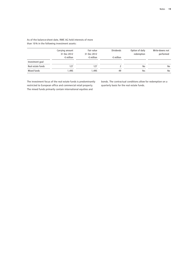|                   | Carrying amount<br>31 Dec 2012 | Fair value<br>31 Dec 2012 | <b>Dividends</b>   | Option of daily<br>redemption | Write-downs not<br>performed |
|-------------------|--------------------------------|---------------------------|--------------------|-------------------------------|------------------------------|
|                   | $\epsilon$ million             | $\epsilon$ million        | $\epsilon$ million |                               |                              |
| Investment goal   |                                |                           |                    |                               |                              |
| Real estate funds | 127                            | 127                       |                    | No                            | No                           |
| Mixed funds       | 1.495                          | 1.495                     | 49                 | Yes                           | No                           |

As of the balance-sheet date, RWE AG held interests of more than 10 % in the following investment assets:

The investment focus of the real estate funds is predominantly restricted to European office and commercial retail property. The mixed funds primarily contain international equities and

bonds. The contractual conditions allow for redemption on a quarterly basis for the real estate funds.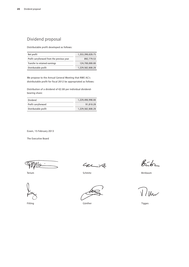# Dividend proposal

Distributable profit developed as follows:

| Net profit                                 | 1,353,390,028.75 |
|--------------------------------------------|------------------|
| Profit carryforward from the previous year | 892.779.53       |
| Transfer to retained earnings              | 124,700,000.00   |
| Distributable profit                       | 1.229.582.808.28 |

We propose to the Annual General Meeting that RWE AG's distributable profit for fiscal 2012 be appropriated as follows:

Distribution of a dividend of €2.00 per individual dividendbearing share:

| Dividend             | 1.229.490.998.00 |
|----------------------|------------------|
| Profit carryforward  | 91.810.28        |
| Distributable profit | 1.229.582.808.28 |

Essen, 15 February 2013

The Executive Board

Terium

Fitting

 $427$ 

Schmitz

Günther

 $85 - 62$ 

Birnbaum

 $\mathcal{U}$ 

Tigges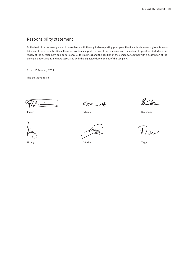# Responsibility statement

To the best of our knowledge, and in accordance with the applicable reporting principles, the financial statements give a true and fair view of the assets, liabilities, financial position and profit or loss of the company, and the review of operations includes a fair review of the development and performance of the business and the position of the company, together with a description of the principal opportunities and risks associated with the expected development of the company.

Essen, 15 February 2013

The Executive Board

lQ

Terium

Fitting

Carit

Schmitz

Günther

 $856$ 

Birnbaum

 $J / l$ 

Tigges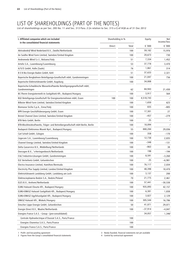# List of Shareholdings (Part of the Notes)

List of shareholdings as per Sec. 285 No. 11 and Sec. 313 Para. 2 (in relation to Sec. 315 a I) of HGB as of 31 Dec 2012

| I. Affiliated companies which are included<br>in the consolidated financial statements | Shareholding in % |       | Equity    | Net<br>income/loss |  |
|----------------------------------------------------------------------------------------|-------------------|-------|-----------|--------------------|--|
|                                                                                        | Direct            | Total | € '000    | € $'000$           |  |
| Aktivabedrijf Wind Nederland B.V., Zwolle/Netherlands                                  |                   | 100   | 59,182    | 15,976             |  |
| An Suidhe Wind Farm Limited, Swindon/United Kingdom                                    |                   | 100   | 20,673    | 730                |  |
| Andromeda Wind S.r.l., Bolzano/Italy                                                   |                   | 51    | 7,334     | 1,452              |  |
| Artelis S.A., Luxembourg/Luxembourg                                                    |                   | 53    | 37,778    | 3,470              |  |
| A/V/E GmbH, Halle (Saale)                                                              |                   | 76    | 1,861     | 314                |  |
| B E B Bio Energie Baden GmbH, Kehl                                                     |                   | 51    | 37,633    | 2,321              |  |
| Bayerische Bergbahnen Beteiligungs-Gesellschaft mbH, Gundremmingen                     |                   | 100   | 21,047    | 756                |  |
| Bayerische Elektrizitätswerke GmbH, Augsburg                                           |                   | 100   | 34,008    | $\mathbf{I}$       |  |
| Bayerische-Schwäbische Wasserkraftwerke Beteiligungsgesellschaft mbH,<br>Gundremmingen |                   | 62    | 84,943    | 21,430             |  |
| BC-Therm Energiatermelő és Szolgáltató Kft., Budapest/Hungary                          |                   | 100   | 3,917     | 564                |  |
| BGE Beteiligungs-Gesellschaft für Energieunternehmen mbH, Essen                        | 100               | 100   | 4,518,743 | $\mathbf{I}$       |  |
| Bilbster Wind Farm Limited, Swindon/United Kingdom                                     |                   | 100   | 1,650     | 623                |  |
| Biomasse Sicilia S.p.A., Enna/Italy                                                    |                   | 100   | 835       | $-805$             |  |
| BPR Energie Geschäftsbesorgung GmbH, Essen                                             |                   | 100   | 17,301    | 27                 |  |
| Bristol Channel Zone Limited, Swindon/United Kingdom                                   |                   | 100   | -457      | $-279$             |  |
| BTB Netz GmbH, Berlin                                                                  |                   | 100   | 25        | $\mathbf{I}$       |  |
| BTB-Blockheizkraftwerks, Träger- und Betreibergesellschaft mbH Berlin, Berlin          |                   | 100   | 18,094    | $\mathbf{I}$       |  |
| Budapesti Elektromos Muvek Nyrt., Budapest/Hungary                                     |                   | 55    | 880,284   | 29,036             |  |
| Carl Scholl GmbH, Cologne                                                              |                   | 100   | 358       | $-170$             |  |
| Cegecom S.A., Luxembourg/Luxembourg                                                    |                   | 100   | 12,738    | 2,835              |  |
| Channel Energy Limited, Swindon/United Kingdom                                         |                   | 100   | -348      | -131               |  |
| Delta Gasservice B.V., Middelburg/Netherlands                                          |                   | 100   | $-863$    | 38                 |  |
| Dorcogen B.V., 's-Hertogenbosch/Netherlands                                            |                   | 100   | 198       | $-194$             |  |
| E & Z Industrie-Lösungen GmbH, Gundremmingen                                           |                   | 100   | 8,591     | $-3,260$           |  |
| ELE Verteilnetz GmbH, Gelsenkirchen                                                    |                   | 100   | 25        | $-6,981$           |  |
| Electra Insurance Limited, Hamilton/Bermuda                                            |                   | 100   | 76,117    | 2,034              |  |
| Electricity Plus Supply Limited, London/United Kingdom                                 |                   | 100   | 48,398    | 18,470             |  |
| Elektrizitätswerk Landsberg GmbH, Landsberg am Lech                                    |                   | 100   | 3,137     | 200                |  |
| Elektrocieplownia Bedzin S.A., Bedzin/Poland                                           |                   | 70    | 21,775    | 2,461              |  |
| ELES B.V., Arnhem/Netherlands                                                          |                   | 100   | 57,441    | -30,538            |  |
| ELMU Halozati Eloszto Kft., Budapest/Hungary                                           |                   | 100   | 935,093   | 42,157             |  |
| ELMU-EMASZ Halozati Szolgáltató Kft., Budapest/Hungary                                 |                   | 100   | 6,381     | 1,838              |  |
| ELMU-EMASZ Ugyfelszolgalati Kft., Budapest/Hungary                                     |                   | 100   | 3,827     | 2,129              |  |
| EMASZ Halozati Kft., Miskolc/Hungary                                                   |                   | 100   | 305,544   | 16,786             |  |
| Emscher Lippe Energie GmbH, Gelsenkirchen                                              |                   | 50    | 41,071    | 29,071             |  |
| Energie Direct B.V., Waalre/Netherlands                                                |                   | 100   | –37,914   | -4,047             |  |
| Energies France S.A.S. - Group - (pre-consolidated)                                    |                   |       | 34,057    | 1,346 <sup>2</sup> |  |
| Centrale Hydroelectrique d'Oussiat S.A.S., Paris/France                                |                   | 100   |           |                    |  |
| Energies Charentus S.A.S., Paris/France                                                |                   | 100   |           |                    |  |
| Energies France S.A.S., Paris/France                                                   |                   | 100   |           |                    |  |

1 Profit- and loss-pooling agreement<br>2 Figures from the Group's consolidated financial statements<br>2 Figures from the Group's consolidated financial statements<br>2 Gontrol by contractual agreement 2 Figures from the Group's consolidated financial statements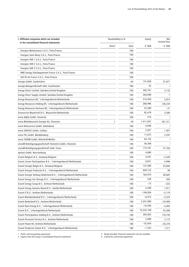| I. Affiliated companies which are included<br>in the consolidated financial statements | Shareholding in % |       | Equity     | Net<br>income/loss        |
|----------------------------------------------------------------------------------------|-------------------|-------|------------|---------------------------|
|                                                                                        | Direct            | Total | € '000     | € '000                    |
| Energies Maintenance S.A.S., Paris/France                                              |                   | 100   |            |                           |
| Energies Saint Remy S.A.S., Paris/France                                               |                   | 100   |            |                           |
| Energies VAR 1 S.A.S., Paris/France                                                    |                   | 100   |            |                           |
| Energies VAR 2 S.A.S., Paris/France                                                    |                   | 100   |            |                           |
| Energies VAR 3 S.A.S., Paris/France                                                    |                   | 100   |            |                           |
| RWE Innogy Dévéloppement France S.A.S., Paris/France                                   |                   | 100   |            |                           |
| SAS Île de France S.A.S., Paris/France                                                 |                   | 100   |            |                           |
| Energis GmbH, Saarbrücken                                                              |                   | 64    | 141,859    | 27,677                    |
| energis-Netzgesellschaft mbH, Saarbrücken                                              |                   | 100   | 25         | $\mathbf{I}$              |
| Energy Direct Limited, Swindon/United Kingdom                                          |                   | 100   | 302,701    | 3,132                     |
| Energy Direct Supply Limited, Swindon/United Kingdom                                   |                   | 100   | 264,090    | 7                         |
| Energy Resources BV, 's-Hertogenbosch/Netherlands                                      |                   | 100   | 314,430    | 5,813                     |
| Energy Resources Holding BV, 's-Hertogenbosch/Netherlands                              |                   | 100   | 286,996    | 128,234                   |
| Energy Resources Ventures BV, 's-Hertogenbosch/Netherlands                             |                   | 100   | 25,389     | $-31$                     |
| Enerservice Maastricht B.V., Maastricht/Netherlands                                    |                   | 100   | 92,479     | 3,500                     |
| envia AQUA GmbH, Chemnitz                                                              |                   | 100   | 510        |                           |
| envia Mitteldeutsche Energie AG, Chemnitz                                              | 1                 | 59    | 1,411,837  | 281,311                   |
| envia Netzservice GmbH, Kabelsketal                                                    |                   | 100   | 4,046      | $\mathbf{I}$              |
| envia SERVICE GmbH, Cottbus                                                            |                   | 100   | 2,927      | 1,927                     |
| envia TEL GmbH, Markkleeberg                                                           |                   | 100   | 11,075     | 2,297                     |
| envia THERM GmbH, Bitterfeld-Wolfen                                                    |                   | 100   | 63,155     | $\mathbf{I}$              |
| enviaM Beteiligungsgesellschaft Chemnitz GmbH, Chemnitz                                |                   | 100   | 56,366     | $\mathbf{L}^{\mathbf{1}}$ |
| enviaM Beteiligungsgesellschaft mbH, Essen                                             |                   | 100   | 175,781    | 31,765                    |
| eprimo GmbH, Neu-Isenburg                                                              |                   | 100   | 4,600      | $\mathbf{I}$              |
| Essent Belgium N.V., Antwerp/Belgium                                                   |                   | 100   | 4,591      | $-5,520$                  |
| Essent Corner Participations B.V., 's-Hertogenbosch/Netherlands                        |                   | 100   | 8,921      | 4,996                     |
| Essent Energie Belgie N.V., Antwerp/Belgium                                            |                   | 100   | 137,389    | 23,692                    |
| Essent Energie Productie B.V., 's-Hertogenbosch/Netherlands                            |                   | 100   | 849,122    | 99                        |
| Essent Energie Verkoop Nederland B.V., 's-Hertogenbosch/Netherlands                    |                   | 100   | 163,974    | 40,687                    |
| Essent Energy Gas Storage B.V., 's-Hertogenbosch/Netherlands                           |                   | 100   | 329        | 505                       |
| Essent Energy Group B.V., Arnhem/Netherlands                                           |                   | 100   | -73        | $-222$                    |
| Essent Energy Systems Noord B.V., Zwolle/Netherlands                                   |                   | 100   | 5,299      | 1,011                     |
| Essent IT B.V., Arnhem/Netherlands                                                     |                   | 100   | $-198,856$ | $-5,179$                  |
| Essent Meetdatabedrijf B.V., 's-Hertogenbosch/Netherlands                              |                   | 100   | $-6,473$   | $-2,225$                  |
| Essent Nederland B.V., Arnhem/Netherlands                                              |                   | 100   | 2,241,000  | $-23,000$                 |
| Essent New Energy B.V., 's-Hertogenbosch/Netherlands                                   |                   | 100   | $-16,436$  | $-5,403$                  |
| Essent N.V., 's-Hertogenbosch/Netherlands                                              |                   | 100   | 10,333,100 | 55,300                    |
| Essent Participations Holding B.V., Arnhem/Netherlands                                 |                   | 100   | 205,943    | 110,745                   |
| Essent Personeel Service B.V., Arnhem/Netherlands                                      |                   | 100   | 2,600      | 2,172                     |
| Essent Power BV, Arnhem/Netherlands                                                    |                   | 100   | $-52,054$  | $-26,278$                 |
| Essent Productie Geleen B.V., 's-Hertogenbosch/Netherlands                             |                   | 100   | $-1,525$   | 1,311                     |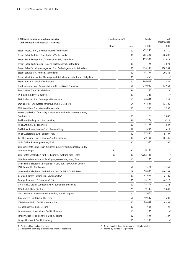| € '000<br>€ '000<br>Direct<br>Total<br>$-33,246$<br>Essent Projects B.V., 's-Hertogenbosch/Netherlands<br>100<br>$-5,110$<br>295,238<br>Essent Retail Bedrijven B.V., Arnhem/Netherlands<br>100<br>$-20,696$<br>100<br>119,509<br>Essent Retail Energie B.V., 's-Hertogenbosch/Netherlands<br>43,973<br>17,385<br>Essent Retail Participations B.V., 's-Hertogenbosch/Netherlands<br>100<br>3,073<br>Essent Sales Portfolio Management B.V., 's-Hertogenbosch/Netherlands<br>100<br>314,393<br>108,904<br>58,781<br>Essent Service B.V., Arnhem/Netherlands<br>100<br>$-20,358$<br>256<br>Essent Wind Nordsee Ost Planungs- und Betriebsgesellschaft mbH, Helgoland<br>100<br>106,601<br>Essent Zuid B.V., Waalre/Netherlands<br>100<br>1,857<br>54<br>319,029<br>Eszak-magyarorszagi Aramszolgáltató Nyrt., Miskolc/Hungary<br>14,963<br>96<br>EuroSkyPark GmbH, Saarbrücken<br>51<br>5<br>EVIP GmbH, Bitterfeld-Wolfen<br>11,347<br>100<br>$-8,691$<br>EWK Nederland B.V., Groningen/Netherlands<br>100<br>334<br>41,547<br>EWV Energie- und Wasser-Versorgung GmbH, Stolberg<br>54<br>13,700<br>1,950<br>EZN Swentibold B.V., Geleen/Netherlands<br>100<br>1,282<br>FAMIS Gesellschaft für Facility Management und Industrieservice mbH,<br>12,109<br>Saarbrücken<br>63<br>1,046<br>7,727<br>Fri-El Anzi Holding S.r.l., Bolzano/Italy<br>51<br>$-319$<br>24,163<br>Fri-El Anzi S.r.l., Bolzano/Italy<br>100<br>547<br>13,294<br>Fri-El Guardionara Holding S.r.l., Bolzano/Italy<br>51<br>413<br>37,856<br>100<br>Fri-El Guardionara S.r.l., Bolzano/Italy<br>5,107<br>$-20,701$<br>Gas Plus Supply Limited, London/United Kingdom<br>100<br>10,745<br>1,508<br>GBE - Gocher Bioenergie GmbH, Goch<br>80<br>$-1,267$<br>GBV Dreizehnte Gesellschaft für Beteiligungsverwaltung mbH & Co. KG,<br>$-18,486$<br>94<br>94<br>0<br>Gundremmingen<br>100<br>4,202,487<br>$\mathbf{I}$<br>GBV Fünfte Gesellschaft für Beteiligungsverwaltung mbH, Essen<br>100<br>GBV Siebte Gesellschaft für Beteiligungsverwaltung mbH, Essen<br>100<br>$\overline{a}$<br>100<br>Gemeinschaftskraftwerk Bergkamen A OHG der STEAG GmbH und der<br>14,316<br>RWE Power AG, Bergkamen<br>51<br>1,359<br>50,000<br>Gemeinschaftskraftwerk Steinkohle Hamm GmbH & Co. KG, Essen<br>78<br>$-110,203$<br>47,656<br>Georgia Biomass Holding LLC, Savannah/USA<br>100<br>2,489<br>34,126<br>Georgia Biomass LLC, Savannah/USA<br>100<br>$-4,118$<br>GfV Gesellschaft für Vermögensverwaltung mbH, Dortmund<br>75,271<br>100<br>$-236$<br>9,445<br>GISA GmbH, Halle (Saale)<br>75<br>3,845<br>3,676<br>Great Yarmouth Power Limited, Swindon/United Kingdom<br>100<br>$\mathbf 0$<br>49,640<br>Green Gecco GmbH & Co. KG, Essen<br>51<br>1,280<br>20,032<br>GWG Grevenbroich GmbH, Grevenbroich<br>60<br>4,809<br>661<br>ICS adminservice GmbH, Leuna<br>100<br>122<br>100<br>Industriepark LH Verteilnetz GmbH, Chemnitz<br>100<br>1,568<br>Innogy Cogen Ireland Limited, Dublin/Ireland<br>100<br>787<br>11,300<br>Innogy Nordsee 1 GmbH, Hamburg<br>100<br>$-1$ | I. Affiliated companies which are included<br>in the consolidated financial statements |  | Shareholding in % |  | Net<br>income/loss |
|------------------------------------------------------------------------------------------------------------------------------------------------------------------------------------------------------------------------------------------------------------------------------------------------------------------------------------------------------------------------------------------------------------------------------------------------------------------------------------------------------------------------------------------------------------------------------------------------------------------------------------------------------------------------------------------------------------------------------------------------------------------------------------------------------------------------------------------------------------------------------------------------------------------------------------------------------------------------------------------------------------------------------------------------------------------------------------------------------------------------------------------------------------------------------------------------------------------------------------------------------------------------------------------------------------------------------------------------------------------------------------------------------------------------------------------------------------------------------------------------------------------------------------------------------------------------------------------------------------------------------------------------------------------------------------------------------------------------------------------------------------------------------------------------------------------------------------------------------------------------------------------------------------------------------------------------------------------------------------------------------------------------------------------------------------------------------------------------------------------------------------------------------------------------------------------------------------------------------------------------------------------------------------------------------------------------------------------------------------------------------------------------------------------------------------------------------------------------------------------------------------------------------------------------------------------------------------------------------------------------------------------------------------------------------------------------------------------------------------------------------------------------------------------------------------------------------------------------------------------------------------------------------------------------------------------------------------------------------------------------------------------------------------------|----------------------------------------------------------------------------------------|--|-------------------|--|--------------------|
|                                                                                                                                                                                                                                                                                                                                                                                                                                                                                                                                                                                                                                                                                                                                                                                                                                                                                                                                                                                                                                                                                                                                                                                                                                                                                                                                                                                                                                                                                                                                                                                                                                                                                                                                                                                                                                                                                                                                                                                                                                                                                                                                                                                                                                                                                                                                                                                                                                                                                                                                                                                                                                                                                                                                                                                                                                                                                                                                                                                                                                          |                                                                                        |  |                   |  |                    |
|                                                                                                                                                                                                                                                                                                                                                                                                                                                                                                                                                                                                                                                                                                                                                                                                                                                                                                                                                                                                                                                                                                                                                                                                                                                                                                                                                                                                                                                                                                                                                                                                                                                                                                                                                                                                                                                                                                                                                                                                                                                                                                                                                                                                                                                                                                                                                                                                                                                                                                                                                                                                                                                                                                                                                                                                                                                                                                                                                                                                                                          |                                                                                        |  |                   |  |                    |
|                                                                                                                                                                                                                                                                                                                                                                                                                                                                                                                                                                                                                                                                                                                                                                                                                                                                                                                                                                                                                                                                                                                                                                                                                                                                                                                                                                                                                                                                                                                                                                                                                                                                                                                                                                                                                                                                                                                                                                                                                                                                                                                                                                                                                                                                                                                                                                                                                                                                                                                                                                                                                                                                                                                                                                                                                                                                                                                                                                                                                                          |                                                                                        |  |                   |  |                    |
|                                                                                                                                                                                                                                                                                                                                                                                                                                                                                                                                                                                                                                                                                                                                                                                                                                                                                                                                                                                                                                                                                                                                                                                                                                                                                                                                                                                                                                                                                                                                                                                                                                                                                                                                                                                                                                                                                                                                                                                                                                                                                                                                                                                                                                                                                                                                                                                                                                                                                                                                                                                                                                                                                                                                                                                                                                                                                                                                                                                                                                          |                                                                                        |  |                   |  |                    |
|                                                                                                                                                                                                                                                                                                                                                                                                                                                                                                                                                                                                                                                                                                                                                                                                                                                                                                                                                                                                                                                                                                                                                                                                                                                                                                                                                                                                                                                                                                                                                                                                                                                                                                                                                                                                                                                                                                                                                                                                                                                                                                                                                                                                                                                                                                                                                                                                                                                                                                                                                                                                                                                                                                                                                                                                                                                                                                                                                                                                                                          |                                                                                        |  |                   |  |                    |
|                                                                                                                                                                                                                                                                                                                                                                                                                                                                                                                                                                                                                                                                                                                                                                                                                                                                                                                                                                                                                                                                                                                                                                                                                                                                                                                                                                                                                                                                                                                                                                                                                                                                                                                                                                                                                                                                                                                                                                                                                                                                                                                                                                                                                                                                                                                                                                                                                                                                                                                                                                                                                                                                                                                                                                                                                                                                                                                                                                                                                                          |                                                                                        |  |                   |  |                    |
|                                                                                                                                                                                                                                                                                                                                                                                                                                                                                                                                                                                                                                                                                                                                                                                                                                                                                                                                                                                                                                                                                                                                                                                                                                                                                                                                                                                                                                                                                                                                                                                                                                                                                                                                                                                                                                                                                                                                                                                                                                                                                                                                                                                                                                                                                                                                                                                                                                                                                                                                                                                                                                                                                                                                                                                                                                                                                                                                                                                                                                          |                                                                                        |  |                   |  |                    |
|                                                                                                                                                                                                                                                                                                                                                                                                                                                                                                                                                                                                                                                                                                                                                                                                                                                                                                                                                                                                                                                                                                                                                                                                                                                                                                                                                                                                                                                                                                                                                                                                                                                                                                                                                                                                                                                                                                                                                                                                                                                                                                                                                                                                                                                                                                                                                                                                                                                                                                                                                                                                                                                                                                                                                                                                                                                                                                                                                                                                                                          |                                                                                        |  |                   |  |                    |
|                                                                                                                                                                                                                                                                                                                                                                                                                                                                                                                                                                                                                                                                                                                                                                                                                                                                                                                                                                                                                                                                                                                                                                                                                                                                                                                                                                                                                                                                                                                                                                                                                                                                                                                                                                                                                                                                                                                                                                                                                                                                                                                                                                                                                                                                                                                                                                                                                                                                                                                                                                                                                                                                                                                                                                                                                                                                                                                                                                                                                                          |                                                                                        |  |                   |  |                    |
|                                                                                                                                                                                                                                                                                                                                                                                                                                                                                                                                                                                                                                                                                                                                                                                                                                                                                                                                                                                                                                                                                                                                                                                                                                                                                                                                                                                                                                                                                                                                                                                                                                                                                                                                                                                                                                                                                                                                                                                                                                                                                                                                                                                                                                                                                                                                                                                                                                                                                                                                                                                                                                                                                                                                                                                                                                                                                                                                                                                                                                          |                                                                                        |  |                   |  |                    |
|                                                                                                                                                                                                                                                                                                                                                                                                                                                                                                                                                                                                                                                                                                                                                                                                                                                                                                                                                                                                                                                                                                                                                                                                                                                                                                                                                                                                                                                                                                                                                                                                                                                                                                                                                                                                                                                                                                                                                                                                                                                                                                                                                                                                                                                                                                                                                                                                                                                                                                                                                                                                                                                                                                                                                                                                                                                                                                                                                                                                                                          |                                                                                        |  |                   |  |                    |
|                                                                                                                                                                                                                                                                                                                                                                                                                                                                                                                                                                                                                                                                                                                                                                                                                                                                                                                                                                                                                                                                                                                                                                                                                                                                                                                                                                                                                                                                                                                                                                                                                                                                                                                                                                                                                                                                                                                                                                                                                                                                                                                                                                                                                                                                                                                                                                                                                                                                                                                                                                                                                                                                                                                                                                                                                                                                                                                                                                                                                                          |                                                                                        |  |                   |  |                    |
|                                                                                                                                                                                                                                                                                                                                                                                                                                                                                                                                                                                                                                                                                                                                                                                                                                                                                                                                                                                                                                                                                                                                                                                                                                                                                                                                                                                                                                                                                                                                                                                                                                                                                                                                                                                                                                                                                                                                                                                                                                                                                                                                                                                                                                                                                                                                                                                                                                                                                                                                                                                                                                                                                                                                                                                                                                                                                                                                                                                                                                          |                                                                                        |  |                   |  |                    |
|                                                                                                                                                                                                                                                                                                                                                                                                                                                                                                                                                                                                                                                                                                                                                                                                                                                                                                                                                                                                                                                                                                                                                                                                                                                                                                                                                                                                                                                                                                                                                                                                                                                                                                                                                                                                                                                                                                                                                                                                                                                                                                                                                                                                                                                                                                                                                                                                                                                                                                                                                                                                                                                                                                                                                                                                                                                                                                                                                                                                                                          |                                                                                        |  |                   |  |                    |
|                                                                                                                                                                                                                                                                                                                                                                                                                                                                                                                                                                                                                                                                                                                                                                                                                                                                                                                                                                                                                                                                                                                                                                                                                                                                                                                                                                                                                                                                                                                                                                                                                                                                                                                                                                                                                                                                                                                                                                                                                                                                                                                                                                                                                                                                                                                                                                                                                                                                                                                                                                                                                                                                                                                                                                                                                                                                                                                                                                                                                                          |                                                                                        |  |                   |  |                    |
|                                                                                                                                                                                                                                                                                                                                                                                                                                                                                                                                                                                                                                                                                                                                                                                                                                                                                                                                                                                                                                                                                                                                                                                                                                                                                                                                                                                                                                                                                                                                                                                                                                                                                                                                                                                                                                                                                                                                                                                                                                                                                                                                                                                                                                                                                                                                                                                                                                                                                                                                                                                                                                                                                                                                                                                                                                                                                                                                                                                                                                          |                                                                                        |  |                   |  |                    |
|                                                                                                                                                                                                                                                                                                                                                                                                                                                                                                                                                                                                                                                                                                                                                                                                                                                                                                                                                                                                                                                                                                                                                                                                                                                                                                                                                                                                                                                                                                                                                                                                                                                                                                                                                                                                                                                                                                                                                                                                                                                                                                                                                                                                                                                                                                                                                                                                                                                                                                                                                                                                                                                                                                                                                                                                                                                                                                                                                                                                                                          |                                                                                        |  |                   |  |                    |
|                                                                                                                                                                                                                                                                                                                                                                                                                                                                                                                                                                                                                                                                                                                                                                                                                                                                                                                                                                                                                                                                                                                                                                                                                                                                                                                                                                                                                                                                                                                                                                                                                                                                                                                                                                                                                                                                                                                                                                                                                                                                                                                                                                                                                                                                                                                                                                                                                                                                                                                                                                                                                                                                                                                                                                                                                                                                                                                                                                                                                                          |                                                                                        |  |                   |  |                    |
|                                                                                                                                                                                                                                                                                                                                                                                                                                                                                                                                                                                                                                                                                                                                                                                                                                                                                                                                                                                                                                                                                                                                                                                                                                                                                                                                                                                                                                                                                                                                                                                                                                                                                                                                                                                                                                                                                                                                                                                                                                                                                                                                                                                                                                                                                                                                                                                                                                                                                                                                                                                                                                                                                                                                                                                                                                                                                                                                                                                                                                          |                                                                                        |  |                   |  |                    |
|                                                                                                                                                                                                                                                                                                                                                                                                                                                                                                                                                                                                                                                                                                                                                                                                                                                                                                                                                                                                                                                                                                                                                                                                                                                                                                                                                                                                                                                                                                                                                                                                                                                                                                                                                                                                                                                                                                                                                                                                                                                                                                                                                                                                                                                                                                                                                                                                                                                                                                                                                                                                                                                                                                                                                                                                                                                                                                                                                                                                                                          |                                                                                        |  |                   |  |                    |
|                                                                                                                                                                                                                                                                                                                                                                                                                                                                                                                                                                                                                                                                                                                                                                                                                                                                                                                                                                                                                                                                                                                                                                                                                                                                                                                                                                                                                                                                                                                                                                                                                                                                                                                                                                                                                                                                                                                                                                                                                                                                                                                                                                                                                                                                                                                                                                                                                                                                                                                                                                                                                                                                                                                                                                                                                                                                                                                                                                                                                                          |                                                                                        |  |                   |  |                    |
|                                                                                                                                                                                                                                                                                                                                                                                                                                                                                                                                                                                                                                                                                                                                                                                                                                                                                                                                                                                                                                                                                                                                                                                                                                                                                                                                                                                                                                                                                                                                                                                                                                                                                                                                                                                                                                                                                                                                                                                                                                                                                                                                                                                                                                                                                                                                                                                                                                                                                                                                                                                                                                                                                                                                                                                                                                                                                                                                                                                                                                          |                                                                                        |  |                   |  |                    |
|                                                                                                                                                                                                                                                                                                                                                                                                                                                                                                                                                                                                                                                                                                                                                                                                                                                                                                                                                                                                                                                                                                                                                                                                                                                                                                                                                                                                                                                                                                                                                                                                                                                                                                                                                                                                                                                                                                                                                                                                                                                                                                                                                                                                                                                                                                                                                                                                                                                                                                                                                                                                                                                                                                                                                                                                                                                                                                                                                                                                                                          |                                                                                        |  |                   |  |                    |
|                                                                                                                                                                                                                                                                                                                                                                                                                                                                                                                                                                                                                                                                                                                                                                                                                                                                                                                                                                                                                                                                                                                                                                                                                                                                                                                                                                                                                                                                                                                                                                                                                                                                                                                                                                                                                                                                                                                                                                                                                                                                                                                                                                                                                                                                                                                                                                                                                                                                                                                                                                                                                                                                                                                                                                                                                                                                                                                                                                                                                                          |                                                                                        |  |                   |  |                    |
|                                                                                                                                                                                                                                                                                                                                                                                                                                                                                                                                                                                                                                                                                                                                                                                                                                                                                                                                                                                                                                                                                                                                                                                                                                                                                                                                                                                                                                                                                                                                                                                                                                                                                                                                                                                                                                                                                                                                                                                                                                                                                                                                                                                                                                                                                                                                                                                                                                                                                                                                                                                                                                                                                                                                                                                                                                                                                                                                                                                                                                          |                                                                                        |  |                   |  |                    |
|                                                                                                                                                                                                                                                                                                                                                                                                                                                                                                                                                                                                                                                                                                                                                                                                                                                                                                                                                                                                                                                                                                                                                                                                                                                                                                                                                                                                                                                                                                                                                                                                                                                                                                                                                                                                                                                                                                                                                                                                                                                                                                                                                                                                                                                                                                                                                                                                                                                                                                                                                                                                                                                                                                                                                                                                                                                                                                                                                                                                                                          |                                                                                        |  |                   |  |                    |
|                                                                                                                                                                                                                                                                                                                                                                                                                                                                                                                                                                                                                                                                                                                                                                                                                                                                                                                                                                                                                                                                                                                                                                                                                                                                                                                                                                                                                                                                                                                                                                                                                                                                                                                                                                                                                                                                                                                                                                                                                                                                                                                                                                                                                                                                                                                                                                                                                                                                                                                                                                                                                                                                                                                                                                                                                                                                                                                                                                                                                                          |                                                                                        |  |                   |  |                    |
|                                                                                                                                                                                                                                                                                                                                                                                                                                                                                                                                                                                                                                                                                                                                                                                                                                                                                                                                                                                                                                                                                                                                                                                                                                                                                                                                                                                                                                                                                                                                                                                                                                                                                                                                                                                                                                                                                                                                                                                                                                                                                                                                                                                                                                                                                                                                                                                                                                                                                                                                                                                                                                                                                                                                                                                                                                                                                                                                                                                                                                          |                                                                                        |  |                   |  |                    |
|                                                                                                                                                                                                                                                                                                                                                                                                                                                                                                                                                                                                                                                                                                                                                                                                                                                                                                                                                                                                                                                                                                                                                                                                                                                                                                                                                                                                                                                                                                                                                                                                                                                                                                                                                                                                                                                                                                                                                                                                                                                                                                                                                                                                                                                                                                                                                                                                                                                                                                                                                                                                                                                                                                                                                                                                                                                                                                                                                                                                                                          |                                                                                        |  |                   |  |                    |
|                                                                                                                                                                                                                                                                                                                                                                                                                                                                                                                                                                                                                                                                                                                                                                                                                                                                                                                                                                                                                                                                                                                                                                                                                                                                                                                                                                                                                                                                                                                                                                                                                                                                                                                                                                                                                                                                                                                                                                                                                                                                                                                                                                                                                                                                                                                                                                                                                                                                                                                                                                                                                                                                                                                                                                                                                                                                                                                                                                                                                                          |                                                                                        |  |                   |  |                    |
|                                                                                                                                                                                                                                                                                                                                                                                                                                                                                                                                                                                                                                                                                                                                                                                                                                                                                                                                                                                                                                                                                                                                                                                                                                                                                                                                                                                                                                                                                                                                                                                                                                                                                                                                                                                                                                                                                                                                                                                                                                                                                                                                                                                                                                                                                                                                                                                                                                                                                                                                                                                                                                                                                                                                                                                                                                                                                                                                                                                                                                          |                                                                                        |  |                   |  |                    |
|                                                                                                                                                                                                                                                                                                                                                                                                                                                                                                                                                                                                                                                                                                                                                                                                                                                                                                                                                                                                                                                                                                                                                                                                                                                                                                                                                                                                                                                                                                                                                                                                                                                                                                                                                                                                                                                                                                                                                                                                                                                                                                                                                                                                                                                                                                                                                                                                                                                                                                                                                                                                                                                                                                                                                                                                                                                                                                                                                                                                                                          |                                                                                        |  |                   |  |                    |
|                                                                                                                                                                                                                                                                                                                                                                                                                                                                                                                                                                                                                                                                                                                                                                                                                                                                                                                                                                                                                                                                                                                                                                                                                                                                                                                                                                                                                                                                                                                                                                                                                                                                                                                                                                                                                                                                                                                                                                                                                                                                                                                                                                                                                                                                                                                                                                                                                                                                                                                                                                                                                                                                                                                                                                                                                                                                                                                                                                                                                                          |                                                                                        |  |                   |  |                    |
|                                                                                                                                                                                                                                                                                                                                                                                                                                                                                                                                                                                                                                                                                                                                                                                                                                                                                                                                                                                                                                                                                                                                                                                                                                                                                                                                                                                                                                                                                                                                                                                                                                                                                                                                                                                                                                                                                                                                                                                                                                                                                                                                                                                                                                                                                                                                                                                                                                                                                                                                                                                                                                                                                                                                                                                                                                                                                                                                                                                                                                          |                                                                                        |  |                   |  |                    |
|                                                                                                                                                                                                                                                                                                                                                                                                                                                                                                                                                                                                                                                                                                                                                                                                                                                                                                                                                                                                                                                                                                                                                                                                                                                                                                                                                                                                                                                                                                                                                                                                                                                                                                                                                                                                                                                                                                                                                                                                                                                                                                                                                                                                                                                                                                                                                                                                                                                                                                                                                                                                                                                                                                                                                                                                                                                                                                                                                                                                                                          |                                                                                        |  |                   |  |                    |
|                                                                                                                                                                                                                                                                                                                                                                                                                                                                                                                                                                                                                                                                                                                                                                                                                                                                                                                                                                                                                                                                                                                                                                                                                                                                                                                                                                                                                                                                                                                                                                                                                                                                                                                                                                                                                                                                                                                                                                                                                                                                                                                                                                                                                                                                                                                                                                                                                                                                                                                                                                                                                                                                                                                                                                                                                                                                                                                                                                                                                                          |                                                                                        |  |                   |  |                    |
|                                                                                                                                                                                                                                                                                                                                                                                                                                                                                                                                                                                                                                                                                                                                                                                                                                                                                                                                                                                                                                                                                                                                                                                                                                                                                                                                                                                                                                                                                                                                                                                                                                                                                                                                                                                                                                                                                                                                                                                                                                                                                                                                                                                                                                                                                                                                                                                                                                                                                                                                                                                                                                                                                                                                                                                                                                                                                                                                                                                                                                          |                                                                                        |  |                   |  |                    |
|                                                                                                                                                                                                                                                                                                                                                                                                                                                                                                                                                                                                                                                                                                                                                                                                                                                                                                                                                                                                                                                                                                                                                                                                                                                                                                                                                                                                                                                                                                                                                                                                                                                                                                                                                                                                                                                                                                                                                                                                                                                                                                                                                                                                                                                                                                                                                                                                                                                                                                                                                                                                                                                                                                                                                                                                                                                                                                                                                                                                                                          |                                                                                        |  |                   |  |                    |
|                                                                                                                                                                                                                                                                                                                                                                                                                                                                                                                                                                                                                                                                                                                                                                                                                                                                                                                                                                                                                                                                                                                                                                                                                                                                                                                                                                                                                                                                                                                                                                                                                                                                                                                                                                                                                                                                                                                                                                                                                                                                                                                                                                                                                                                                                                                                                                                                                                                                                                                                                                                                                                                                                                                                                                                                                                                                                                                                                                                                                                          |                                                                                        |  |                   |  |                    |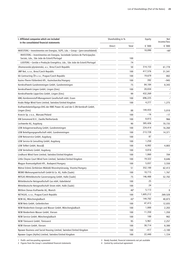| I. Affiliated companies which are included<br>Shareholding in %<br>in the consolidated financial statements              |        | Equity          | Net<br>income/loss |                |
|--------------------------------------------------------------------------------------------------------------------------|--------|-----------------|--------------------|----------------|
|                                                                                                                          | Direct | Total           | € $'000$           | € '000         |
| INVESTERG - Investimentos em Energias, SGPS, Lda. - Group - (pre-consolidated)                                           |        |                 | 10,090             | $-602$         |
| INVESTERG - Investimentos em Energias, Sociedade Gestora de Participações<br>Sociais, Lda., São João do Estoril/Portugal |        | 100             |                    |                |
| LUSITERG - Gestão e Produção Energética, Lda., São João do Estoril/Portugal                                              |        | 74              |                    |                |
| Jihomoravská plynárenská, a.s., Brno/Czech Republic                                                                      |        | 50              | 314,153            | 61,778         |
| JMP Net, s.r.o., Brno/Czech Republic                                                                                     |        | 100             | 417,576            | 31,541         |
| KA Contracting ČR s.r.o., Prague/Czech Republic                                                                          |        | 100             | 19,679             | 802            |
| Kazinc-Therm Fûtõerõmû Kft., Kazincbarcika/Hungary                                                                       |        | 100             | 392                | $-945$         |
| Kernkraftwerk Gundremmingen GmbH, Gundremmingen                                                                          |        | 75              | 84,184             | 8,343          |
| Kernkraftwerk Lingen GmbH, Lingen (Ems)                                                                                  |        | 100             | 20,034             | $\mathbf{I}$   |
| Kernkraftwerke Lippe-Ems GmbH, Lingen (Ems)                                                                              |        | 99              | 432,269            | $\mathbf{I}$   |
| KMG Kernbrennstoff-Management Gesellschaft mbH, Essen                                                                    |        | 100             | 696,225            | $\mathbf{I}$   |
| Knabs Ridge Wind Farm Limited, Swindon/United Kingdom                                                                    |        | 100             | 4,277              | 1,275          |
| Kraftwerksbeteiligungs-OHG der RWE Power AG und der E.ON Kernkraft GmbH,<br>Lingen (Ems)                                 |        | 88              | 144,433            | 5,010          |
| Krzecin Sp. z o.o., Warsaw/Poland                                                                                        |        | 100             | $-16$              | $-17$          |
| KW Eemsmond B.V., Zwolle/Netherlands                                                                                     |        | 100             | 8,815              | 966            |
| Lechwerke AG, Augsburg                                                                                                   |        | 90              | 385,426            | 70,735         |
| LEW Anlagenverwaltung GmbH, Gundremmingen                                                                                |        | 100             | 224,414            | 16,260         |
| LEW Beteiligungsgesellschaft mbH, Gundremmingen                                                                          |        | 100             | 213,728            | 14,371         |
| LEW Netzservice GmbH, Augsburg                                                                                           |        | 100             | 87                 | $\mathbf{I}$   |
| LEW Service & Consulting GmbH, Augsburg                                                                                  |        | 100             | 1,250              | $\overline{a}$ |
| LEW TelNet GmbH, Neusäß                                                                                                  |        | 100             | 6,002              | 4,803          |
| LEW Verteilnetz GmbH, Augsburg                                                                                           |        | 100             | 4,816              | $\mathbf{I}$   |
| Lindhurst Wind Farm Limited, Swindon/United Kingdom                                                                      |        | 100             | 1,060              | 704            |
| Little Cheyne Court Wind Farm Limited, Swindon/United Kingdom                                                            |        | 100             | 19,322             | 8,646          |
| Magyar Áramszolgáltató Kft., Budapest/Hungary                                                                            |        | 100             | 5,037              | 3,550          |
| Mátrai Erömü Zártkörüen Müködö Részvénytársaság, Visonta/Hungary                                                         |        | 51              | 352,100            | 62,413         |
| MEWO Wohnungswirtschaft GmbH & Co. KG, Halle (Saale)                                                                     |        | 100             | 10,715             | 1,767          |
| MITGAS Mitteldeutsche Gasversorgung GmbH, Halle (Saale)                                                                  |        | 75              | 146,488            | 52,702         |
| Mitteldeutsche Netzgesellschaft Gas mbH, Kabelsketal                                                                     |        | 100             | 25                 | $\mathbf{I}$   |
| Mitteldeutsche Netzgesellschaft Strom mbH, Halle (Saale)                                                                 |        | 100             | 24                 | $\mathbf{I}$   |
| Mittlere Donau Kraftwerke AG, Munich                                                                                     |        | 40 <sup>4</sup> | 5,113              | 0              |
| NET4GAS, s.r.o., Prague/Czech Republic                                                                                   |        | 100             | 1,605,212          | 269,528        |
| NEW AG, Mönchengladbach                                                                                                  |        | 43 <sup>4</sup> | 144,702            | 40,873         |
| NEW Netz GmbH, Geilenkirchen                                                                                             |        | 100             | 47,415             | 12,035         |
| NEW Niederrhein Energie und Wasser GmbH, Mönchengladbach                                                                 |        | 100             | 1,000              | 2,203          |
| NEW Niederrhein Wasser GmbH, Viersen                                                                                     |        | 100             | 11,350             | 1,350          |
| NEW Service GmbH, Mönchengladbach                                                                                        |        | 100             | 100                | 902            |
| NEW Tönisvorst GmbH, Tönisvorst                                                                                          |        | 95              | 5,961              | 2,257          |
| NEW Viersen GmbH, Viersen                                                                                                |        | 100             | 38,714             | 8,380          |
| Npower Business and Social Housing Limited, Swindon/United Kingdom                                                       |        | 100             | $-417$             | $-3,100$       |
| Npower Cogen (Hythe) Limited, Swindon/United Kingdom                                                                     |        | 100             | 22,440             | 1,724          |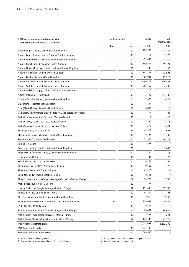| in the consolidated financial statements<br>€ '000<br>Direct<br>Total               | € '000       |
|-------------------------------------------------------------------------------------|--------------|
|                                                                                     |              |
| 225,180<br>Npower Cogen Limited, Swindon/United Kingdom<br>100                      | 17,884       |
| $-717$<br>Npower Cogen Trading Limited, Swindon/United Kingdom<br>100               | 7,772        |
| Npower Commercial Gas Limited, Swindon/United Kingdom<br>100<br>$-13,433$           | 8,837        |
| 180,507<br>Npower Direct Limited, Swindon/United Kingdom<br>100                     | 49,323       |
| Npower Financial Services Limited, Swindon/United Kingdom<br>100<br>$-349$          | 30           |
| $-308,838$<br>Npower Gas Limited, Swindon/United Kingdom<br>100                     | $-12,593$    |
| $-282,931$<br>Npower Limited, Swindon/United Kingdom<br>100                         | 27,712       |
| -490,119<br>Npower Northern Limited, Swindon/United Kingdom<br>100                  | $-119,461$   |
| 100<br>$-656,453$<br>Npower Yorkshire Limited, Swindon/United Kingdom               | $-34,486$    |
| 0<br>100<br>Npower Yorkshire Supply Limited, Swindon/United Kingdom                 | 0            |
| 3,199<br>NRW Pellets GmbH, Erndtebrück<br>90                                        | $-17,780$    |
| 2,873<br>100<br>Octopus Electrical Limited, Swindon/United Kingdom                  | $-335$       |
| 8,364<br>OIE Aktiengesellschaft, Idar-Oberstein<br>100                              | $\lrcorner$  |
| $-5,882$<br>Oval (2205) Limited, Swindon/United Kingdom<br>100                      | 0            |
| 1,216<br>100<br>Ózdi Erőmû Távhőtermelő és Szolgáltató Kft., Kazincbarcika/Hungary  | 24           |
| 4<br>Park Wiatrowy Nowy Staw Sp. z o.o., Warsaw/Poland<br>100                       | $-5$         |
| 7,895<br>Park Wiatrowy Suwalki Sp. z o.o., Warsaw/Poland<br>100                     | $-1,132$     |
| 1,379<br>Park Wiatrowy Tychowo Sp. z o.o., Warsaw/Poland<br>100                     | $-1,424$     |
| 49,512<br>Piecki Sp. z o.o., Warsaw/Poland<br>51                                    | 2,608        |
| 19,321<br>Plus Shipping Services Limited, London/United Kingdom<br>100              | 4,706        |
| Powerhouse B.V., Almere/Netherlands<br>100<br>31,550                                | 16,373       |
| 12,463<br>RE GmbH, Cologne<br>100                                                   | $\lrcorner$  |
| 0<br>Regenesys Holdings Limited, Swindon/United Kingdom<br>100                      | 1,648        |
| 734<br>Regenesys Technologies Limited, Swindon/United Kingdom<br>100                | 6            |
| regionetz GmbH, Düren<br>100<br>37                                                  | $-20$        |
| 4,164<br>Restabwicklung SNR 300 GmbH, Essen<br>100                                  | $-164$       |
| 9,605<br>Rheinbraun Benelux N.V., Wondelgem/Belgium<br>100                          | 28           |
| Rheinbraun Brennstoff GmbH, Cologne<br>100<br>63,316                                | $\mathbf{I}$ |
| 9,236<br>Rheinische Baustoffwerke GmbH, Bergheim<br>100                             | $\Box$       |
| Rheinkraftwerk Albbruck-Dogern Aktiengesellschaft, Waldshut-Tiengen<br>77<br>30,728 | 1,757        |
| 25<br>rhenag Beteiligungs GmbH, Cologne<br>100                                      | $\mathbf{I}$ |
| 151,699<br>rhenag Rheinische Energie Aktiengesellschaft, Cologne<br>67              | 37,500       |
| 48,300<br>Rhenas Insurance Limited, Sliema/Malta<br>100                             | 93           |
| 5,918<br>Rhyl Flats Wind Farm Limited, Swindon/United Kingdom<br>100                | 7,335        |
| RL Beteiligungsverwaltung beschr. haft. OHG, Gundremmingen<br>51<br>100<br>354,041  | 25,454       |
| 19,304<br>RSB LOGISTIC GMBH, Cologne<br>100                                         | $\mathbf{I}$ |
| 76,681<br>RV Rheinbraun Handel und Dienstleistungen GmbH, Cologne<br>100            | 39,987       |
| 595<br>RWE & Turcas Enerji Toptan Satis A.S., Istanbul/Turkey<br>100                | -223         |
| RWE & Turcas Güney Elektrik Üretim A.S., Ankara/Turkey<br>174,446<br>69             | $-5,575$     |
| 10,058,053<br>RWE Aktiengesellschaft, Essen                                         | 1,353,390    |
| 233,106<br>RWE Aqua GmbH, Berlin<br>100                                             | $\mathbf{I}$ |
| 500,950<br>RWE Aqua Holdings GmbH, Essen<br>100<br>100                              | $\mathbf{r}$ |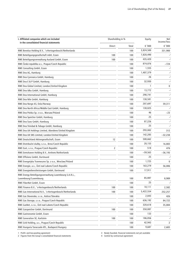| € '000<br>€ '000<br>Direct<br>Total<br>3,824,500<br>RWE Benelux Holding B.V., 's-Hertogenbosch/Netherlands<br>100<br>331,900<br>7,820,490<br>$\mathbf{I}$<br>RWE Beteiligungsgesellschaft mbH, Essen<br>100<br>100<br>RWE Beteiligungsverwaltung Ausland GmbH, Essen<br>435,420<br>$\mathbf{I}$<br>100<br>100<br>RWE Česká republika a.s., Prague/Czech Republic<br>874,076<br>100<br>$-724$<br>RWE Consulting GmbH, Essen<br>$-1$<br>100<br>1,555<br>1,407,379<br>$\mathbf{I}$<br>RWE Dea AG, Hamburg<br>100<br>26<br>$\mathbf{I}$<br>RWE Dea Cyrenaica GmbH, Hamburg<br>100<br>$\mathbf{I}$<br>32,930<br>RWE Dea E & P GmbH, Hamburg<br>100<br>RWE Dea Global Limited, London/United Kingdom<br>100<br>0<br>13,772<br>$\mathbf{I}$<br>RWE Dea Idku GmbH, Hamburg<br>100<br>290,741<br>$\mathbf{I}$<br>RWE Dea International GmbH, Hamburg<br>100<br>130,581<br>$\mathbf{I}$<br>RWE Dea Nile GmbH, Hamburg<br>100<br>207,697<br>RWE Dea Norge AS, Oslo/Norway<br>100<br>59,311<br>130,025<br>$\mathbf{I}$<br>RWE Dea North Africa/Middle East GmbH, Hamburg<br>100<br>RWE Dea Polska Sp. z o.o., Warsaw/Poland<br>46<br>100<br>$-23$<br>25<br>$\mathbf{I}$<br>RWE Dea Speicher GmbH, Hamburg<br>100<br>87,226<br>$\mathbf{I}$<br>RWE Dea Suez GmbH, Hamburg<br>100<br>25<br>$\mathbf{I}$<br>RWE Dea Trinidad & Tobago GmbH, Hamburg<br>100<br>293,002<br>RWE Dea UK Holdings Limited, Aberdeen/United Kingdom<br>100<br>312<br>142,285<br>RWE Dea UK SNS Limited, London/United Kingdom<br>100<br>$-32,238$<br>RWE Deutschland Aktiengesellschaft, Essen<br>508,662<br>$\mathbf{I}$<br>100<br>12<br>20,155<br>RWE Distribuční služby, s.r.o., Brno/Czech Republic<br>100<br>16,883<br>518<br>RWE East, s.r.o., Prague/Czech Republic<br>2<br>100<br>476<br>RWE Eemshaven Holding B.V., Arnhem/Netherlands<br>$-59,563$<br>100<br>$-36,193$<br>RWE Effizienz GmbH, Dortmund<br>25<br>100<br>1,725<br>RWE Energetyka Trzemeszno Sp. z o.o., Wroclaw/Poland<br>100<br>$\mathbf 0$<br>RWE Energie, a.s., Ústí nad Labem/Czech Republic<br>163,279<br>100<br>56,006<br>RWE Energiedienstleistungen GmbH, Dortmund<br>17,911<br>100<br>RWE Energy Beteiligungsverwaltung Luxembourg S.A.R.L.,<br>85.887<br>100<br>8,989<br>Luxembourg/Luxembourg<br>$\lrcorner^1$<br>25<br>100<br>RWE FiberNet GmbH, Essen<br>RWE Finance B.V., 's-Hertogenbosch/Netherlands<br>10,111<br>100<br>100<br>2,582<br>5,422,554<br>RWE Gas International N.V., 's-Hertogenbosch/Netherlands<br>100<br>100<br>252,257 | I. Affiliated companies which are included<br>in the consolidated financial statements | Shareholding in % |  | Equity | Net<br>income/loss |
|--------------------------------------------------------------------------------------------------------------------------------------------------------------------------------------------------------------------------------------------------------------------------------------------------------------------------------------------------------------------------------------------------------------------------------------------------------------------------------------------------------------------------------------------------------------------------------------------------------------------------------------------------------------------------------------------------------------------------------------------------------------------------------------------------------------------------------------------------------------------------------------------------------------------------------------------------------------------------------------------------------------------------------------------------------------------------------------------------------------------------------------------------------------------------------------------------------------------------------------------------------------------------------------------------------------------------------------------------------------------------------------------------------------------------------------------------------------------------------------------------------------------------------------------------------------------------------------------------------------------------------------------------------------------------------------------------------------------------------------------------------------------------------------------------------------------------------------------------------------------------------------------------------------------------------------------------------------------------------------------------------------------------------------------------------------------------------------------------------------------------------------------------------------------------------------------------------------------------------------------------------------------------------------------------------------------------------------------------------------------------------------------------------------------------------------------------------------------------------------------|----------------------------------------------------------------------------------------|-------------------|--|--------|--------------------|
|                                                                                                                                                                                                                                                                                                                                                                                                                                                                                                                                                                                                                                                                                                                                                                                                                                                                                                                                                                                                                                                                                                                                                                                                                                                                                                                                                                                                                                                                                                                                                                                                                                                                                                                                                                                                                                                                                                                                                                                                                                                                                                                                                                                                                                                                                                                                                                                                                                                                                            |                                                                                        |                   |  |        |                    |
|                                                                                                                                                                                                                                                                                                                                                                                                                                                                                                                                                                                                                                                                                                                                                                                                                                                                                                                                                                                                                                                                                                                                                                                                                                                                                                                                                                                                                                                                                                                                                                                                                                                                                                                                                                                                                                                                                                                                                                                                                                                                                                                                                                                                                                                                                                                                                                                                                                                                                            |                                                                                        |                   |  |        |                    |
|                                                                                                                                                                                                                                                                                                                                                                                                                                                                                                                                                                                                                                                                                                                                                                                                                                                                                                                                                                                                                                                                                                                                                                                                                                                                                                                                                                                                                                                                                                                                                                                                                                                                                                                                                                                                                                                                                                                                                                                                                                                                                                                                                                                                                                                                                                                                                                                                                                                                                            |                                                                                        |                   |  |        |                    |
|                                                                                                                                                                                                                                                                                                                                                                                                                                                                                                                                                                                                                                                                                                                                                                                                                                                                                                                                                                                                                                                                                                                                                                                                                                                                                                                                                                                                                                                                                                                                                                                                                                                                                                                                                                                                                                                                                                                                                                                                                                                                                                                                                                                                                                                                                                                                                                                                                                                                                            |                                                                                        |                   |  |        |                    |
|                                                                                                                                                                                                                                                                                                                                                                                                                                                                                                                                                                                                                                                                                                                                                                                                                                                                                                                                                                                                                                                                                                                                                                                                                                                                                                                                                                                                                                                                                                                                                                                                                                                                                                                                                                                                                                                                                                                                                                                                                                                                                                                                                                                                                                                                                                                                                                                                                                                                                            |                                                                                        |                   |  |        |                    |
|                                                                                                                                                                                                                                                                                                                                                                                                                                                                                                                                                                                                                                                                                                                                                                                                                                                                                                                                                                                                                                                                                                                                                                                                                                                                                                                                                                                                                                                                                                                                                                                                                                                                                                                                                                                                                                                                                                                                                                                                                                                                                                                                                                                                                                                                                                                                                                                                                                                                                            |                                                                                        |                   |  |        |                    |
|                                                                                                                                                                                                                                                                                                                                                                                                                                                                                                                                                                                                                                                                                                                                                                                                                                                                                                                                                                                                                                                                                                                                                                                                                                                                                                                                                                                                                                                                                                                                                                                                                                                                                                                                                                                                                                                                                                                                                                                                                                                                                                                                                                                                                                                                                                                                                                                                                                                                                            |                                                                                        |                   |  |        |                    |
|                                                                                                                                                                                                                                                                                                                                                                                                                                                                                                                                                                                                                                                                                                                                                                                                                                                                                                                                                                                                                                                                                                                                                                                                                                                                                                                                                                                                                                                                                                                                                                                                                                                                                                                                                                                                                                                                                                                                                                                                                                                                                                                                                                                                                                                                                                                                                                                                                                                                                            |                                                                                        |                   |  |        |                    |
|                                                                                                                                                                                                                                                                                                                                                                                                                                                                                                                                                                                                                                                                                                                                                                                                                                                                                                                                                                                                                                                                                                                                                                                                                                                                                                                                                                                                                                                                                                                                                                                                                                                                                                                                                                                                                                                                                                                                                                                                                                                                                                                                                                                                                                                                                                                                                                                                                                                                                            |                                                                                        |                   |  |        |                    |
|                                                                                                                                                                                                                                                                                                                                                                                                                                                                                                                                                                                                                                                                                                                                                                                                                                                                                                                                                                                                                                                                                                                                                                                                                                                                                                                                                                                                                                                                                                                                                                                                                                                                                                                                                                                                                                                                                                                                                                                                                                                                                                                                                                                                                                                                                                                                                                                                                                                                                            |                                                                                        |                   |  |        |                    |
|                                                                                                                                                                                                                                                                                                                                                                                                                                                                                                                                                                                                                                                                                                                                                                                                                                                                                                                                                                                                                                                                                                                                                                                                                                                                                                                                                                                                                                                                                                                                                                                                                                                                                                                                                                                                                                                                                                                                                                                                                                                                                                                                                                                                                                                                                                                                                                                                                                                                                            |                                                                                        |                   |  |        |                    |
|                                                                                                                                                                                                                                                                                                                                                                                                                                                                                                                                                                                                                                                                                                                                                                                                                                                                                                                                                                                                                                                                                                                                                                                                                                                                                                                                                                                                                                                                                                                                                                                                                                                                                                                                                                                                                                                                                                                                                                                                                                                                                                                                                                                                                                                                                                                                                                                                                                                                                            |                                                                                        |                   |  |        |                    |
|                                                                                                                                                                                                                                                                                                                                                                                                                                                                                                                                                                                                                                                                                                                                                                                                                                                                                                                                                                                                                                                                                                                                                                                                                                                                                                                                                                                                                                                                                                                                                                                                                                                                                                                                                                                                                                                                                                                                                                                                                                                                                                                                                                                                                                                                                                                                                                                                                                                                                            |                                                                                        |                   |  |        |                    |
|                                                                                                                                                                                                                                                                                                                                                                                                                                                                                                                                                                                                                                                                                                                                                                                                                                                                                                                                                                                                                                                                                                                                                                                                                                                                                                                                                                                                                                                                                                                                                                                                                                                                                                                                                                                                                                                                                                                                                                                                                                                                                                                                                                                                                                                                                                                                                                                                                                                                                            |                                                                                        |                   |  |        |                    |
|                                                                                                                                                                                                                                                                                                                                                                                                                                                                                                                                                                                                                                                                                                                                                                                                                                                                                                                                                                                                                                                                                                                                                                                                                                                                                                                                                                                                                                                                                                                                                                                                                                                                                                                                                                                                                                                                                                                                                                                                                                                                                                                                                                                                                                                                                                                                                                                                                                                                                            |                                                                                        |                   |  |        |                    |
|                                                                                                                                                                                                                                                                                                                                                                                                                                                                                                                                                                                                                                                                                                                                                                                                                                                                                                                                                                                                                                                                                                                                                                                                                                                                                                                                                                                                                                                                                                                                                                                                                                                                                                                                                                                                                                                                                                                                                                                                                                                                                                                                                                                                                                                                                                                                                                                                                                                                                            |                                                                                        |                   |  |        |                    |
|                                                                                                                                                                                                                                                                                                                                                                                                                                                                                                                                                                                                                                                                                                                                                                                                                                                                                                                                                                                                                                                                                                                                                                                                                                                                                                                                                                                                                                                                                                                                                                                                                                                                                                                                                                                                                                                                                                                                                                                                                                                                                                                                                                                                                                                                                                                                                                                                                                                                                            |                                                                                        |                   |  |        |                    |
|                                                                                                                                                                                                                                                                                                                                                                                                                                                                                                                                                                                                                                                                                                                                                                                                                                                                                                                                                                                                                                                                                                                                                                                                                                                                                                                                                                                                                                                                                                                                                                                                                                                                                                                                                                                                                                                                                                                                                                                                                                                                                                                                                                                                                                                                                                                                                                                                                                                                                            |                                                                                        |                   |  |        |                    |
|                                                                                                                                                                                                                                                                                                                                                                                                                                                                                                                                                                                                                                                                                                                                                                                                                                                                                                                                                                                                                                                                                                                                                                                                                                                                                                                                                                                                                                                                                                                                                                                                                                                                                                                                                                                                                                                                                                                                                                                                                                                                                                                                                                                                                                                                                                                                                                                                                                                                                            |                                                                                        |                   |  |        |                    |
|                                                                                                                                                                                                                                                                                                                                                                                                                                                                                                                                                                                                                                                                                                                                                                                                                                                                                                                                                                                                                                                                                                                                                                                                                                                                                                                                                                                                                                                                                                                                                                                                                                                                                                                                                                                                                                                                                                                                                                                                                                                                                                                                                                                                                                                                                                                                                                                                                                                                                            |                                                                                        |                   |  |        |                    |
|                                                                                                                                                                                                                                                                                                                                                                                                                                                                                                                                                                                                                                                                                                                                                                                                                                                                                                                                                                                                                                                                                                                                                                                                                                                                                                                                                                                                                                                                                                                                                                                                                                                                                                                                                                                                                                                                                                                                                                                                                                                                                                                                                                                                                                                                                                                                                                                                                                                                                            |                                                                                        |                   |  |        |                    |
|                                                                                                                                                                                                                                                                                                                                                                                                                                                                                                                                                                                                                                                                                                                                                                                                                                                                                                                                                                                                                                                                                                                                                                                                                                                                                                                                                                                                                                                                                                                                                                                                                                                                                                                                                                                                                                                                                                                                                                                                                                                                                                                                                                                                                                                                                                                                                                                                                                                                                            |                                                                                        |                   |  |        |                    |
|                                                                                                                                                                                                                                                                                                                                                                                                                                                                                                                                                                                                                                                                                                                                                                                                                                                                                                                                                                                                                                                                                                                                                                                                                                                                                                                                                                                                                                                                                                                                                                                                                                                                                                                                                                                                                                                                                                                                                                                                                                                                                                                                                                                                                                                                                                                                                                                                                                                                                            |                                                                                        |                   |  |        |                    |
|                                                                                                                                                                                                                                                                                                                                                                                                                                                                                                                                                                                                                                                                                                                                                                                                                                                                                                                                                                                                                                                                                                                                                                                                                                                                                                                                                                                                                                                                                                                                                                                                                                                                                                                                                                                                                                                                                                                                                                                                                                                                                                                                                                                                                                                                                                                                                                                                                                                                                            |                                                                                        |                   |  |        |                    |
|                                                                                                                                                                                                                                                                                                                                                                                                                                                                                                                                                                                                                                                                                                                                                                                                                                                                                                                                                                                                                                                                                                                                                                                                                                                                                                                                                                                                                                                                                                                                                                                                                                                                                                                                                                                                                                                                                                                                                                                                                                                                                                                                                                                                                                                                                                                                                                                                                                                                                            |                                                                                        |                   |  |        |                    |
|                                                                                                                                                                                                                                                                                                                                                                                                                                                                                                                                                                                                                                                                                                                                                                                                                                                                                                                                                                                                                                                                                                                                                                                                                                                                                                                                                                                                                                                                                                                                                                                                                                                                                                                                                                                                                                                                                                                                                                                                                                                                                                                                                                                                                                                                                                                                                                                                                                                                                            |                                                                                        |                   |  |        |                    |
|                                                                                                                                                                                                                                                                                                                                                                                                                                                                                                                                                                                                                                                                                                                                                                                                                                                                                                                                                                                                                                                                                                                                                                                                                                                                                                                                                                                                                                                                                                                                                                                                                                                                                                                                                                                                                                                                                                                                                                                                                                                                                                                                                                                                                                                                                                                                                                                                                                                                                            |                                                                                        |                   |  |        |                    |
|                                                                                                                                                                                                                                                                                                                                                                                                                                                                                                                                                                                                                                                                                                                                                                                                                                                                                                                                                                                                                                                                                                                                                                                                                                                                                                                                                                                                                                                                                                                                                                                                                                                                                                                                                                                                                                                                                                                                                                                                                                                                                                                                                                                                                                                                                                                                                                                                                                                                                            |                                                                                        |                   |  |        |                    |
|                                                                                                                                                                                                                                                                                                                                                                                                                                                                                                                                                                                                                                                                                                                                                                                                                                                                                                                                                                                                                                                                                                                                                                                                                                                                                                                                                                                                                                                                                                                                                                                                                                                                                                                                                                                                                                                                                                                                                                                                                                                                                                                                                                                                                                                                                                                                                                                                                                                                                            |                                                                                        |                   |  |        |                    |
|                                                                                                                                                                                                                                                                                                                                                                                                                                                                                                                                                                                                                                                                                                                                                                                                                                                                                                                                                                                                                                                                                                                                                                                                                                                                                                                                                                                                                                                                                                                                                                                                                                                                                                                                                                                                                                                                                                                                                                                                                                                                                                                                                                                                                                                                                                                                                                                                                                                                                            |                                                                                        |                   |  |        |                    |
|                                                                                                                                                                                                                                                                                                                                                                                                                                                                                                                                                                                                                                                                                                                                                                                                                                                                                                                                                                                                                                                                                                                                                                                                                                                                                                                                                                                                                                                                                                                                                                                                                                                                                                                                                                                                                                                                                                                                                                                                                                                                                                                                                                                                                                                                                                                                                                                                                                                                                            |                                                                                        |                   |  |        |                    |
|                                                                                                                                                                                                                                                                                                                                                                                                                                                                                                                                                                                                                                                                                                                                                                                                                                                                                                                                                                                                                                                                                                                                                                                                                                                                                                                                                                                                                                                                                                                                                                                                                                                                                                                                                                                                                                                                                                                                                                                                                                                                                                                                                                                                                                                                                                                                                                                                                                                                                            |                                                                                        |                   |  |        |                    |
|                                                                                                                                                                                                                                                                                                                                                                                                                                                                                                                                                                                                                                                                                                                                                                                                                                                                                                                                                                                                                                                                                                                                                                                                                                                                                                                                                                                                                                                                                                                                                                                                                                                                                                                                                                                                                                                                                                                                                                                                                                                                                                                                                                                                                                                                                                                                                                                                                                                                                            |                                                                                        |                   |  |        |                    |
| RWE Gas Slovensko, s.r.o., Košice/Slovakia<br>2,843<br>100<br>426                                                                                                                                                                                                                                                                                                                                                                                                                                                                                                                                                                                                                                                                                                                                                                                                                                                                                                                                                                                                                                                                                                                                                                                                                                                                                                                                                                                                                                                                                                                                                                                                                                                                                                                                                                                                                                                                                                                                                                                                                                                                                                                                                                                                                                                                                                                                                                                                                          |                                                                                        |                   |  |        |                    |
| 636,192<br>RWE Gas Storage, s.r.o., Prague/Czech Republic<br>100<br>84,722                                                                                                                                                                                                                                                                                                                                                                                                                                                                                                                                                                                                                                                                                                                                                                                                                                                                                                                                                                                                                                                                                                                                                                                                                                                                                                                                                                                                                                                                                                                                                                                                                                                                                                                                                                                                                                                                                                                                                                                                                                                                                                                                                                                                                                                                                                                                                                                                                 |                                                                                        |                   |  |        |                    |
| RWE GasNet, s.r.o., Ústí nad Labem/Czech Republic<br>320,618<br>100<br>35,884                                                                                                                                                                                                                                                                                                                                                                                                                                                                                                                                                                                                                                                                                                                                                                                                                                                                                                                                                                                                                                                                                                                                                                                                                                                                                                                                                                                                                                                                                                                                                                                                                                                                                                                                                                                                                                                                                                                                                                                                                                                                                                                                                                                                                                                                                                                                                                                                              |                                                                                        |                   |  |        |                    |
| 350,087<br>RWE Gasspeicher GmbH, Dortmund<br>100<br>$\mathbf{I}$<br>100                                                                                                                                                                                                                                                                                                                                                                                                                                                                                                                                                                                                                                                                                                                                                                                                                                                                                                                                                                                                                                                                                                                                                                                                                                                                                                                                                                                                                                                                                                                                                                                                                                                                                                                                                                                                                                                                                                                                                                                                                                                                                                                                                                                                                                                                                                                                                                                                                    |                                                                                        |                   |  |        |                    |
| $\mathbf{I}$<br>133<br>RWE Gastronomie GmbH, Essen<br>100                                                                                                                                                                                                                                                                                                                                                                                                                                                                                                                                                                                                                                                                                                                                                                                                                                                                                                                                                                                                                                                                                                                                                                                                                                                                                                                                                                                                                                                                                                                                                                                                                                                                                                                                                                                                                                                                                                                                                                                                                                                                                                                                                                                                                                                                                                                                                                                                                                  |                                                                                        |                   |  |        |                    |
| 186,856<br>$-1$<br>RWE Generation SE, Karlstein<br>100<br>100                                                                                                                                                                                                                                                                                                                                                                                                                                                                                                                                                                                                                                                                                                                                                                                                                                                                                                                                                                                                                                                                                                                                                                                                                                                                                                                                                                                                                                                                                                                                                                                                                                                                                                                                                                                                                                                                                                                                                                                                                                                                                                                                                                                                                                                                                                                                                                                                                              |                                                                                        |                   |  |        |                    |
| 42,943<br>RWE Grid Holding, a.s., Prague/Czech Republic<br>100<br>2                                                                                                                                                                                                                                                                                                                                                                                                                                                                                                                                                                                                                                                                                                                                                                                                                                                                                                                                                                                                                                                                                                                                                                                                                                                                                                                                                                                                                                                                                                                                                                                                                                                                                                                                                                                                                                                                                                                                                                                                                                                                                                                                                                                                                                                                                                                                                                                                                        |                                                                                        |                   |  |        |                    |
| 9,687<br>RWE Hungaria Tanacsado Kft., Budapest/Hungary<br>100<br>2,683                                                                                                                                                                                                                                                                                                                                                                                                                                                                                                                                                                                                                                                                                                                                                                                                                                                                                                                                                                                                                                                                                                                                                                                                                                                                                                                                                                                                                                                                                                                                                                                                                                                                                                                                                                                                                                                                                                                                                                                                                                                                                                                                                                                                                                                                                                                                                                                                                     |                                                                                        |                   |  |        |                    |

<sup>1</sup> Profit- and loss-pooling agreement 3 Newly founded, financial statements not yet available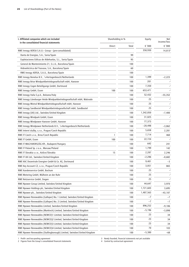| I. Affiliated companies which are included<br>in the consolidated financial statements | Shareholding in % |       | Equity    | Net<br>income/loss  |
|----------------------------------------------------------------------------------------|-------------------|-------|-----------|---------------------|
|                                                                                        | Direct            | Total | € '000    | € '000              |
| RWE Innogy AERSA S.A.U. - Group - (pre-consolidated)                                   |                   |       | 358,930   | 14,813 <sup>2</sup> |
| Danta de Energías, S.A., Soria/Spain                                                   |                   | 99    |           |                     |
| Explotaciones Eólicas de Aldehuelas, S.L., Soria/Spain                                 |                   | 95    |           |                     |
| General de Mantenimiento 21, S.L.U., Barcelona/Spain                                   |                   | 100   |           |                     |
| Hidroeléctrica del Trasvase, S.A., Barcelona/Spain                                     |                   | 60    |           |                     |
| RWE Innogy AERSA, S.A.U., Barcelona/Spain                                              |                   | 100   |           |                     |
| RWE Innogy Benelux B.V., 's-Hertogenbosch/Netherlands                                  |                   | 100   | 1,399     | $-2,223$            |
| RWE Innogy Brise Windparkbetriebsgesellschaft mbH, Hanover                             |                   | 100   | 201       |                     |
| RWE Innogy Cogen Beteiligungs GmbH, Dortmund                                           |                   | 100   | 7,350     | $\mathbf{I}$        |
| RWE Innogy GmbH, Essen                                                                 | 100               | 100   | 653,471   | $\mathbf{I}$        |
| RWE Innogy Italia S.p.A., Bolzano/Italy                                                |                   | 100   | 52,432    | $-55,352$           |
| RWE Innogy Lüneburger Heide Windparkbetriebsgesellschaft mbH, Walsrode                 |                   | 100   | 25        | $\lrcorner$         |
| RWE Innogy Mistral Windparkbetriebsgesellschaft mbH, Hanover                           |                   | 100   | 25        | $\mathbf{I}$        |
| RWE Innogy Sandbostel Windparkbetriebsgesellschaft mbH, Sandbostel                     |                   | 100   | 25        | 1_                  |
| RWE Innogy (UK) Ltd., Swindon/United Kingdom                                           |                   | 100   | 1,342,850 | $-7,400$            |
| RWE Innogy Windpark GmbH, Essen                                                        |                   | 100   | 31,825    |                     |
| RWE Innogy Windpower Hanover GmbH, Hanover                                             |                   | 100   | 77,373    |                     |
| RWE Innogy Windpower Netherlands B.V., 's-Hertogenbosch/Netherlands                    |                   | 100   | $-20,498$ | $-3,862$            |
| RWE Interní služby, s.r.o., Prague/Czech Republic                                      |                   | 100   | 5,658     | 2,281               |
| RWE IT Czech s.r.o., Brno/Czech Republic                                               | 1                 | 100   | 7,714     | 460                 |
| RWE IT GmbH, Essen                                                                     | 100               | 100   | 22,724    | $\mathbf{I}$        |
| RWE IT MAGYARORSZÁG Kft., Budapest/Hungary                                             |                   | 100   | 642       | 241                 |
| RWE IT Poland Sp. z o.o., Warsaw/Poland                                                |                   | 100   | 1,799     | 142                 |
| RWE IT Slovakia s.r.o., Košice/Slovakia                                                | 15                | 100   | 2,287     | 2,246               |
| RWE IT UK Ltd., Swindon/United Kingdom                                                 |                   | 100   | $-2,286$  | $-8,682$            |
| RWE KAC Dezentrale Energien GmbH & Co. KG, Dortmund                                    |                   | 100   | 9,401     | $-3$                |
| RWE Key Account CZ, s.r.o., Prague/Czech Republic                                      |                   | 100   | 3,051     | 865                 |
| RWE Kundenservice GmbH, Bochum                                                         |                   | 100   | 25        | $\mathbf{I}$        |
| RWE Metering GmbH, Mülheim an der Ruhr                                                 |                   | 100   | 25        | $\overline{a}$      |
| RWE Netzservice GmbH, Siegen                                                           |                   | 100   | 25        | $\mathbf{I}$        |
| RWE Npower Group Limited, Swindon/United Kingdom                                       |                   | 100   | 44,647    | 3,970               |
| RWE Npower Holdings plc, Swindon/United Kingdom                                        |                   | 100   | 1,721,603 | 3,695               |
| RWE Npower plc., Swindon/United Kingdom                                                |                   | 100   | 1,487,563 | $-43,107$           |
| RWE Npower Renewables (Galloper) No. 1 Limited, Swindon/United Kingdom                 |                   | 100   | $-7$      | -7                  |
| RWE Npower Renewables (Galloper) No. 2 Limited, Swindon/United Kingdom                 |                   | 100   | -7        | -7                  |
| RWE Npower Renewables Limited, Swindon/United Kingdom                                  |                   | 100   | 896,252   | $-9,186$            |
| RWE Npower Renewables (Markinch) Limited, Swindon/United Kingdom                       |                   | 100   | -5,196    | $-3,898$            |
| RWE Npower Renewables (NEWCO)1 Limited, Swindon/United Kingdom                         |                   | 100   | 23        | 34                  |
| RWE Npower Renewables (NEWCO)2 Limited, Swindon/United Kingdom                         |                   | 100   | 23        | 34                  |
| RWE Npower Renewables (NEWCO)3 Limited, Swindon/United Kingdom                         |                   | 100   | 23        | 34                  |
| RWE Npower Renewables (NEWCO)4 Limited, Swindon/United Kingdom                         |                   | 100   | 70        | 103                 |
| RWE Npower Renewables (Stallingborough) Limited, Swindon/United Kingdom                |                   | 100   | $-5,380$  | -68                 |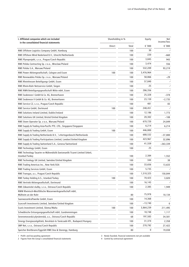| Shareholding in %<br>I. Affiliated companies which are included<br>in the consolidated financial statements |        | Equity |           | Net<br>income/loss |
|-------------------------------------------------------------------------------------------------------------|--------|--------|-----------|--------------------|
|                                                                                                             | Direct | Total  | € '000    | € '000             |
| RWE Offshore Logistics Company GmbH, Hamburg                                                                |        | 100    | 30        | $\Box$             |
| RWE Offshore Wind Nederland B.V., Utrecht/Netherlands                                                       |        | 100    | 220       | $-660$             |
| RWE Plynoprojekt, s.r.o., Prague/Czech Republic                                                             |        | 100    | 3,845     | 943                |
| RWE Polska Contracting Sp. z o.o., Wroclaw/Poland                                                           |        | 100    | 3,474     | 556                |
| RWE Polska S.A., Warsaw/Poland                                                                              |        | 100    | 532,209   | 93,219             |
| RWE Power Aktiengesellschaft, Cologne and Essen                                                             | 100    | 100    | 3,476,964 | $\mathbb{L}^1$     |
| RWE Renewables Polska Sp. z o.o., Warsaw/Poland                                                             |        | 100    | 58,866    | $-29$              |
| RWE Rheinhessen Beteiligungs GmbH, Essen                                                                    |        | 100    | 57,840    | $\mathbf{I}$       |
| RWE Rhein-Ruhr Netzservice GmbH, Siegen                                                                     |        | 100    | 25        | $\mathbf{I}$       |
| RWE RWN Beteiligungsgesellschaft Mitte mbH, Essen                                                           |        | 100    | 286,356   | $\mathbf{I}$       |
| RWE Seabreeze I GmbH & Co. KG, Bremerhaven                                                                  |        | 100    | 25,328    | $-378$             |
| RWE Seabreeze II GmbH & Co. KG, Bremerhaven                                                                 |        | 100    | 23,159    | $-2,735$           |
| RWE Service CZ, s.r.o., Prague/Czech Republic                                                               |        | 100    | 481       | 83                 |
| RWE Service GmbH, Dortmund                                                                                  | 100    | 100    | 248,451   | $\mathbf{I}$       |
| RWE Solutions Ireland Limited, Dublin/Ireland                                                               |        | 100    | 12,186    | 1,773              |
| RWE Solutions UK Limited, Bristol/United Kingdom                                                            |        | 100    | 20,302    | $-108$             |
| RWE Stoen Operator Sp. z o.o., Warsaw/Poland                                                                |        | 100    | 670,720   | 24,849             |
| RWE Supply & Trading Asia-Pacific PTE. LTD., Singapore/Singapore                                            |        | 100    | 6,214     | 6,214              |
| RWE Supply & Trading GmbH, Essen                                                                            | 100    | 100    | 446,800   | $\mathbf{I}$       |
| RWE Supply & Trading Netherlands B.V., 's-Hertogenbosch/Netherlands                                         |        | 100    | 688,532   | -37,800            |
| RWE Supply & Trading Participations Limited, London/United Kingdom                                          |        | 100    | 423,967   | 32,896             |
| RWE Supply & Trading Switzerland S.A., Geneva/Switzerland                                                   |        | 100    | 41,559    | $-263,339$         |
| RWE Technology GmbH, Essen                                                                                  |        | 100    | 25        | $\mathbf{I}$       |
| RWE Technology Tasarim ve Mühendislik Danismanlik Ticaret Limited Sirketi,<br>Istanbul/Turkey               |        | 100    | 2,384     | 1,552              |
| RWE Technology UK Limited, Swindon/United Kingdom                                                           |        | 100    | 344       | 38                 |
| RWE Trading Americas Inc., New York/USA                                                                     |        | 100    | 33,656    | 13,633             |
| RWE Trading Services GmbH, Essen                                                                            |        | 100    | 5,735     | $\mathbf{I}$       |
| RWE Transgas, a.s., Prague/Czech Republic                                                                   |        | 100    | 1,510,325 | 150,844            |
| RWE Turkey Holding A.S., Istanbul/Turkey                                                                    | 100    | 100    | 70,423    | 3,820              |
| RWE Vertrieb Aktiengesellschaft, Dortmund                                                                   |        | 100    | 16,143    | $\mathbf{I}$       |
| RWE Zákaznické služby, s.r.o., Ostrava/Czech Republic                                                       |        | 100    | 2,385     | 1,949              |
| RWW Rheinisch-Westfälische Wasserwerksgesellschaft mbH,                                                     |        |        |           |                    |
| Mülheim an der Ruhr                                                                                         |        | 80     | 75,978    | 10,134             |
| Saarwasserkraftwerke GmbH, Essen                                                                            |        | 100    | 14,368    |                    |
| Scarcroft Investments Limited, Swindon/United Kingdom                                                       |        | 100    | $-13,740$ | 0                  |
| Scaris Investment Limited, Sliema/Malta                                                                     | 100    | 100    | 3,864,239 | 211,495            |
| Schwäbische Entsorgungsgesellschaft mbH, Gundremmingen                                                      |        | 100    | 18,748    | 1,117              |
| Severomoravská plynárenská, a.s., Ostrava/Czech Republic                                                    |        | 68     | 197,583   | 34,501             |
| Sinergy Energiaszolgáltató, Beruházó és Tanácsadó Kft., Budapest/Hungary                                    |        | 100    | 31,374    | 2,358              |
| SMP Net, s.r.o., Ostrava/Czech Republic                                                                     |        | 100    | 270,792   | 27,422             |
| Speicher Breitbrunn/Eggstätt RWE Dea & Storengy, Hamburg                                                    |        | 80     | 0         | 19,038             |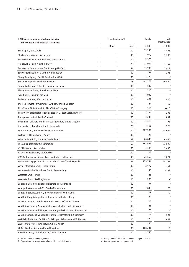| Shareholding in %<br>I. Affiliated companies which are included<br>in the consolidated financial statements |               | Equity |            | Net<br>income/loss |
|-------------------------------------------------------------------------------------------------------------|---------------|--------|------------|--------------------|
|                                                                                                             | <b>Direct</b> | Total  | € '000     | € '000             |
| SPER S.p.A., Enna/Italy                                                                                     |               | 70     | 13,246     | $-408$             |
| SRS EcoTherm GmbH, Salzbergen                                                                               |               | 90     | 11.070     | 3,797              |
| Stadtwärme Kamp-Lintfort GmbH, Kamp-Lintfort                                                                |               | 100    | 2,970      |                    |
| STADTWERKE DÜREN GMBH, Düren                                                                                |               | 75     | 27,934     | 7,169              |
| Stadtwerke Kamp-Lintfort GmbH, Kamp-Lintfort                                                                |               | 51     | 13,902     | 3,912              |
| Südwestsächsische Netz GmbH, Crimmitschau                                                                   |               | 100    | 757        | 306                |
| Süwag Beteiligungs GmbH, Frankfurt am Main                                                                  |               | 100    | 4,425      | $\lrcorner$        |
| Süwag Energie AG, Frankfurt am Main                                                                         |               | 78     | 402,375    | 99,500             |
| Süwag Vertrieb AG & Co. KG, Frankfurt am Main                                                               |               | 100    | 680        | $\mathbf{I}$       |
| Süwag Wasser GmbH, Frankfurt am Main                                                                        |               | 100    | 318        | $\lrcorner$        |
| Syna GmbH, Frankfurt am Main                                                                                |               | 100    | 4,939      | $\lrcorner$        |
| Taciewo Sp. z o.o., Warsaw/Poland                                                                           |               | 100    | $-62$      | $-30$              |
| The Hollies Wind Farm Limited, Swindon/United Kingdom                                                       |               | 100    | 444        | 155                |
| Tisza-Therm Fûtőerőmû Kft., Tiszaújváros/Hungary                                                            |               | 100    | 315        | -417               |
| Tisza-WTP Vízelőkészítő és Szolgáltató Kft., Tiszaújváros/Hungary                                           |               | 100    | 1,859      | 308                |
| Transpower Limited, Dublin/Ireland                                                                          |               | 100    | 3,233      | 884                |
| Triton Knoll Offshore Wind Farm Ltd., Swindon/United Kingdom                                                |               | 100    | $-7,576$   | -98                |
| Überlandwerk Krumbach GmbH, Krumbach                                                                        |               | 75     | 4,858      | 920                |
| VCP Net, s.r.o., Hradec Králové/Czech Republic                                                              |               | 100    | 207,289    | 18,064             |
| Verteilnetz Plauen GmbH, Plauen                                                                             |               | 100    | 22         | $\mathbf{I}$       |
| Volta Limburg B.V., Schinnen/Netherlands                                                                    |               | 89     | 24,848     | 6,950              |
| VSE Aktiengesellschaft, Saarbrücken                                                                         |               | 50     | 168,655    | 23,626             |
| VSE Net GmbH, Saarbrücken                                                                                   |               | 100    | 13,486     | 1,400              |
| VSE Verteilnetz GmbH, Saarbrücken                                                                           |               | 100    | 25         |                    |
| VWS Verbundwerke Südwestsachsen GmbH, Lichtenstein                                                          |               | 98     | 25,666     | 1,024              |
| Východočeská plynárenská, a.s., Hradec Králové/Czech Republic                                               |               | 67     | 135.744    | 25,195             |
| Wendelsteinbahn GmbH, Brannenburg                                                                           |               | 100    | 2,670      | 153                |
| Wendelsteinbahn Verteilnetz GmbH, Brannenburg                                                               |               | 100    | 38         | $-202$             |
| Westnetz GmbH, Wesel                                                                                        |               | 100    | 25         | $\mathbf{I}$       |
| Westnetz GmbH, Recklinghausen                                                                               |               | 100    | 283        | ÷,                 |
| Windpark Bentrup Betriebsgesellschaft mbH, Barntrup                                                         |               | 100    | 25         | $\mathbf{I}$       |
| Windpark Westereems B.V., Zwolle/Netherlands                                                                |               | 100    | 7,840      | 75                 |
| Windpark Zuidwester B.V., 's-Hertogenbosch/Netherlands                                                      |               | 100    | 18         | 0                  |
| WINKRA Hörup Windparkbetriebsgesellschaft mbH, Hörup                                                        |               | 100    | 26         | $\mathbf{r}$       |
| WINKRA Lengerich Windparkbetriebsgesellschaft mbH, Gersten                                                  |               | 100    | 25         | $\mathbf{r}$       |
| WINKRA Messingen Windparkbetriebsgesellschaft mbH, Messingen                                                |               | 100    | 25         | $\mathbf{I}$       |
| WINKRA Sommerland Windparkbetriebsgesellschaft mbH, Sommerland                                              |               | 100    | 26         | $\mathbf{I}$       |
| WINKRA Süderdeich Windparkbetriebsgesellschaft mbH, Süderdeich                                              |               | 100    | 372        | 591                |
| WKN Windkraft Nord GmbH & Co. Windpark Wönkhausen KG, Hanover                                               |               | 100    | 120        | 441                |
| WVP - Wärmeversorgung Plauen GmbH, Plauen                                                                   |               | 100    | 260        | $\mathbf{I}$       |
| YE Gas Limited, Swindon/United Kingdom                                                                      |               | 100    | $-108,231$ | 0                  |
| Yorkshire Energy Limited, Bristol/United Kingdom                                                            |               | 100    | 13,740     | 0                  |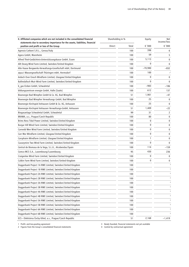| II. Affiliated companies which are not included in the consolidated financial | Shareholding in %<br>statements due to secondary importance for the assets, liabilities, financial |       | Equity    | Net<br>income/loss      |
|-------------------------------------------------------------------------------|----------------------------------------------------------------------------------------------------|-------|-----------|-------------------------|
| position and profit or loss of the Group                                      | Direct                                                                                             | Total | € '000    | € '000                  |
| Agenzia Carboni S.R.L., Genoa/Italy                                           |                                                                                                    | 100   | 398       | 6                       |
| Agora GmbH, Mannheim                                                          |                                                                                                    | 100   | 59        | 5                       |
| Alfred Thiel-Gedächtnis-Unterstützungskasse GmbH, Essen                       |                                                                                                    | 100   | 5,113     | 0                       |
| Allt Dearg Wind Farm Limited, Swindon/United Kingdom                          |                                                                                                    | 100   | 0         | 0                       |
| Alte Haase Bergwerks-Verwaltungs-Gesellschaft mbH, Dortmund                   |                                                                                                    | 100   | $-70,980$ | $-832$                  |
| aqua.t Wassergesellschaft Thüringen mbH, Hermsdorf                            |                                                                                                    | 100   | 100       | $\mathbb{L}^1$          |
| Ardoch Over Enoch Windfarm Limited, Glasgow/United Kingdom                    |                                                                                                    | 100   | 0         | 0                       |
| Ballindalloch Muir Wind Farm Limited, Swindon/United Kingdom                  |                                                                                                    | 100   | 0         | 0                       |
| b_gas Eicken GmbH, Schwalmtal                                                 |                                                                                                    | 100   | $-983$    | $-186$                  |
| bildungszentrum energie GmbH, Halle (Saale)                                   |                                                                                                    | 100   | 612       | 137                     |
| Bioenergie Bad Wimpfen GmbH & Co. KG, Bad Wimpfen                             |                                                                                                    | 51    | 1,901     | $-47$                   |
| Bioenergie Bad Wimpfen Verwaltungs GmbH, Bad Wimpfen                          |                                                                                                    | 100   | 25        | 0                       |
| Bioenergie Kirchspiel Anhausen GmbH & Co. KG, Anhausen                        |                                                                                                    | 100   | 25        | 0                       |
| Bioenergie Kirchspiel Anhausen Verwaltungs-GmbH, Anhausen                     |                                                                                                    | 51    | 1,409     | $-22$                   |
| Biogasanlage Schwalmtal GmbH, Schwalmtal                                      |                                                                                                    | 99    | 31        | 2                       |
| BRAWA, a.s., Prague/Czech Republic                                            |                                                                                                    | 100   | 80        | 0                       |
| Brims Ness Tidal Power Limited, Swindon/United Kingdom                        |                                                                                                    | 100   | 0         | 0                       |
| Burgar Hill Wind Farm Limited, Swindon/United Kingdom                         |                                                                                                    | 100   | 0         | 0                       |
| Carnedd Wen Wind Farm Limited, Swindon/United Kingdom                         |                                                                                                    | 100   | 0         | 0                       |
| Carr Mor Windfarm Limited, Glasgow/United Kingdom                             |                                                                                                    | 100   | 0         | 0                       |
| Carsphairn Windfarm Limited, Glasgow/United Kingdom                           |                                                                                                    | 100   | 1         | 0                       |
| Causeymire Two Wind Farm Limited, Swindon/United Kingdom                      |                                                                                                    | 100   | 0         | $\mathbf 0$             |
| Central de Biomasa de la Vega, S.L.U., Alcobendas/Spain                       |                                                                                                    | 100   | 114       | $-159$                  |
| Comco MCS S.A., Luxembourg/Luxembourg                                         |                                                                                                    | 95    | 430       | 236                     |
| Craigenlee Wind Farm Limited, Swindon/United Kingdom                          |                                                                                                    | 100   | 0         | 0                       |
| Culbin Farm Wind Farm Limited, Swindon/United Kingdom                         |                                                                                                    | 100   | 0         | 0                       |
| Doggerbank Project 1A RWE Limited, Swindon/United Kingdom                     |                                                                                                    | 100   |           | 3                       |
| Doggerbank Project 1B RWE Limited, Swindon/United Kingdom                     |                                                                                                    | 100   |           | 3                       |
| Doggerbank Project 2A RWE Limited, Swindon/United Kingdom                     |                                                                                                    | 100   |           | $\overline{\mathbf{3}}$ |
| Doggerbank Project 2B RWE Limited, Swindon/United Kingdom                     |                                                                                                    | 100   |           | 3                       |
| Doggerbank Project 3A RWE Limited, Swindon/United Kingdom                     |                                                                                                    | 100   |           | 3                       |
| Doggerbank Project 3B RWE Limited, Swindon/United Kingdom                     |                                                                                                    | 100   |           | 3                       |
| Doggerbank Project 4A RWE Limited, Swindon/United Kingdom                     |                                                                                                    | 100   |           | 3                       |
| Doggerbank Project 4B RWE Limited, Swindon/United Kingdom                     |                                                                                                    | 100   |           | 3                       |
| Doggerbank Project 5A RWE Limited, Swindon/United Kingdom                     |                                                                                                    | 100   |           | $\overline{\mathbf{3}}$ |
| Doggerbank Project 5B RWE Limited, Swindon/United Kingdom                     |                                                                                                    | 100   |           | 3                       |
| Doggerbank Project 6A RWE Limited, Swindon/United Kingdom                     |                                                                                                    | 100   |           | 3                       |
| Doggerbank Project 6B RWE Limited, Swindon/United Kingdom                     |                                                                                                    | 100   |           | 3                       |
| ECS – Elektrárna Čechy-Střed, a.s., Prague/Czech Republic                     |                                                                                                    | 51    | 2,168     | -1,419                  |

1 Profit- and loss-pooling agreement 3 Newly founded, financial statements not yet available

2 Figures from the Group's consolidated financial statements 4 Control by contractual agreement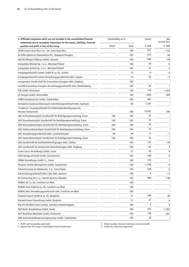| II. Affiliated companies which are not included in the consolidated financial<br>statements due to secondary importance for the assets, liabilities, financial | Shareholding in % |       | Equity   | Net<br>income/loss        |
|----------------------------------------------------------------------------------------------------------------------------------------------------------------|-------------------|-------|----------|---------------------------|
| position and profit or loss of the Group                                                                                                                       | Direct            | Total | € '000   | € '000                    |
| EDON Group Costa Rica S.A., San Jose/Costa Rica                                                                                                                |                   | 100   | 837      | $-133$                    |
| EL-Pöför Epitési és Üzemeltetési Kft., Budapest/Hungary                                                                                                        |                   | 100   | 613      | 60                        |
| <b>ENCON ENergie CONtract GmbH, Hanover</b>                                                                                                                    |                   | 100   | 960      | $-94$                     |
| Energetyka Wschod Sp. z o.o., Wroclaw/Poland                                                                                                                   |                   | 100   | 36       | 0                         |
| Energetyka Zachod Sp. z o.o., Wroclaw/Poland                                                                                                                   |                   | 100   | 57       | 4                         |
| Energiegesellschaft Leimen GmbH & Co. KG, Leimen                                                                                                               |                   | 75    | $-4$     | $-5$                      |
| Energiegesellschaft Leimen Verwaltungsgesellschaft mbH, Leimen                                                                                                 |                   | 75    | 22       | $-3$                      |
| energienatur Gesellschaft für Erneuerbare Energien mbH, Siegburg                                                                                               |                   | 100   |          | 3                         |
| enviaM Erneuerbare Energien Verwaltungsgesellschaft mbH, Markkleeberg                                                                                          |                   | 100   | 26       | $\mathbf{1}$              |
| ESK GmbH, Dortmund                                                                                                                                             |                   | 100   | 128      | 1,653                     |
| e2 Energie GmbH, Ahrensfelde                                                                                                                                   |                   | 100   | 1,660    | 469                       |
| FAMIS Energieservice GmbH, Saarbrücken                                                                                                                         |                   | 100   | 687      | $\mathbf{L}^{\mathbf{1}}$ |
| Fernwärme Saarlouis-Steinrausch Investitionsgesellschaft mbH, Saarlouis                                                                                        |                   | 95    | 7,567    | $\mathbf{r}$              |
| 'Finelectra' Finanzgesellschaft für Elektrizitäts-Beteiligungen AG,<br>Hausen/Switzerland                                                                      |                   | 100   | 13,952   | 594                       |
| GBV Achtundzwanzigste Gesellschaft für Beteiligungsverwaltung, Essen                                                                                           | 100               | 100   | 25       | $\mathbf{I}$              |
| GBV Einundzwanzigste Gesellschaft für Beteiligungsverwaltung, Essen                                                                                            | 100               | 100   | 25       | $\mathbf{L}^{\mathbf{1}}$ |
| GBV Neunundzwanzigste Gesellschaft für Beteiligungsverwaltung, Essen                                                                                           | 100               | 100   | 24       | $\mathbf{I}$              |
| GBV Siebenundzwanzigste Gesellschaft für Beteiligungsverwaltung, Essen                                                                                         | 100               | 100   | 25       | $\Box$                    |
| GBV Verwaltungsgesellschaft mbH, Gundremmingen                                                                                                                 | 94                | 94    | 17       | $-1$                      |
| GBV Zweiundzwanzigste Gesellschaft für Beteiligungsverwaltung, Essen                                                                                           | 100               | 100   | 25       | $\mathbf{I}$              |
| GKB Gesellschaft für Kraftwerksbeteiligungen mbH, Cottbus                                                                                                      |                   | 100   | 132      | $-59$                     |
| GkD Gesellschaft für kommunale Dienstleistungen mbH, Siegburg                                                                                                  |                   | 100   | 62       | 9                         |
| Green Gecco Verwaltungs GmbH, Essen                                                                                                                            |                   | 51    | 26       | 9                         |
| GWG Netzgesellschaft GmbH, Grevenbroich                                                                                                                        |                   | 100   | 100      | 0                         |
| HM&A Verwaltungs GmbH i.L., Essen                                                                                                                              |                   | 100   | 378      | $\mathbf{1}$              |
| Hospitec Facility Management GmbH, Saarbrücken                                                                                                                 |                   | 100   | $-1,794$ | -6                        |
| Infraestructuras de Aldehuelas, S.A., Soria/Spain                                                                                                              |                   | 100   | 428      | $\pmb{0}$                 |
| Infrastrukturgesellschaft Netz Lübz mbH, Hanover                                                                                                               |                   | 100   | 4        | $-13$                     |
| KA Contracting SK s.r.o., Banská Bystrica/Slovakia                                                                                                             |                   | 100   | 948      | $-146$                    |
| KAWAG AG Co. KG, Frankfurt am Main                                                                                                                             |                   | 100   |          |                           |
| KAWAG Netz GmbH & Co. KG, Frankfurt am Main                                                                                                                    |                   | 100   |          | 3                         |
| KAWAG Netz Verwaltungsgesellschaft mbH, Frankfurt am Main                                                                                                      |                   | 100   |          | 3                         |
| Kieswerk Kaarst GmbH & Co. KG, Bergheim                                                                                                                        |                   | 51    | 598      | 98                        |
| Kieswerk Kaarst Verwaltungs GmbH, Bergheim                                                                                                                     |                   | 51    | 27       | 0                         |
| Kiln Pit Hill Wind Farm Limited, Swindon/United Kingdom                                                                                                        |                   | 100   | 0        | $\mathbf 0$               |
| KUP Berlin Brandenburg GmbH, Berlin                                                                                                                            |                   | 100   | 372      | -1,952                    |
| KUP Nordrhein-Westfalen GmbH, Dortmund                                                                                                                         |                   | 100   | 199      | $-301$                    |
| KWS Kommunal-Wasserversorgung Saar GmbH, Saarbrücken                                                                                                           |                   | 100   | 30       | $\mathbf{I}$              |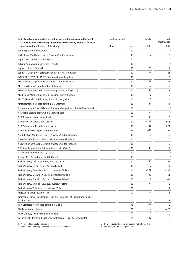| II. Affiliated companies which are not included in the consolidated financial<br>statements due to secondary importance for the assets, liabilities, financial | Shareholding in % |       | Equity | Net<br>income/loss      |
|----------------------------------------------------------------------------------------------------------------------------------------------------------------|-------------------|-------|--------|-------------------------|
| position and profit or loss of the Group                                                                                                                       | Direct            | Total | € '000 | € '000                  |
| Leitungspartner GmbH, Düren                                                                                                                                    |                   | 100   |        | 3                       |
| Lochelbank Wind Farm Limited, Swindon/United Kingdom                                                                                                           |                   | 100   | 0      | 0                       |
| Lößnitz Netz GmbH & Co. KG, Lößnitz                                                                                                                            |                   | 100   |        | $\overline{\mathbf{3}}$ |
| Lößnitz Netz Verwaltungs GmbH, Lößnitz                                                                                                                         |                   | 100   |        | $\overline{\mathbf{3}}$ |
| Lupus 11 GmbH, Grünwald                                                                                                                                        |                   | 100   | 26     | 1                       |
| Lupus 11 GmbH & Co. Solarpark Haunsfeld II KG, Mörnsheim                                                                                                       |                   | 100   | 1,122  | 26                      |
| LYNEMOUTH POWER LIMITED, Swindon/United Kingdom                                                                                                                |                   | 100   | 0      | 0                       |
| Mátrai Erömü Központi Karbantartó KFT, Visonta/Hungary                                                                                                         |                   | 100   | 2,789  | 385                     |
| Meterplus Limited, Swindon/United Kingdom                                                                                                                      |                   | 100   | 0      | 0                       |
| MEWO Wohnungswirtschaft Verwaltungs-GmbH, Halle (Saale)                                                                                                        |                   | 100   | 44     | 2                       |
| Middlemoor Wind Farm Limited, Swindon/United Kingdom                                                                                                           |                   | 100   | 0      | 0                       |
| MIROS Mineralische Rohstoffe, GmbH i.L., Bergheim                                                                                                              |                   | 100   | 0      | 0                       |
| Mitteldeutsche Netzgesellschaft mbH, Chemnitz                                                                                                                  |                   | 100   | 24     | -1                      |
| Netzgesellschaft Rheda-Wiedenbrück Verwaltungs-GmbH, Rheda-Wiedenbrück                                                                                         |                   | 100   |        | $\overline{\mathbf{3}}$ |
| Netzwerke Saarwellingen GmbH, Saarwellingen                                                                                                                    |                   | 100   | 50     | $\mathbf{I}$            |
| NEW Re GmbH, Mönchengladbach                                                                                                                                   |                   | 75    | 100    | 0                       |
| NEW Schwalm-Nette GmbH, Viersen                                                                                                                                |                   | 100   | 6,889  | 1,016                   |
| NEW Schwalm-Nette Netz GmbH, Viersen                                                                                                                           |                   | 100   | 25     | $-273$                  |
| Niederrheinwerke Impuls GmbH, Grefrath                                                                                                                         |                   | 67    | 699    | 306                     |
| North Kintyre Wind Farm Limited, Swindon/United Kingdom                                                                                                        |                   | 100   | 0      | 0                       |
| Novar Two Wind Farm Limited, Swindon/United Kingdom                                                                                                            |                   | 100   | 0      | 0                       |
| Npower Northern Supply Limited, Swindon/United Kingdom                                                                                                         |                   | 100   | 0      | 0                       |
| NRF Neue Regionale Fortbildung GmbH, Halle (Saale)                                                                                                             |                   | 100   | 133    | 1                       |
| Oschatz Netz GmbH & Co. KG, Oschatz                                                                                                                            |                   | 100   |        | 3                       |
| Oschatz Netz Verwaltungs GmbH, Oschatz                                                                                                                         |                   | 100   |        | 3                       |
| Park Wiatrowy Dolice Sp. z o.o., Warsaw/Poland                                                                                                                 |                   | 100   | 46     | -69                     |
| Park Wiatrowy Elk Sp. z o.o., Warsaw/Poland                                                                                                                    |                   | 100   | 9      | $-1$                    |
| Park Wiatrowy Gaworzyce Sp. z o.o., Warsaw/Poland                                                                                                              |                   | 100   | $-261$ | $-284$                  |
| Park Wiatrowy Msciwojów Sp. z o.o., Warsaw/Poland                                                                                                              |                   | 100   | $-62$  | $-51$                   |
| Park Wiatrowy Prudziszki Sp. z o.o., Warsaw/Poland                                                                                                             |                   | 100   | 2      | $-7$                    |
| Park Wiatrowy Smigiel I Sp. z o.o., Warsaw/Poland                                                                                                              |                   | 100   | -99    | $-75$                   |
| Park Wiatrowy Znin Sp. z o.o., Warsaw/Poland                                                                                                                   |                   | 100   | 9      | 1                       |
| Projecta 15 GmbH, Saarbrücken                                                                                                                                  |                   | 100   | 15     | $-3$                    |
| Projecta 5 - Entwicklungsgesellschaft für kommunale Dienstleistungen mbH,                                                                                      |                   |       |        |                         |
| Saarbrücken                                                                                                                                                    |                   | 100   | 19     | $-2$                    |
| Rain Biomasse Wärmegesellschaft mbH, Rain                                                                                                                      |                   | 75    | 3,507  | 0                       |
| RD Hanau GmbH, Hanau                                                                                                                                           |                   | 100   | 0      | -423                    |
| Rebyl Limited, Swindon/United Kingdom                                                                                                                          |                   | 100   | 0      | 0                       |
| ReEnergie Niederrhein Biogas Schwalmtal GmbH & Co. KG, Schwalmtal                                                                                              |                   | 64    | 1,630  | 0                       |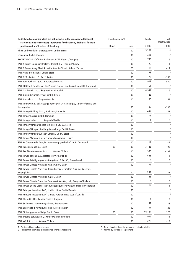| II. Affiliated companies which are not included in the consolidated financial<br>statements due to secondary importance for the assets, liabilities, financial | Shareholding in % |       | Equity | Net<br>income/loss      |
|----------------------------------------------------------------------------------------------------------------------------------------------------------------|-------------------|-------|--------|-------------------------|
| position and profit or loss of the Group                                                                                                                       | Direct            | Total | € '000 | € '000                  |
| Rheinland Westfalen Energiepartner GmbH, Essen                                                                                                                 |                   | 100   | 5,369  | $\mathbf{I}$            |
| rhenagbau GmbH, Cologne                                                                                                                                        |                   | 100   | 1,258  | $\mathbf{I}$            |
| ROTARY-MATRA Kútfúró és Karbantartó KFT, Visonta/Hungary                                                                                                       |                   | 100   | 793    | 16                      |
| RWE & Turcas Dogalgaz Ithalat ve Ihracat A.S., Istanbul/Turkey                                                                                                 |                   | 100   | 60     | $-14$                   |
| RWE & Turcas Kuzey Elektrik Üretim Anonim Sirketi, Ankara/Turkey                                                                                               |                   | 70    | 19     | $-14$                   |
| RWE Aqua International GmbH, Essen                                                                                                                             |                   | 100   | 98     | $\mathbf{I}$            |
| RWE DEA Ukraine LLC, Kiev/Ukraine                                                                                                                              |                   | 100   | 73     | -195                    |
| RWE East Bucharest S.R.L. Bucharest/Romania                                                                                                                    |                   | 100   | 907    | -540                    |
| RWE EUROtest Gesellschaft für Prüfung-Engineering-Consulting mbH, Dortmund                                                                                     |                   | 100   | 51     | $\mathbf{I}$            |
| RWE Gas Transit, s.r.o., Prague/Czech Republic                                                                                                                 |                   | 100   | 4,949  | $-16$                   |
| RWE Group Business Services GmbH, Essen                                                                                                                        |                   | 100   | 23     | $\mathbf{I}$            |
| RWE Hrvatska d.o.o., Zagreb/Croatia                                                                                                                            |                   | 100   | 56     | 51                      |
| RWE Innogy d.o.o. za koristenje obnovljivih izvora energije, Sarajevo/Bosnia and<br>Herzegovina                                                                |                   | 100   | 105    | $-135$                  |
| RWE Innogy Holding S.R.L., Bucharest/Romania                                                                                                                   |                   | 100   | $-44$  | $-43$                   |
| RWE Innogy Kaskasi GmbH, Hamburg                                                                                                                               |                   | 100   | 76     | $\mathbf{I}$            |
| RWE Innogy Serbia d.o.o., Belgrade/Serbia                                                                                                                      |                   | 100   | 1      | 0                       |
| RWE Innogy Windpark Bedburg GmbH & Co. KG, Essen                                                                                                               |                   | 100   |        | $\overline{\mathbf{3}}$ |
| RWE Innogy Windpark Bedburg Verwaltungs GmbH, Essen                                                                                                            |                   | 100   |        | $\overline{\mathbf{3}}$ |
| RWE Innogy Windpark Jüchen GmbH & Co. KG, Essen                                                                                                                |                   | 100   |        | $\overline{\mathbf{3}}$ |
| RWE Innogy Windpark Jüchen Verwaltungs GmbH, Essen                                                                                                             |                   | 100   |        | $\overline{\mathbf{3}}$ |
| RWE KAC Dezentrale Energien Verwaltungsgesellschaft mbH, Dortmund                                                                                              |                   | 100   | 19     | $-1$                    |
| RWE Pensionsfonds AG, Essen                                                                                                                                    | 100               | 100   | 3,723  | $-190$                  |
| RWE POLSKA Generation Sp. z o.o., Warsaw/Poland                                                                                                                |                   | 100   | 508    | $-103$                  |
| RWE Power Benelux B.V., Hoofddorp/Netherlands                                                                                                                  |                   | 100   | 646    | 14                      |
| RWE Power Beteiligungsverwaltung GmbH & Co. KG, Grevenbroich                                                                                                   |                   | 100   | 0      | 0                       |
| RWE Power Climate Protection China GmbH, Essen                                                                                                                 |                   | 100   | 25     | $\mathbf{I}$            |
| RWE Power Climate Protection Clean Energy Technology (Beijing) Co., Ltd.,<br>Beijing/China                                                                     |                   | 100   | 232    | 23                      |
| RWE Power Climate Protection GmbH, Essen                                                                                                                       |                   | 100   | 23     | $\mathbf{I}$            |
| RWE Power Climate Protection Southeast Asia Co., Ltd., Bangkok/Thailand                                                                                        |                   | 100   | 0      | 0                       |
| RWE Power Zweite Gesellschaft für Beteiligungsverwaltung mbH, Grevenbroich                                                                                     |                   | 100   | 24     | $-1$                    |
| RWE Principal Investments (3) Limited, Nova Scotia/Canada                                                                                                      |                   | 100   |        | $\overline{\mathbf{3}}$ |
| RWE Principal Investments (4) Limited Partner, Nova Scotia/Canada                                                                                              |                   | 100   |        | 3                       |
| RWE Rhein Oel Ltd., London/United Kingdom                                                                                                                      |                   | 100   | -1     | 0                       |
| RWE Seabreeze I Verwaltungs GmbH, Bremerhaven                                                                                                                  |                   | 100   | 31     | 28                      |
| RWE Seabreeze II Verwaltungs GmbH, Bremerhaven                                                                                                                 |                   | 100   | 31     | 28                      |
| RWE Stiftung gemeinnützige GmbH, Essen                                                                                                                         | 100               | 100   | 59,183 | 170                     |
| RWE Trading Services Ltd., Swindon/United Kingdom                                                                                                              |                   | 100   | 936    | 71                      |
| RWE WP 4 Sp. z o.o., Warsaw/Poland                                                                                                                             |                   | 100   | 272    | $-19$                   |

1 Profit- and loss-pooling agreement<br>2 Figures from the Group's consolidated financial statements<br>2 Figures from the Group's consolidated financial statements<br>2 Gontrol by contractual agreement 2 Figures from the Group's consolidated financial statements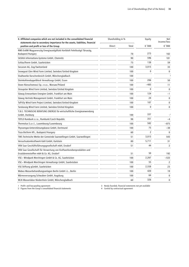| II. Affiliated companies which are not included in the consolidated financial<br>Shareholding in %<br>statements due to secondary importance for the assets, liabilities, financial |               | Equity |              | Net<br>income/loss |  |
|-------------------------------------------------------------------------------------------------------------------------------------------------------------------------------------|---------------|--------|--------------|--------------------|--|
| position and profit or loss of the Group                                                                                                                                            | <b>Direct</b> | Total  | € '000       | € '000             |  |
| RWE-EnBW Magyarország Energiaszolgáltató Korlátolt Felelösségü Társaság,                                                                                                            |               |        |              |                    |  |
| Budapest/Hungary                                                                                                                                                                    |               | 70     | 273          | 102                |  |
| SASKIA Informations-Systeme GmbH, Chemnitz                                                                                                                                          |               | 90     | 596          | 181                |  |
| SchlauTherm GmbH, Saarbrücken                                                                                                                                                       |               | 75     | 138          | 59                 |  |
| Securum AG, Zug/Switzerland                                                                                                                                                         |               | 100    | 3,015        | 33                 |  |
| Snowgoat Glen Wind Farm Limited, Swindon/United Kingdom                                                                                                                             |               | 100    | $\mathbf{0}$ | 0                  |  |
| Stadtwerke Korschenbroich GmbH, Mönchengladbach                                                                                                                                     |               | 100    |              | $\overline{3}$     |  |
| Steinkohlendoppelblock Verwaltungs GmbH, Essen                                                                                                                                      |               | 100    | 206          | 50                 |  |
| Stoen Nieruchomosci Sp. z o.o., Warsaw/Poland                                                                                                                                       |               | 100    | $-485$       | 11                 |  |
| Stroupster Wind Farm Limited, Swindon/United Kingdom                                                                                                                                |               | 100    | $\mathbf{0}$ | 0                  |  |
| Süwag Erneuerbare Energien GmbH, Frankfurt am Main                                                                                                                                  |               | 100    | 124          | $-1$               |  |
| Süwag Vertrieb Management GmbH, Frankfurt am Main                                                                                                                                   |               | 100    | 24           | 0                  |  |
| Taff-Ely Wind Farm Project Limited, Swindon/United Kingdom                                                                                                                          |               | 100    | 107          | 0                  |  |
| Tarskavaig Wind Farm Limited, Swindon/United Kingdom                                                                                                                                |               | 100    | 0            | 0                  |  |
| T.B.E. TECHNISCHE BERATUNG ENERGIE für wirtschaftliche Energieanwendung                                                                                                             |               |        |              |                    |  |
| GmbH, Duisburg                                                                                                                                                                      |               | 100    | 337          | $\mathbf{I}$       |  |
| TEPLO Rumburk s.r.o., Rumburk/Czech Republic                                                                                                                                        |               | 98     | 351          | $-4$               |  |
| Thermolux S.a.r.l., Luxembourg/Luxembourg                                                                                                                                           |               | 100    | 582          | $-875$             |  |
| Thyssengas-Unterstützungskasse GmbH, Dortmund                                                                                                                                       |               | 100    | 75           | $-38$              |  |
| Tisza BioTerm Kft., Budapest/Hungary                                                                                                                                                |               | 60     | 2            | $\mathbf{0}$       |  |
| TWS Technische Werke der Gemeinde Saarwellingen GmbH, Saarwellingen                                                                                                                 |               | 51     | 3,015        | 543                |  |
| Versuchsatomkraftwerk Kahl GmbH, Karlstein                                                                                                                                          |               | 80     | 5,711        | 31                 |  |
| VKN Saar Geschäftsführungsgesellschaft mbH, Ensdorf                                                                                                                                 |               | 51     | 44           | 2                  |  |
| VKN Saar Gesellschaft für Verwertung von Kraftwerksnebenprodukten und<br>Ersatzbrennstoffen mbH & Co. KG, Ensdorf                                                                   |               | 51     | 50           | 192                |  |
| VSE - Windpark Merchingen GmbH & Co. KG, Saarbrücken                                                                                                                                |               | 100    | 2,267        | $-533$             |  |
| VSE – Windpark Merchingen Verwaltungs GmbH, Saarbrücken                                                                                                                             |               | 100    | 55           | 2                  |  |
| VSE Stiftung gGmbH, Saarbrücken                                                                                                                                                     |               | 100    | 2,558        | 23                 |  |
| Wabea Wasserbehandlungsanlagen Berlin GmbH i.L., Berlin                                                                                                                             |               | 100    | 420          | 19                 |  |
| Wärmeversorgung Schwaben GmbH, Augsburg                                                                                                                                             |               | 100    | 64           | 0                  |  |
| WLN Wasserlabor Niederrhein GmbH, Mönchengladbach                                                                                                                                   |               | 60     | 326          | 0                  |  |
|                                                                                                                                                                                     |               |        |              |                    |  |

1 Profit- and loss-pooling agreement 3 Newly founded, financial statements not yet available

2 Figures from the Group's consolidated financial statements 4 Control by contractual agreement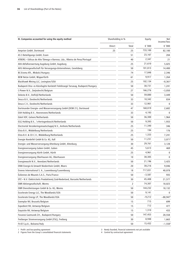| III. Companies accounted for using the equity method                             | Shareholding in % |       | Equity   | Net<br>income/loss |
|----------------------------------------------------------------------------------|-------------------|-------|----------|--------------------|
|                                                                                  | <b>Direct</b>     | Total | € '000   | € '000             |
| Amprion GmbH, Dortmund                                                           | 25                | 25    | 733,100  | 82,100             |
| AS 3 Beteiligungs GmbH, Essen                                                    |                   | 51    | 23,167   | 204                |
| ATBERG - Eólicas do Alto Tâmega e Barroso, Lda., Ribeira de Pena/Portugal        |                   | 40    | 2,347    | 21                 |
| AVA Abfallverwertung Augsburg GmbH, Augsburg                                     |                   | 25    | 21,610   | 5,025              |
| AVU Aktiengesellschaft für Versorgungs-Unternehmen, Gevelsberg                   |                   | 50    | 101,813  | 14,400             |
| BC-Eromu Kft., Miskolc/Hungary                                                   |                   | 74    | 17,848   | 2,346              |
| BEW Netze GmbH, Wipperfürth                                                      |                   | 61    | 9,917    | 1,264              |
| Blackhawk Mining LLC, Lexington/USA                                              |                   | 25    | 102,134  | $-8,361^2$         |
| Budapesti Disz- es Közvilagitsi Korlatolt Felelössegü Tarsasag, Budapest/Hungary |                   | 50    | 30,731   | 1,241              |
| C-Power N.V., Zwijndrecht/Belgium                                                |                   | 27    | 166,276  | $-3,050$           |
| Delesto B.V., Delfzijl/Netherlands                                               |                   | 50    | 59,880   | 3,449              |
| Desco B.V., Dordrecht/Netherlands                                                |                   | 33    | 10,342   | 834                |
| Desco C.V., Dordrecht/Netherlands                                                |                   | 33    | 12,901   | $\Omega$           |
| Dortmunder Energie- und Wasserversorgung GmbH (DEW 21), Dortmund                 |                   | 47    | 168,019  | 2,602              |
| EAH Holding B.V., Heerenveen/Netherlands                                         |                   | 33    | 4,193    | 0                  |
| EdeA VOF, Geleen/Netherlands                                                     |                   | 50    | 36,300   | 1,964              |
| EGG Holding B.V., 's-Hertogenbosch/Netherlands                                   |                   | 50    | 9,393    | 1,933              |
| Electrorisk Verzekeringsmaatschappij N.V., Arnhem/Netherlands                    |                   | 25    | 11,340   | 346                |
| Elsta B.V., Middelburg/Netherlands                                               |                   | 25    | 194      | 176                |
| Elsta B.V. & CO C.V., Middelburg/Netherlands                                     |                   | 25    | 1,333    | 7,241              |
| Energie Nordeifel GmbH & Co. KG, Kall                                            |                   | 50    | 11,231   | $3,071^2$          |
| Energie- und Wasserversorgung Altenburg GmbH, Altenburg                          |                   | 30    | 29,761   | 3,128              |
| Energieversorgung Guben GmbH, Guben                                              |                   | 45    | 5,613    | 469                |
| Energieversorgung Hürth GmbH, Hürth                                              |                   | 25    | 4,961    | 0                  |
| Energieversorgung Oberhausen AG, Oberhausen                                      |                   | 10    | 30,305   | $\Omega$           |
| Energiewacht N.V., Veendam/Netherlands                                           |                   | 50    | 21,196   | 3,425              |
| ENNI Energie & Umwelt Niederrhein GmbH, Moers                                    |                   | 20    | 38,216   | 9,046              |
| Enovos International S. A., Luxembourg/Luxembourg                                |                   | 18    | 717,031  | 40,078             |
| Éoliennes de Mounés S.A.S., Paris/France                                         |                   | 50    | $-3,587$ | 935                |
| EPZ - N.V. Elektriciteits Produktiemij Zuid-Nederland, Borssele/Netherlands      |                   | 30    | 45,408   | 21,577             |
| <b>EWR Aktiengesellschaft, Worms</b>                                             |                   | 2     | 74,307   | 18,023             |
| EWR Dienstleistungen GmbH & Co. KG, Worms                                        |                   | 50    | 144,232  | 18,132             |
| Excelerate Energy LLC, The Woodlands/USA                                         |                   | 50    | 9,141    | 0                  |
| Excelerate Energy LP, The Woodlands/USA                                          |                   | 50    | $-9,212$ | $-88,947^2$        |
| Exemplar NV, Brussels/Belgium                                                    |                   | 15    | 715      | 699                |
| Expedient NV, Antwerp/Belgium                                                    |                   | 15    | 712      | 477                |
| Exquisite NV, Antwerp/Belgium                                                    |                   | 15    | 1,310    | 433                |
| Fovarosi Gazmuvek Zrt., Budapest/Hungary                                         |                   | 50    | 147,453  | 28,558             |
| Freiberger Stromversorgung GmbH (FSG), Freiberg                                  |                   | 30    | 8,948    | 1,663              |
| Fri-El S.p.A., Bolzano/Italy                                                     |                   | 50    | 15,432   | $-1,5502$          |

1 Profit- and loss-pooling agreement 3 Newly founded, financial statements not yet available

2 Figures from the Group's consolidated financial statements 4 Control by contractual agreement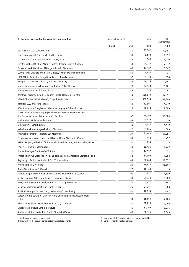| III. Companies accounted for using the equity method                                                          |        | Shareholding in % |          | Net<br>income/loss  |
|---------------------------------------------------------------------------------------------------------------|--------|-------------------|----------|---------------------|
|                                                                                                               | Direct | Total             | € '000   | € '000              |
| FSO GmbH & Co. KG, Oberhausen                                                                                 |        | 50                | 21,562   | 10,4982             |
| Geas Energiewacht B.V., Enschede/Netherlands                                                                  |        | 50                | 9,584    | 1,597               |
| GNS Gesellschaft für Nuklear-Service mbH, Essen                                                               |        | 28                | 905      | 2,020 <sup>2</sup>  |
| Greater Gabbard Offshore Winds Limited, Reading/United Kingdom                                                |        | 50                | 90,280   | 7,512               |
| Grosskraftwerk Mannheim Aktiengesellschaft, Mannheim                                                          |        | 40                | 114,142  | 6,647               |
| Gwynt Y Môr Offshore Wind Farm Limited, Swindon/United Kingdom                                                |        | 60                | $-3,458$ | $-37$               |
| HIDROERG - Projectos Energéticos, Lda., Lisbon/Portugal                                                       |        | 32                | 9,139    | 898                 |
| Hungáriavíz Vagyonkezelő Zrt., Budapest/Hungary                                                               |        | 49                | 46,125   | 2,798               |
| Innogy Renewables Technology Fund I GmbH & Co. KG, Essen                                                      |        | 78                | 47,433   | $-6,161$            |
| Innogy Venture Capital GmbH, Essen                                                                            |        | 75                | 118      | 93                  |
| Kärntner Energieholding Beteiligungs GmbH, Klagenfurt/Austria                                                 |        | 49                | 566,843  | 87,297              |
| KELAG-Kärntner Elektrizitäts-AG, Klagenfurt/Austria                                                           |        | 13                | 587,954  | 91,890 <sup>2</sup> |
| Kemkens B.V., Oss/Netherlands                                                                                 |        | 49                | 12,901   | 4,819               |
| KEW Kommunale Energie- und Wasserversorgung AG, Neunkirchen                                                   |        | 29                | 72,714   | 9,500               |
| Konsortium Energieversorgung Opel oHG der RWE Innogy GmbH und<br>der Kraftwerke Mainz-Wiesbaden AG, Karlstein |        | 67                | 29,299   | 10,804              |
| medl GmbH, Mülheim an der Ruhr                                                                                |        | 49                | 21,972   | 0                   |
| Mingas-Power GmbH, Essen                                                                                      |        | 40                | 5,080    | 4,410               |
| Nebelhornbahn-Aktiengesellschaft, Oberstdorf                                                                  |        | 27                | 4,865    | 309                 |
| Pfalzwerke Aktiengesellschaft, Ludwigshafen                                                                   |        | 27                | 191,648  | 17,2572             |
| Pistazit Anlagen-Vermietungs GmbH & Co. Objekt Willich KG, Mainz                                              |        | 100               | 460      | 752                 |
| PRENU Projektgesellschaft für Rationelle Energienutzung in Neuss mbH, Neuss                                   |        | 50                | 254      | $-15$               |
| Projecta 14 GmbH, Saarbrücken                                                                                 |        | 50                | 39,456   | 1,722               |
| Propan Rheingas GmbH & Co KG, Brühl                                                                           |        | 30                | 14,537   | 52                  |
| Przedsiêbiorstwo Wodociagów i Kanalizacji Sp. z o.o., Dabrowa Górnica/Poland                                  |        | 34                | 31,394   | 1,658               |
| Regionalgas Euskirchen GmbH & Co. KG, Euskirchen                                                              |        | 43                | 56,763   | 11,052              |
| RheinEnergie AG, Cologne                                                                                      |        | 20                | 716,918  | 195,304             |
| Rhein-Main-Donau AG, Munich                                                                                   |        | 22                | 110,169  | 0                   |
| Sampi Anlagen-Vermietungs GmbH & Co. Objekt Meerbusch KG, Mainz                                               |        | 100               | 377      | 1,330               |
| Schluchseewerk Aktiengesellschaft, Laufenburg (Baden)                                                         |        | 50                | 59,339   | 2,809               |
| SHW/RWE Umwelt Aqua Vodogradnja d.o.o., Zagreb/Croatia                                                        |        | 50                | 1,672    | 347                 |
| Siegener Versorgungsbetriebe GmbH, Siegen                                                                     |        | 25                | 21,781   | 3,308               |
| Société Electrique de l'Our S.A., Luxembourg/Luxembourg                                                       |        | 40                | 12,953   | $-4912$             |
| SpreeGas Gesellschaft für Gasversorgung und Energiedienstleistung mbH,<br>Cottbus                             |        | 33                | 35,663   | 7,103               |
| SSW Stadtwerke St. Wendel GmbH & Co. KG, St. Wendel                                                           |        | 50                | 20,215   | 2,096               |
| Stadtwerke Bernburg GmbH, Bernburg                                                                            |        | 45                | 31,709   | 5,976               |
| Stadtwerke Bitterfeld-Wolfen GmbH, Bitterfeld-Wolfen                                                          |        | 40                | 20,175   | 1,648               |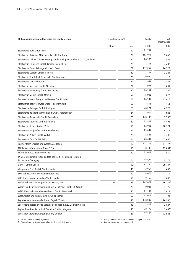| III. Companies accounted for using the equity method                      | Shareholding in % |       |           |                     | Equity | Net<br>income/loss |
|---------------------------------------------------------------------------|-------------------|-------|-----------|---------------------|--------|--------------------|
|                                                                           | Direct            | Total | € '000    | € $'000$            |        |                    |
| Stadtwerke Bühl GmbH, Bühl                                                |                   | 30    | 21,757    | $\mathbf{0}$        |        |                    |
| Stadtwerke Duisburg Aktiengesellschaft, Duisburg                          |                   | 20    | 163,071   | 5,662               |        |                    |
| Stadtwerke Dülmen Dienstleistungs- und Beteiligungs-GmbH & Co. KG, Dülmen |                   | 50    | 26,306    | 3,546               |        |                    |
| Stadtwerke Emmerich GmbH, Emmerich am Rhein                               |                   | 25    | 12,115    | 3,282               |        |                    |
| Stadtwerke Essen Aktiengesellschaft, Essen                                |                   | 29    | 117,257   | 26,529              |        |                    |
| Stadtwerke Geldern GmbH, Geldern                                          |                   | 49    | 11,201    | 3,221               |        |                    |
| Stadtwerke GmbH Bad Kreuznach, Bad Kreuznach                              |                   | 25    | 39,925    | $\bf{0}$            |        |                    |
| Stadtwerke Kirn GmbH, Kirn                                                |                   | 49    | 1,951     | 355                 |        |                    |
| Stadtwerke Meerane GmbH, Meerane                                          |                   | 24    | 11,974    | 1,631               |        |                    |
| Stadtwerke Merseburg GmbH, Merseburg                                      |                   | 40    | 20,392    | 3,347               |        |                    |
| Stadtwerke Merzig GmbH, Merzig                                            |                   | 50    | 15,906    | 1,677               |        |                    |
| Stadtwerke Neuss Energie und Wasser GmbH, Neuss                           |                   | 25    | 88,344    | 11,426              |        |                    |
| Stadtwerke Radevormwald GmbH, Radevormwald                                |                   | 50    | 4,818     | 1,453               |        |                    |
| Stadtwerke Ratingen GmbH, Ratingen                                        |                   | 25    | 48,221    | 4,775               |        |                    |
| Stadtwerke Reichenbach/Vogtland GmbH, Reichenbach                         |                   | 24    | 11,974    | 1,922               |        |                    |
| Stadtwerke Remscheid GmbH, Remscheid                                      |                   | 25    | 148,146   | 7,356 <sup>2</sup>  |        |                    |
| Stadtwerke Saarlouis GmbH, Saarlouis                                      |                   | 49    | 33,522    | 4,495               |        |                    |
| Stadtwerke Velbert GmbH, Velbert                                          |                   | 50    | 82,005    | 10,724              |        |                    |
| Stadtwerke Weißenfels GmbH, Weißenfels                                    |                   | 24    | 23,044    | 4,274               |        |                    |
| Stadtwerke Willich GmbH, Willich                                          |                   | 25    | 12,581    | 3,338               |        |                    |
| Stadtwerke Zeitz GmbH, Zeitz                                              |                   | 24    | 20,434    | 3,050               |        |                    |
| Südwestfalen Energie und Wasser AG, Hagen                                 |                   | 19    | 223,215   | 14,177 <sup>2</sup> |        |                    |
| TCP Petcoke Corporation, Dover/USA                                        |                   | 50    | 18,745    | 19,054 <sup>2</sup> |        |                    |
| TE Plomin d.o.o., Plomin/Croatia                                          |                   | 50    | 32,019    | 1,530               |        |                    |
| TVK Eromu Termelo es Szolgáltató Korlatolt Felelossegu Tarsasag,          |                   |       |           |                     |        |                    |
| Tiszaujvaros/Hungary                                                      |                   | 74    | 17,578    | 5,176               |        |                    |
| URANIT GmbH, Jülich                                                       |                   | 50    | 91,780    | 29,747              |        |                    |
| Vliegasunie B.V., De Bilt/Netherlands                                     |                   | 43    | 2,956     | 608                 |        |                    |
| VOF Dobbestroom, Veendam/Netherlands                                      |                   | 50    | 14,076    | 119                 |        |                    |
| VOF Hunzestroom. Veendam/Netherlands                                      |                   | 50    | 10,462    | 248                 |        |                    |
| Východoslovenská energetika a.s., Košice/Slovakia                         | 49                | 49    | 247,029   | 96,129 <sup>2</sup> |        |                    |
| Wasser- und Energieversorgung Kreis St. Wendel GmbH, St. Wendel           |                   | 28    | 19,931    | 1,175               |        |                    |
| WBM Wirtschaftsbetriebe Meerbusch GmbH, Meerbusch                         |                   | 40    | 21,139    | 3,414               |        |                    |
| WestEnergie und Verkehr GmbH, Geilenkirchen                               |                   | 50    | 37,075    | 7,121               |        |                    |
| Zagrebacke otpadne vode d.o.o., Zagreb/Croatia                            |                   | 48    | 138,097   | 20,900              |        |                    |
| Zagrebacke otpadne vode-upravljanje i pogon d.o.o., Zagreb/Croatia        |                   | 33    | 3,813     | 3,827               |        |                    |
| Zephyr Investments Limited, Swindon/United Kingdom                        |                   | 33    | $-30,173$ | 1,480 <sup>2</sup>  |        |                    |
| Zwickauer Energieversorgung GmbH, Zwickau                                 |                   | 27    | 37,360    | 12,522              |        |                    |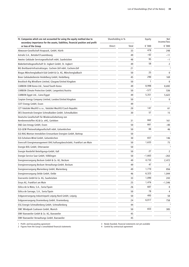| secondary importance for the assets, liabilities, financial position and profit      | Net<br>income/loss      |
|--------------------------------------------------------------------------------------|-------------------------|
| or loss of the Group<br>€ '000<br><b>Direct</b><br>Total                             | € '000                  |
| 478<br>Abwasser-Gesellschaft Knapsack, GmbH, Hürth<br>33                             | 248                     |
| -62<br>Astralis S.A., Betzdorf/Luxembourg<br>49                                      | $-11$                   |
| 95<br>Awotec Gebäude Servicegesellschaft mbH, Saarbrücken<br>48                      | $-1$                    |
| 58<br>Bäderbetriebsgesellschaft St. Ingbert GmbH, St. Ingbert<br>49                  | 2                       |
| BIG Breitband-Infrastrukturges. Cochem Zell mbH, Cochem-Zell<br>21                   | $\overline{\mathbf{3}}$ |
| 25<br>Biogas Mönchengladbach-Süd GmbH & Co. KG, Mönchengladbach<br>50                | 0                       |
| 290<br>Breer Gebäudedienste Heidelberg GmbH, Heidelberg<br>45                        | 169                     |
| Brockloch Rig Windfarm Limited, Glasgow/United Kingdom<br>50<br>1                    | 0                       |
| 8,998<br>CARBON CDM Korea Ltd., Seoul/South Korea<br>49                              | 8,692                   |
| $-577$<br>CARBON Climate Protection GmbH, Langenlois/Austria<br>50                   | 536                     |
| 5,351<br>CARBON Egypt Ltd., Cairo/Egypt<br>49                                        | 5,622                   |
| 1<br>Caspian Energy Company Limited, London/United Kingdom<br>50                     | 0                       |
| CUT! Energy GmbH, Essen<br>49                                                        | 3                       |
| 147<br>CZT Valašské Meziříčí s.r.o., Valašské Meziříčí/Czech Republic<br>20          | 61                      |
| 57<br>DES Dezentrale Energien Schmalkalden GmbH, Schmalkalden<br>30                  | 15                      |
| Deutsche Gesellschaft für Wiederaufarbeitung von                                     |                         |
| 662<br>Kernbrennstoffen AG & Co. oHG, Gorleben<br>31                                 | 161                     |
| 661<br>D&S Geo Innogy GmbH, Essen<br>50                                              | -80                     |
| ELE-GEW Photovoltaikgesellschaft mbH, Gelsenkirchen<br>66<br>50                      | 46                      |
| ELE-RAG Montan Immobilien Erneuerbare Energien GmbH, Bottrop<br>50                   | $\overline{\mathbf{3}}$ |
| 657<br>ELE-Scholven-Wind GmbH, Gelsenkirchen<br>30                                   | 146                     |
| 1,633<br>Enercraft Energiemanagement OHG haftungsbeschränkt, Frankfurt am Main<br>50 | 75                      |
| Energie BOL GmbH, Ottersweier<br>50                                                  | $\overline{\mathbf{3}}$ |
| 27<br>Energie Nordeifel Beteiligungs-GmbH, Kall<br>50                                | $\overline{2}$          |
| $-1,663$<br>Energie Service Saar GmbH, Völklingen<br>50                              | $-263$                  |
| 4,733<br>Energieversorgung Beckum GmbH & Co. KG, Beckum<br>49                        | 2,472                   |
| Energieversorgung Beckum Verwaltungs-GmbH, Beckum<br>47<br>49                        | 2                       |
| 1,770<br>Energieversorgung Marienberg GmbH, Marienberg<br>49                         | 856                     |
| 6,323<br>Energieversorgung Oelde GmbH, Oelde<br>46                                   | 1,044                   |
| 1,090<br>Enerventis GmbH & Co. KG, Saarbrücken<br>33                                 | 243                     |
| 1,476<br>Ensys AG, Frankfurt am Main<br>25                                           | $-1,546$                |
| 607<br>Eólica de la Mata, S.A., Soria/Spain<br>26                                    | 0                       |
| Eólica de Sarnago, S.A., Soria/Spain<br>78<br>50                                     | 4                       |
| 493<br>Erdgasversorgung Industriepark Leipzig Nord GmbH, Leipzig<br>50               | 58                      |
| 6,017<br>Erdgasversorgung Oranienburg GmbH, Oranienburg<br>24                        | 758                     |
| ESG Energie Schmallenberg GmbH, Schmallenberg<br>44                                  | $\overline{\mathbf{3}}$ |
| 653<br>EWC Windpark Cuxhaven GmbH, Munich<br>50                                      | 385                     |
| EWV Baesweiler GmbH & Co. KG, Baesweiler<br>45                                       | 3                       |
| EWV Baesweiler Verwaltungs GmbH, Baesweiler<br>45                                    | 3                       |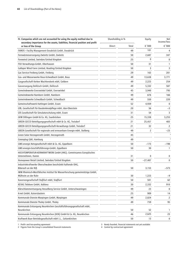| IV. Companies which are not accounted for using the equity method due to<br>secondary importance for the assets, liabilities, financial position and profit | Shareholding in % |       | Equity    | Net<br>income/loss      |
|-------------------------------------------------------------------------------------------------------------------------------------------------------------|-------------------|-------|-----------|-------------------------|
| or loss of the Group                                                                                                                                        | Direct            | Total | € '000    | € '000                  |
| FAMOS - Facility Management Osnabrück GmbH, Osnabrück                                                                                                       |                   | 49    | 101       | 4                       |
| Fernwärmeversorgung Zwönitz GmbH, Zwönitz                                                                                                                   |                   | 50    | 2,687     | 347                     |
| Forewind Limited, Swindon/United Kingdom                                                                                                                    |                   | 25    | 0         | 0                       |
| FSO Verwaltungs-GmbH, Oberhausen                                                                                                                            |                   | 50    | 31        | 1                       |
| Galloper Wind Farm Limited, Reading/United Kingdom                                                                                                          |                   | 50    | 3         | 3                       |
| Gas Service Freiberg GmbH, Freiberg                                                                                                                         |                   | 29    | 163       | 201                     |
| Gas- und Wasserwerke Bous-Schwalbach GmbH, Bous                                                                                                             |                   | 49    | 13,638    | 3,771                   |
| Gasgesellschaft Kerken Wachtendonk mbH, Geldern                                                                                                             |                   | 49    | 2,223     | 254                     |
| Gasversorgung Delitzsch GmbH, Delitzsch                                                                                                                     |                   | 49    | 5,332     | 587                     |
| Gemeindewerke Everswinkel GmbH, Everswinkel                                                                                                                 |                   | 45    | 3,940     | 795                     |
| Gemeindewerke Namborn GmbH, Namborn                                                                                                                         |                   | 49    | 676       | 166                     |
| Gemeindewerke Schwalbach GmbH, Schwalbach                                                                                                                   |                   | 49    | 550       | 220                     |
| Gemeinschaftswerk Hattingen GmbH, Essen                                                                                                                     |                   | 52    | 4,939     | 0                       |
| GfB, Gesellschaft für Baudenkmalpflege mbH, Idar-Oberstein                                                                                                  |                   | 20    | 56        | $-3$                    |
| GfS Gesellschaft für Simulatorschulung mbH, Essen                                                                                                           |                   | 31    | 54        | 3                       |
| GKW Dillingen GmbH & Co. KG, Saarbrücken                                                                                                                    |                   | 25    | 15,338    | 3,255                   |
| GREEN GECCO Beteiligungsgesellschaft mbH & Co. KG, Troisdorf                                                                                                |                   | 21    | 25,457    | 483                     |
| GREEN GECCO Beteiligungsgesellschaft-Verwaltungs GmbH, Troisdorf                                                                                            |                   | 21    | 32        | 2                       |
| GREEN Gesellschaft für regionale und erneuerbare Energie mbH, Stolberg                                                                                      |                   | 49    | 2         | $-23$                   |
| Green Solar Herzogenrath GmbH, Herzogenrath                                                                                                                 |                   | 45    |           | $\overline{\mathbf{3}}$ |
| Greenplug GbR, Hamburg                                                                                                                                      |                   | 49    |           | 3                       |
| GWE-energis Netzgesellschaft mbH & Co. KG, Eppelborn                                                                                                        |                   | 50    | $-173$    | -198                    |
| GWE-energis-Geschäftsführungs-GmbH, Eppelborn                                                                                                               |                   | 50    | 30        | $\mathbf{1}$            |
| HOCHTEMPERATUR-KERNKRAFTWERK GmbH (HKG). Gemeinsames Europäisches                                                                                           |                   |       |           |                         |
| Unternehmen, Hamm                                                                                                                                           |                   | 31    | 0         | 0                       |
| Homepower Retail Limited, Swindon/United Kingdom                                                                                                            |                   | 50    | $-27,407$ | 0                       |
| Industriekraftwerke Oberschwaben beschränkt haftende OHG,<br>Biberach an der Riß                                                                            |                   | 50    | 3,153     | $-573$                  |
| IWW Rheinisch-Westfälisches Institut für Wasserforschung gemeinnützige GmbH,                                                                                |                   |       |           |                         |
| Mülheim an der Ruhr                                                                                                                                         |                   | 30    | 1,223     | $-9$                    |
| Kavernengesellschaft Staßfurt mbH, Staßfurt                                                                                                                 |                   | 50    | 501       | 62                      |
| KEVAG Telekom GmbH, Koblenz                                                                                                                                 |                   | 30    | 2,332     | 910                     |
| Klärschlammentsorgung Hesselberg Service GmbH, Unterschwaningen                                                                                             |                   | 49    | 23        | $\mathbf 0$             |
| K-net GmbH, Kaiserslautern                                                                                                                                  |                   | 25    | 909       | 14                      |
| Kommunale Dienste Marpingen GmbH, Marpingen                                                                                                                 |                   | 49    | 2,824     | 2                       |
| Kommunale Dienste Tholey GmbH, Tholey                                                                                                                       |                   | 49    | 759       | 95                      |
| Kommunale Entsorgung Neunkirchen Geschäftsführungsgesellschaft mbH,                                                                                         |                   |       |           |                         |
| Neunkirchen                                                                                                                                                 |                   | 50    | 52        | 1                       |
| Kommunale Entsorgung Neunkirchen (KEN) GmbH & Co. KG, Neunkirchen                                                                                           |                   | 46    | 2,625     | 23                      |
| Kraftwerk Buer Betriebsgesellschaft mbH i.L., Gelsenkirchen                                                                                                 |                   | 50    | 13        | 0                       |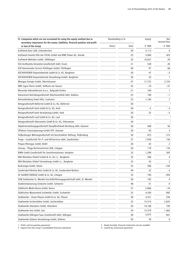| IV. Companies which are not accounted for using the equity method due to<br>secondary importance for the assets, liabilities, financial position and profit | Shareholding in % |       | Equity | Net<br>income/loss      |
|-------------------------------------------------------------------------------------------------------------------------------------------------------------|-------------------|-------|--------|-------------------------|
| or loss of the Group                                                                                                                                        | Direct            | Total | € '000 | € '000                  |
| Kraftwerk Buer GbR, Gelsenkirchen                                                                                                                           |                   | 50    | 5,113  | 0                       |
| Kraftwerk Voerde OHG der STEAG GmbH und RWE Power AG, Voerde                                                                                                |                   | 25    | 5,060  | 423                     |
| Kraftwerk Wehrden GmbH, Völklingen                                                                                                                          |                   | 33    | 10,627 | 29                      |
| KSG Kraftwerks-Simulator-Gesellschaft mbH, Essen                                                                                                            |                   | 31    | 538    | 26                      |
| KSP Kommunaler Service Püttlingen GmbH, Püttlingen                                                                                                          |                   | 40    | 97     | 66                      |
| KÜCKHOVENER Deponiebetrieb GmbH & Co. KG, Bergheim                                                                                                          |                   | 50    | 47     | $-3$                    |
| KÜCKHOVENER Deponiebetrieb Verwaltungs-GmbH, Bergheim                                                                                                       |                   | 50    | 35     | 1                       |
| Maingau Energie GmbH, Obertshausen                                                                                                                          |                   | 47    | 17,723 | 3,724                   |
| MBS Ligna Therm GmbH, Hofheim am Taunus                                                                                                                     |                   | 33    | $-10$  | $-37$                   |
| Moravske Hidroelektrane d.o.o., Belgrade/Serbia                                                                                                             |                   | 51    | 184    | $\mathbf{1}$            |
| Naturstrom Betriebsgesellschaft Oberhonnefeld mbH, Koblenz                                                                                                  |                   | 25    | 148    | $-1$                    |
| Netzanbindung Tewel OHG, Cuxhaven                                                                                                                           |                   | 25    | 1,164  | 7                       |
| Netzgesellschaft Bühlertal GmbH & Co. KG, Bühlertal                                                                                                         |                   | 50    |        | $\overline{\mathbf{3}}$ |
| Netzgesellschaft Korb GmbH & Co. KG, Korb                                                                                                                   |                   | 50    | $-2$   | $-3$                    |
| Netzgesellschaft Korb Verwaltungs-GmbH, Korb                                                                                                                |                   | 50    | 22     | -3                      |
| Netzgesellschaft Lauf GmbH & Co. KG, Lauf                                                                                                                   |                   | 50    |        | $\overline{\mathbf{3}}$ |
| Netzgesellschaft Ottersweier GmbH & Co. KG, Ottersweier                                                                                                     |                   | 50    |        | $\overline{\mathbf{3}}$ |
| Objektverwaltungsgesellschaft Dampfkraftwerk Bernburg mbH, Hanover                                                                                          |                   | 58    | 568    | 56                      |
| Offshore Trassenplanungs-GmbH OTP, Hanover                                                                                                                  |                   | 50    | 93     | 3                       |
| Peißenberger Wärmegesellschaft mit beschränkter Haftung, Peißenberg                                                                                         |                   | 50    | 875    | 215                     |
| Prego - Gesellschaft für IT- und HR-Services mbH, Saarbrücken                                                                                               |                   | 37    | 7,939  | 156                     |
| Propan Rheingas GmbH, Brühl                                                                                                                                 |                   | 28    | 42     | 2                       |
| rhenag - Thüga Rechenzentrum GbR, Cologne                                                                                                                   |                   | 50    | 179    | 176                     |
| RIWA GmbH Gesellschaft für Geoinformationen, Kempten                                                                                                        |                   | 33    | 1,298  | 305                     |
| RKH Rheinkies Hitdorf GmbH & Co. KG i.L., Bergheim                                                                                                          |                   | 33    | 306    | 4                       |
| RKH Rheinkies Hitdorf Verwaltungs GmbH i.L., Bergheim                                                                                                       |                   | 33    | 43     | 2                       |
| RurEnergie GmbH, Düren                                                                                                                                      |                   | 25    | 396    | $-104$                  |
| Sandersdorf-Brehna Netz GmbH & Co. KG, Sandersdorf-Brehna                                                                                                   |                   | 49    | 22     | $-3$                    |
| SE SAUBER ENERGIE GmbH & Co. KG, Cologne                                                                                                                    |                   | 33    | 740    | $-493$                  |
| SSW Stadtwerke St. Wendel Geschäftsführungsgesellschaft mbH, St. Wendel                                                                                     |                   | 50    | 103    |                         |
| Stadtentwässerung Schwerte GmbH, Schwerte                                                                                                                   |                   | 48    | 51     | 0                       |
| Städtische Werke Borna GmbH, Borna                                                                                                                          |                   | 37    | 2,866  | $-76$                   |
| Städtisches Wasserwerk Eschweiler GmbH, Eschweiler                                                                                                          |                   | 25    | 4,430  | 892                     |
| Stadtwerke - Strom Plauen GmbH & Co. KG, Plauen                                                                                                             |                   | 49    | 4,351  | 244                     |
| Stadtwerke Aschersleben GmbH, Aschersleben                                                                                                                  |                   | 35    | 15,514 | 2,625                   |
| Stadtwerke Attendorn GmbH, Attendorn                                                                                                                        |                   | 20    | 10,168 | 795                     |
| Stadtwerke Aue GmbH, Aue                                                                                                                                    |                   | 24    | 12,370 | 1,462                   |
| Stadtwerke Dillingen/Saar Gesellschaft mbH, Dillingen                                                                                                       |                   | 49    | 5,075  | 841                     |
| Stadtwerke Dülmen Verwaltungs-GmbH, Dülmen                                                                                                                  |                   | 50    | 29     | 0                       |

1 Profit- and loss-pooling agreement 3 Newly founded, financial statements not yet available

2 Figures from the Group's consolidated financial statements 4 Control by contractual agreement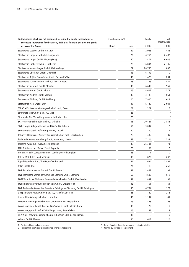| IV. Companies which are not accounted for using the equity method due to                                | Shareholding in % |       | Equity | Net<br>income/loss      |
|---------------------------------------------------------------------------------------------------------|-------------------|-------|--------|-------------------------|
| secondary importance for the assets, liabilities, financial position and profit<br>or loss of the Group | Direct            | Total | € '000 | € '000                  |
| Stadtwerke Gescher GmbH, Gescher                                                                        |                   | 42    | 2,965  | 486                     |
| Stadtwerke Langenfeld GmbH, Langenfeld                                                                  |                   | 20    | 4,766  | 2,492                   |
| Stadtwerke Lingen GmbH, Lingen (Ems)                                                                    |                   | 40    | 13,471 | 6,086                   |
| Stadtwerke Lübbecke GmbH, Lübbecke                                                                      |                   | 25    | 16,894 | 2,135                   |
| Stadtwerke Meinerzhagen GmbH, Meinerzhagen                                                              |                   | 27    | 20,796 | 802                     |
| Stadtwerke Oberkirch GmbH, Oberkirch                                                                    |                   | 33    | 6,192  | $\mathbf{0}$            |
| Stadtwerke Roßlau Fernwärme GmbH, Dessau-Roßlau                                                         |                   | 49    | 1,475  | 294                     |
| Stadtwerke Schwarzenberg GmbH, Schwarzenberg                                                            |                   | 28    | 13,766 | 1,459                   |
| Stadtwerke Steinfurt GmbH, Steinfurt                                                                    |                   | 48    | 6,642  | 969                     |
| Stadtwerke Vlotho GmbH, Vlotho                                                                          |                   | 25    | 4,609  | $-375$                  |
| Stadtwerke Wadern GmbH, Wadern                                                                          |                   | 49    | 3,488  | 1,063                   |
| Stadtwerke Weilburg GmbH, Weilburg                                                                      |                   | 20    | 7,900  | 621                     |
| Stadtwerke Werl GmbH, Werl                                                                              |                   | 25    | 6,435  | 2,944                   |
| STEAG - Kraftwerksbetriebsgesellschaft mbH, Essen                                                       |                   | 21    | 327    | 2                       |
| Stromnetz Diez GmbH & Co. KG, Diez                                                                      |                   | 25    |        | $\overline{\mathbf{3}}$ |
| Stromnetz Diez Verwaltungsgesellschaft mbH, Diez                                                        |                   | 25    |        | $\overline{\mathbf{3}}$ |
| SVS-Versorgungsbetriebe GmbH, Stadtlohn                                                                 |                   | 38    | 20,421 | 2,833                   |
| SWL-energis Netzgesellschaft mbH & Co. KG, Lebach                                                       |                   | 50    | 3,037  | 12                      |
| SWL-energis-Geschäftsführungs-GmbH, Lebach                                                              |                   | 50    | 30     | 1                       |
| Talsperre Nonnweiler Aufbereitungsgesellschaft mbH, Saarbrücken                                         |                   | 23    | 489    | 89                      |
| Technische Werke Naumburg GmbH, Naumburg (Saale)                                                        |                   | 49    | 7,116  | 333                     |
| Teplarna Kyjov, a.s., Kyjov/Czech Republic                                                              |                   | 32    | 25,301 | 73                      |
| TEPLO Votice s.r.o., Votice/Czech Republic                                                              |                   | 20    | 69     | 2                       |
| The Bristol Bulk Company Limited, London/United Kingdom                                                 |                   | 25    | 1      | 0                       |
| Toledo PV A.E.I.E., Madrid/Spain                                                                        |                   | 33    | 823    | 237                     |
| Topell Nederland B.V., The Hague/Netherlands                                                            |                   | 51    | 1,694  | $-3,809$                |
| trilan GmbH, Trier                                                                                      |                   | 26    | 718    | 268                     |
| TWE Technische Werke Ensdorf GmbH, Ensdorf                                                              |                   | 49    | 2,463  | 104                     |
| TWL Technische Werke der Gemeinde Losheim GmbH, Losheim                                                 |                   | 50    | 4,602  | 1,618                   |
| TWM Technische Werke der Gemeinde Merchweiler GmbH, Merchweiler                                         |                   | 49    | 1,832  | 99                      |
| TWN Trinkwasserverbund Niederrhein GmbH, Grevenbroich                                                   |                   | 33    | 151    | 61                      |
| TWR Technische Werke der Gemeinde Rehlingen - Siersburg GmbH, Rehlingen                                 |                   | 35    | 4,704  | 179                     |
| Umspannwerk Putlitz GmbH & Co. KG, Frankfurt am Main                                                    |                   | 25    | 40     | -216                    |
| Untere Iller Aktiengesellschaft, Landshut                                                               |                   | 40    | 1,134  | 41                      |
| Verteilnetze Energie Weißenhorn GmbH & Co. KG, Weißenhorn                                               |                   | 35    | 843    | 108                     |
| Verwaltungsgesellschaft Energie Weißenhorn GmbH, Weißenhorn                                             |                   | 35    | 23     | 0                       |
| Verwaltungsgesellschaft GKW Dillingen mbH, Saarbrücken                                                  |                   | 25    | 149    | 8                       |
| VEW-VKR Fernwärmeleitung Shamrock-Bochum GbR, Gelsenkirchen                                             |                   | 45    | 0      | 0                       |
| Voltaris GmbH, Maxdorf                                                                                  |                   | 50    | 1,613  | 126                     |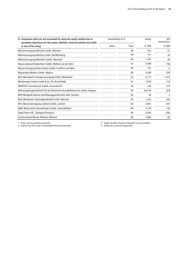| IV. Companies which are not accounted for using the equity method due to<br>secondary importance for the assets, liabilities, financial position and profit | Shareholding in % |       | Equity | Net<br>income/loss |
|-------------------------------------------------------------------------------------------------------------------------------------------------------------|-------------------|-------|--------|--------------------|
| or loss of the Group                                                                                                                                        | Direct            | Total | € '000 | € '000             |
| Wärmeversorgung Mücheln GmbH, Mücheln                                                                                                                       |                   | 49    | 815    | 51                 |
| Wärmeversorgung Wachau GmbH, Markkleeberg                                                                                                                   |                   | 49    | 131    | 34                 |
| Wärmeversorgung Würselen GmbH, Würselen                                                                                                                     |                   | 49    | 1.255  | 29                 |
| Wasserverbund Niederrhein GmbH, Mülheim an der Ruhr                                                                                                         |                   | 42    | 9,296  | 758                |
| Wasserversorgung Main-Taunus GmbH, Frankfurt am Main                                                                                                        |                   | 49    | 101    | $-2$               |
| Wasserwerk Wadern GmbH, Wadern                                                                                                                              |                   | 49    | 3,349  | 229                |
| WEV Warendorfer Energieversorgung GmbH, Warendorf                                                                                                           |                   | 25    | 2,173  | 1,473              |
| Windenergie Frehne GmbH & Co. KG, Marienfließ                                                                                                               |                   | 41    | 7.979  | 154                |
| WINDTEST Grevenbroich GmbH, Grevenbroich                                                                                                                    |                   | 38    | 140    | 314                |
| Wohnungsbaugesellschaft für das Rheinische Braunkohlenrevier GmbH, Cologne                                                                                  |                   | 50    | 45,678 | 658                |
| WPD Windpark Damme Beteiligungsgesellschaft mbH, Damme                                                                                                      |                   | 30    | 50     | 3                  |
| WVG-Warsteiner Verbundgesellschaft mbH, Warstein                                                                                                            |                   | 35    | 1,333  | 583                |
| WVL Wasserversorgung Losheim GmbH, Losheim                                                                                                                  |                   | 50    | 4,901  | 257                |
| WWS Wasserwerk Saarwellingen GmbH, Saarwellingen                                                                                                            |                   | 49    | 3,130  | 142                |
| Zugló-Therm Kft., Budapest/Hungary                                                                                                                          |                   | 49    | 4,324  | $-293$             |
| Zweckverband Wasser Nalbach, Nalbach                                                                                                                        |                   | 49    | 1,666  | 85                 |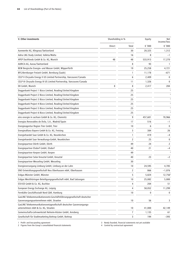| Shareholding in %<br>V. Other investments                                                                         |        | Equity         | Net<br>income/loss |                         |
|-------------------------------------------------------------------------------------------------------------------|--------|----------------|--------------------|-------------------------|
|                                                                                                                   | Direct | Total          | € '000             | € '000                  |
| Aarewerke AG, Klingnau/Switzerland                                                                                |        | 30             | 20,325             | 1,312                   |
| Adria LNG Study Limited, Valleta/Malta                                                                            |        | 16             | 8                  | $-1$                    |
| APEP Dachfonds GmbH & Co. KG, Munich                                                                              | 48     | 48             | 533,913            | 17,270                  |
| AURICA AG, Aarau/Switzerland                                                                                      |        | 8              | 93                 | 1                       |
| BEW Bergische Energie- und Wasser GmbH, Wipperfürth                                                               |        | 19             | 25,258             | 4,721                   |
| BFG-Bernburger Freizeit GmbH, Bernburg (Saale)                                                                    |        | 1              | 11,178             | $-671$                  |
| CELP II Chrysalix Energy II US Limited Partnership, Vancouver/Canada                                              |        | 6              | 2,409              | $\mathbf{0}$            |
| CELP III Chrysalix Energy III US Limited Partnership, Vancouver/Canada                                            |        | 11             | 1,326              | $\mathbf 0$             |
| DII GmbH, Munich                                                                                                  | 8      | 8              | 2,417              | 284                     |
| Doggerbank Project 1 Bizco Limited, Reading/United Kingdom                                                        |        | 25             |                    | 3                       |
| Doggerbank Project 2 Bizco Limited, Reading/United Kingdom                                                        |        | 25             |                    | $\overline{\mathbf{3}}$ |
| Doggerbank Project 3 Bizco Limited, Reading/United Kingdom                                                        |        | 25             |                    | 3                       |
| Doggerbank Project 4 Bizco Limited, Reading/United Kingdom                                                        |        | 25             |                    | $\overline{3}$          |
| Doggerbank Project 5 Bizco Limited, Reading/United Kingdom                                                        |        | 25             |                    | 3                       |
| Doggerbank Project 6 Bizco Limited, Reading/United Kingdom                                                        |        | 25             |                    |                         |
| eins energie in sachsen GmbH & Co. KG, Chemnitz                                                                   |        | 9              | 457,601            | 78,966                  |
| Energías Renovables de Ávila, S.A., Madrid/Spain                                                                  |        | 17             | 516                | -1                      |
| Energieagentur Region Trier GmbH, Trier                                                                           |        | 10             | 6                  | $\mathbf 0$             |
| Energieallianz Bayern GmbH & Co. KG, Freising                                                                     |        | 3              | 384                | 26                      |
| Energiehandel Saar GmbH & Co. KG, Neunkirchen                                                                     |        | 1              | 419                | $-4$                    |
| Energiehandel Saar Verwaltungs-GmbH, Neunkirchen                                                                  |        | 2              | 25                 | 0                       |
| Energiepartner Dörth GmbH, Dörth                                                                                  |        | 49             | 24                 | 2                       |
| Energiepartner Elsdorf GmbH, Elsdorf                                                                              |        | 40             | 21                 | $-4$                    |
| Energiepartner Kerpen GmbH, Kerpen                                                                                |        | 49             |                    | $\overline{\mathbf{3}}$ |
| Energiepartner Solar Kreuztal GmbH, Kreuztal                                                                      |        | 40             | 23                 | $-2$                    |
| Energiepartner Wesseling GmbH, Wesseling                                                                          |        | 30             |                    | $\overline{\mathbf{z}}$ |
| Energieversorgung Limburg GmbH, Limburg an der Lahn                                                               |        | 10             | 24,595             | 4,785                   |
| ENO Entwicklungsgesellschaft Neu Oberhausen mbH, Oberhausen                                                       |        | $\overline{c}$ | 866                | $-1,076$                |
| Erdgas Münster GmbH, Münster                                                                                      |        | 5              | 5,824              | 12,756 <sup>2</sup>     |
| Erdgas Westthüringen Beteiligungsgesellschaft mbH, Bad Salzungen                                                  |        | 10             | 25,082             | 5,000                   |
| ESV-ED GmbH & Co. KG, Buchloe                                                                                     |        | 4              | 204                | 51                      |
| European Energy Exchange AG, Leipzig                                                                              |        | 4              | 58,052             | 11,299                  |
| Fernkälte Geschäftsstadt Nord GbR, Hamburg                                                                        |        | 10             | 0                  | 0                       |
| GasLINE Telekommunikationsnetz-Geschäftsführungsgesellschaft deutscher<br>Gasversorgungsunternehmen mbH, Straelen |        | 10             | 56                 | 3                       |
| GasLINE Telekommunikationsnetzgesellschaft deutscher Gasversorgungs-<br>unternehmen mbH & Co. KG, Straelen        |        | 10             | 41,000             | 42,149                  |
| Gemeinschafts-Lehrwerkstatt Neheim-Hüsten GmbH, Arnsberg                                                          |        | 7              | 1,135              | 61                      |
| Gesellschaft für Stadtmarketing Bottrop GmbH, Bottrop                                                             |        | 3              | 194                | $-393$                  |

1 Profit- and loss-pooling agreement 3 Newly founded, financial statements not yet available

2 Figures from the Group's consolidated financial statements 4 Control by contractual agreement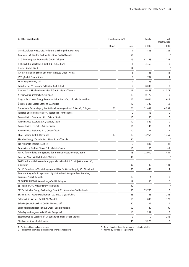| Shareholding in %<br>V. Other investments                                                             |        | Equity | Net<br>income/loss |           |
|-------------------------------------------------------------------------------------------------------|--------|--------|--------------------|-----------|
|                                                                                                       | Direct | Total  | € '000             | € '000    |
| Gesellschaft für Wirtschaftsförderung Duisburg mbH, Duisburg                                          |        | 1      | 835                | $-1,725$  |
| Goldboro LNG Limited Partnership, Nova Scotia/Canada                                                  |        | 50     |                    |           |
| GSG Wohnungsbau Braunkohle GmbH, Cologne                                                              |        | 15     | 42,158             | 783       |
| High-Tech Gründerfonds II GmbH & Co. KG, Bonn                                                         |        | 1      | 3,465              | 0         |
| Hubject GmbH, Berlin                                                                                  |        | 17     |                    | 3         |
| ISR Internationale Schule am Rhein in Neuss GmbH, Neuss                                               |        | 6      | $-86$              | $-56$     |
| IZES gGmbH, Saarbrücken                                                                               |        | 9      | 704                | 4         |
| KEV Energie GmbH, Kall                                                                                |        | 2      | 25                 | 0         |
| Kreis-Energie-Versorgung Schleiden GmbH, Kall                                                         |        | 2      | 8,030              | 0         |
| Nabucco Gas Pipeline International GmbH, Vienna/Austria                                               |        | 17     | 6,468              | $-41,372$ |
| Neckar-Aktiengesellschaft, Stuttgart                                                                  |        | 12     | 10,179             | 0         |
| Ningxia Antai New Energy Resources Joint Stock Co., Ltd., Yinchuan/China                              |        | 25     | 16,686             | 1,024     |
| Ökostrom Saar Biogas Losheim KG, Merzig                                                               |        | 10     | $-332$             | 52        |
| Oppenheim Private Equity Institutionelle Anleger GmbH & Co. KG, Cologne                               | 26     | 26     | 11,039             | 4,294     |
| Parkstad Energiediensten B.V., Voerendaal/Netherlands                                                 |        | 0      | 18                 | 0         |
| Parque Eólico Cassiopea, S.L., Oviedo/Spain                                                           |        | 10     | 55                 | 0         |
| Parque Eólico Escorpio, S.A., Oviedo/Spain                                                            |        | 10     | 542                | $-10$     |
| Parque Eólico Leo, S.L., Oviedo/Spain                                                                 |        | 10     | 143                | $-3$      |
| Parque Eólico Sagitario, S.L., Oviedo/Spain                                                           |        | 10     | 127                | $-1$      |
| PEAG Holding GmbH, Dortmund                                                                           | 12     | 12     | 14,956             | 1,459     |
| Pieridae Energy (Canada) Ltd., Nova Scotia/Canada                                                     |        | 50     |                    |           |
| pro regionale energie eG, Diez                                                                        |        | 2      | 883                | 32        |
| Promocion y Gestion Cáncer, S.L., Oviedo/Spain                                                        |        | 10     | 66                 | $-1$      |
| PSI AG für Produkte und Systeme der Informationstechnologie, Berlin                                   |        | 18     | 72,910             | 7,444     |
| Renergie Stadt Wittlich GmbH, Wittlich                                                                |        | 30     |                    | 3         |
| ROSOLA Grundstücks-Vermietungsgesellschaft mbH & Co. Objekt Alzenau KG,                               |        |        |                    |           |
| Düsseldorf                                                                                            |        | 100    | 488                | 433       |
| SALUS Grundstücks-Vermietungsges. mbH & Co. Objekt Leipzig KG, Düsseldorf                             |        | 100    | -49                | 14        |
| Sdružení k vytvoření a využívání digitální technické mapy města Pardubic,<br>Pardubice/Czech Republic |        | 12     | 4                  | 0         |
| SE SAUBER ENERGIE Verwaltungs-GmbH, Cologne                                                           |        | 17     | 96                 | 7         |
| SET Fund II C.V., Amsterdam/Netherlands                                                               |        | 30     |                    | 3         |
| SET Sustainable Energy Technology Fund C.V., Amsterdam/Netherlands                                    |        | 50     | 19,780             | 0         |
| Shanxi Baolai Power Development Co., Ltd., Tàiyuán/China                                              |        | 25     | 1,766              | -248      |
| Solarpark St. Wendel GmbH, St. Wendel                                                                 |        | 15     | 830                | $-120$    |
| SolarProjekt Mainaschaff GmbH, Mainaschaff                                                            |        | 50     | 39                 | 7         |
| SolarProjekt Rheingau-Taunus GmbH, Bad Schwalbach                                                     |        | 50     | 149                | 100       |
| SolarRegion RengsdorferLAND eG, Rengsdorf                                                             |        | 16     | 257                | 2         |
| Stadtmarketing-Gesellschaft Gelsenkirchen mbH, Gelsenkirchen                                          |        | 2      | 0                  | -235      |
| Stadtwerke Ahaus GmbH, Ahaus                                                                          |        | 46     | 9,273              | 0         |

1 Profit- and loss-pooling agreement<br>2 Figures from the Group's consolidated financial statements<br>2 Figures from the Group's consolidated financial statements<br>2 Gontrol by contractual agreement 2 Figures from the Group's consolidated financial statements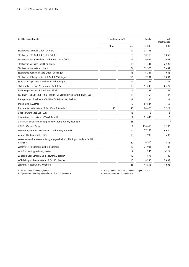| V. Other investments                                                                  | Shareholding in % |       | Equity     | <b>Net</b><br>income/loss |
|---------------------------------------------------------------------------------------|-------------------|-------|------------|---------------------------|
|                                                                                       | Direct            | Total | € '000     | € '000                    |
| Stadtwerke Detmold GmbH, Detmold                                                      |                   | 12    | 31,495     | 0                         |
| Stadtwerke ETO GmbH & Co. KG, Telgte                                                  |                   | 3     | 30,718     | 3,866                     |
| Stadtwerke Porta Westfalica GmbH, Porta Westfalica                                    |                   | 12    | 6,669      | 958                       |
| Stadtwerke Sulzbach GmbH, Sulzbach                                                    |                   | 15    | 11.431     | 2,590                     |
| Stadtwerke Unna GmbH, Unna                                                            |                   | 24    | 12,523     | 3,454                     |
| Stadtwerke Völklingen Netz GmbH, Völklingen                                           |                   | 18    | 16.387     | 1,682                     |
| Stadtwerke Völklingen Vertrieb GmbH, Völklingen                                       |                   | 18    | 7,301      | 1,883                     |
| Store-X storage capacity exchange GmbH, Leipzig                                       |                   | 12    | 721        | 221                       |
| SWT Stadtwerke Trier Versorgungs-GmbH, Trier                                          |                   | 19    | 51.245     | 8,479                     |
| Technologiezentrum Jülich GmbH, Jülich                                                |                   | 5     | 747        | 159                       |
| TGZ Halle TECHNOLOGIE- UND GRÜNDERZENTRUM HALLE GmbH, Halle (Saale)                   |                   | 15    | 14,156     | 37                        |
| Transport- und Frischbeton-GmbH & Co. KG Aachen, Aachen                               |                   | 17    | 390        | 131                       |
| Trianel GmbH, Aachen                                                                  |                   | 3     | 81,544     | 7,152                     |
| Trinkaus Secondary GmbH & Co. KGaA, Düsseldorf                                        | 43                | 43    | 24,876     | 3,523                     |
| Umspannwerk Lübz GbR, Lübz                                                            |                   | 18    | 8          | 16                        |
| Union Group, a.s., Ostrava/Czech Republic                                             |                   | 2     | 91,448     | 0                         |
| Untermain Erneuerbare Energien Verwaltungs-GmbH, Raunheim                             |                   | 25    |            | $\overline{3}$            |
| URSUS, Warsaw/Poland                                                                  |                   | 1     | $-114,463$ | $-1,192$                  |
| Versorgungsbetriebe Hoyerswerda GmbH, Hoyerswerda                                     |                   | 10    | 17,159     | 6,650                     |
| vitronet Holding GmbH, Essen                                                          |                   | 15    | 7,983      | $-202$                    |
| Wasserver- und Abwasserentsorgungsgesellschaft "Thüringer Holzland" mbH,<br>Hermsdorf |                   | 49    | 4,510      | 458                       |
| Wasserwerke Paderborn GmbH, Paderborn                                                 |                   | 10    | 24,991     | 1,182                     |
| WiN Emscher-Lippe GmbH, Herten                                                        |                   | 2     | 246        | $-373$                    |
| Windpark Saar GmbH & Co. Repower KG, Freisen                                          |                   | 10    | 7,877      | 120                       |
| WPD Windpark Damme GmbH & Co. KG, Damme                                               |                   | 10    | 8,233      | 2,093                     |
| Zellstoff Stendal GmbH, Arneburg                                                      |                   | 25    | 44,516     | 4,902                     |
|                                                                                       |                   |       |            |                           |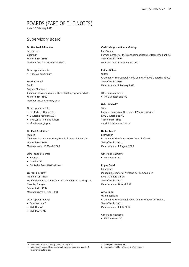# Boards (Part of the Notes)

As of 15 February 2013

# Supervisory Board

#### **Dr. Manfred Schneider**

Leverkusen Chairman Year of birth: 1938 Member since: 10 December 1992

# Other appointments:

• Linde AG (Chairman)

#### **Frank Bsirske**

Berlin Deputy Chairman Chairman of ver.di Vereinte Dienstleistungsgewerkschaft Year of birth: 1952 Member since: 9 January 2001

#### Other appointments:

- • Deutsche Lufthansa AG
- Deutsche Postbank AG
- • IBM Central Holding GmbH
- KfW Bankengruppe

### **Dr. Paul Achleitner**

Munich Chairman of the Supervisory Board of Deutsche Bank AG Year of birth: 1956 Member since: 16 March 2000

#### Other appointments:

- • Bayer AG
- • Daimler AG
- • Deutsche Bank AG (Chairman)

### **Werner Bischoff1**

Monheim am Rhein Former member of the Main Executive Board of IG Bergbau, Chemie, Energie Year of birth: 1947 Member since: 13 April 2006

### Other appointments:

- • Continental AG
- • RWE Dea AG
- • RWE Power AG

#### **Carl-Ludwig von Boehm-Bezing**

Bad Soden Former member of the Management Board of Deutsche Bank AG Year of birth: 1940 Member since: 11 December 1997

#### **Reiner Böhle1**

Witten Chairman of the General Works Council of RWE Deutschland AG Year of birth: 1960 Member since: 1 January 2013

Other appointments:

• RWE Deutschland AG

### **Heinz Büchel1,2**

Trier Former Chairman of the General Works Council of RWE Deutschland AG Year of birth: 1956 - until 31 December 2012 -

#### **Dieter Faust**<sup>1</sup>

**Eschweiler** Chairman of the Group Works Council of RWE Year of birth: 1958 Member since: 1 August 2005

Other appointments:

• RWE Power AG

#### **Roger Graef**

Bollendorf Managing Director of Verband der kommunalen RWE-Aktionäre GmbH Year of birth: 1943 Member since: 20 April 2011

#### **Arno Hahn1**

Waldalgesheim Chairman of the General Works Council of RWE Vertrieb AG Year of birth: 1962 Member since: 1 July 2012

Other appointments:

• RWE Vertrieb AG

• Member of other mandatory supervisory boards.

Member of comparable domestic and foreign supervisory boards of commercial enterprises.

Employee representative.

2 Information valid as of the date of retirement.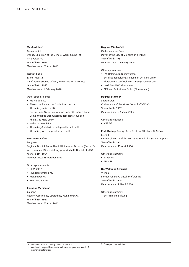### **Manfred Holz1**

Grevenbroich Deputy Chairman of the General Works Council of RWE Power AG Year of birth: 1954 Member since: 20 April 2011

#### **Frithjof Kühn**

Sankt Augustin Chief Administrative Officer, Rhein-Sieg Rural District Year of birth: 1943 Member since: 1 February 2010

#### Other appointments:

- • RW Holding AG
- Elektrische Bahnen der Stadt Bonn und des Rhein-Sieg-Kreises oHG
- Energie- und Wasserversorgung Bonn/Rhein-Sieg GmbH
- Gemeinnützige Wohnungsbaugesellschaft für den Rhein-Sieg-Kreis GmbH
- Kreissparkasse Köln
- Rhein-Sieg-Abfallwirtschaftsgesellschaft mbH
- Rhein-Sieg-Verkehrsgesellschaft mbH

#### Hans Peter Lafos<sup>1</sup>

Bergheim

Regional District Sector Head, Utilities and Disposal (Sector 2), ver.di Vereinte Dienstleistungsgewerkschaft, District of NRW Year of birth: 1954 Member since: 28 October 2009

Other appointments:

- • GEW Köln AG
- • RWE Deutschland AG
- • RWE Power AG
- • RWE Vertrieb AG

#### **Christine Merkamp1**

Cologne Head of Controlling, Upgrading, RWE Power AG Year of birth: 1967 Member since: 20 April 2011

#### **Dagmar Mühlenfeld**

Mülheim an der Ruhr Mayor of the City of Mülheim an der Ruhr Year of birth: 1951 Member since: 4 January 2005

Other appointments:

- • RW Holding AG (Chairwoman)
- Beteiligungsholding Mülheim an der Ruhr GmbH
- Flughafen Essen/Mülheim GmbH (Chairwoman)
- medl GmbH (Chairwoman)
- Mülheim & Business GmbH (Chairwoman)

#### **Dagmar Schmeer1**

Saarbrücken Chairwoman of the Works Council of VSE AG Year of birth: 1967 Member since: 9 August 2006

Other appointments:

• VSE AG

#### **Prof. Dr.-Ing. Dr.-Ing. E. h. Dr. h. c. Ekkehard D. Schulz**

Krefeld Former Chairman of the Executive Board of ThyssenKrupp AG Year of birth: 1941 Member since: 13 April 2006

Other appointments:

- • Bayer AG
- • MAN SE

#### **Dr. Wolfgang Schüssel**

Vienna Former Federal Chancellor of Austria Year of birth: 1945 Member since: 1 March 2010

Other appointments:

- Bertelsmann Stiftung

• Member of other mandatory supervisory boards. Member of comparable domestic and foreign supervisory boards of

commercial enterprises.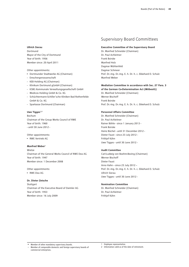### **Ullrich Sierau**

Dortmund Mayor of the City of Dortmund Year of birth: 1956 Member since: 20 April 2011

Other appointments:

- • Dortmunder Stadtwerke AG (Chairman)
- Emschergenossenschaft
- KEB Holding AG (Chairman)
- Klinikum Dortmund gGmbH (Chairman)
- KSBG Kommunale Verwaltungsgesellschaft GmbH
- Medicos Holding GmbH & Co. KG
- Schüchtermann-Schiller'sche Kliniken Bad Rothenfelde GmbH & Co. KG
- Sparkasse Dortmund (Chairman)

#### Uwe Tigges<sup>1,2</sup>

Bochum Chairman of the Group Works Council of RWE Year of birth: 1960 - until 30 June 2012 -

Other appointments: • RWE Vertrieb AG

# **Manfred Weber1**

Wietze Chairman of the General Works Council of RWE Dea AG Year of birth: 1947 Member since: 1 December 2008

Other appointments:

• RWE Dea AG

#### **Dr. Dieter Zetsche**

**Stuttgart** Chairman of the Executive Board of Daimler AG Year of birth: 1953 Member since: 16 July 2009

## Supervisory Board Committees

#### **Executive Committee of the Supervisory Board**

Dr. Manfred Schneider (Chairman) Dr. Paul Achleitner Frank Bsirske Manfred Holz Dagmar Mühlenfeld Dagmar Schmeer Prof. Dr.-Ing. Dr.-Ing. E. h. Dr. h. c. Ekkehard D. Schulz Manfred Weber

#### **Mediation Committee in accordance with Sec. 27 Para. 3**

**of the German Co-Determination Act (MitbestG)**

Dr. Manfred Schneider (Chairman) Werner Bischoff Frank Bsirske Prof. Dr.-Ing. Dr.-Ing. E. h. Dr. h. c. Ekkehard D. Schulz

#### **Personnel Affairs Committee**

Dr. Manfred Schneider (Chairman) Dr. Paul Achleitner Rainer Böhle - since 1 January 2013 - Frank Bsirske Heinz Büchel - until 31 December 2012 - Dieter Faust - since 23 July 2012 - Frithjof Kühn Uwe Tigges - until 30 June 2012 -

#### **Audit Committee**

Carl-Ludwig von Boehm-Bezing (Chairman) Werner Bischoff Dieter Faust Arno Hahn – since 23 July 2012 – Prof. Dr.-Ing. Dr.-Ing. E. h. Dr. h. c. Ekkehard D. Schulz Ullrich Sierau Uwe Tigges - until 30 June 2012 -

#### **Nomination Committee**

Dr. Manfred Schneider (Chairman) Dr. Paul Achleitner Frithjof Kühn

• Member of other mandatory supervisory boards.

Member of comparable domestic and foreign supervisory boards of commercial enterprises.

1 Employee representative.

2 Information valid as of the date of retirement.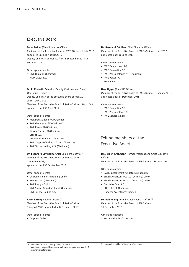## Executive Board

### **Peter Terium** (Chief Executive Officer)

Chairman of the Executive Board of RWE AG since 1 July 2012, appointed until 31 August 2016 Deputy Chairman of RWE AG from 1 September 2011 to

30 June 2012

Other appointments:

- • RWE IT GmbH (Chairman)
- NET4GAS, s.r.o.

### **Dr. Rolf Martin Schmitz** (Deputy Chairman and Chief Operating Officer)

Deputy Chairman of the Executive Board of RWE AG since 1 July 2012

Member of the Executive Board of RWE AG since 1 May 2009, appointed until 30 April 2014

#### Other appointments:

- • RWE Deutschland AG (Chairman)
- • RWE Generation SE (Chairman)
- • RWE Power AG (Chairman)
- • Süwag Energie AG (Chairman)
- Essent N.V.
- KELAG-Kärntner Elektrizitäts-AG
- RWE Supply&Trading CZ, a.s. (Chairman)
- RWE Turkey Holding A.S. (Chairman)

### **Dr. Leonhard Birnbaum** (Chief Commercial Officer) Member of the Executive Board of RWE AG since 1 October 2008,

appointed until 30 September 2013

#### Other appointments:

- • Georgsmarienhütte Holding GmbH
- • RWE Dea AG (Chairman)
- • RWE Innogy GmbH
- • RWE Supply&Trading GmbH (Chairman)
- RWE Turkey Holding A.S.

#### **Alwin Fitting** (Labour Director)

Member of the Executive Board of RWE AG since 1 August 2005, appointed until 31 March 2013

Other appointments:

• Amprion GmbH

### **Dr. Bernhard Günther** (Chief Financial Officer) Member of the Executive Board of RWE AG since 1 July 2012, appointed until 30 June 2017

Other appointments:

- • RWE Deutschland AG
- • RWE Generation SE
- • RWE Pensionsfonds AG (Chairman)
- • RWE Power AG
- Essent N.V.

**Uwe Tigges** (Chief HR Officer) Member of the Executive Board of RWE AG since 1 January 2013, appointed until 31 December 2015

Other appointments:

- • RWE Generation SE
- • RWE Pensionsfonds AG
- • RWE Service GmbH

# Exiting members of the Executive Board

**Dr. Jürgen Großmann** (former President and Chief Executive Officer)1

Member of the Executive Board of RWE AG until 30 June 2012

Other appointments:

- • BATIG Gesellschaft für Beteiligungen mbH
- • British American Tobacco (Germany) GmbH
- • British American Tobacco (Industrie) GmbH
- • Deutsche Bahn AG
- • SURTECO SE (Chairman)
- Hanover Acceptances Limited

**Dr. Rolf Pohlig** (former Chief Financial Officer)<sup>1</sup> Member of the Executive Board of RWE AG until 31 December 2012

Other appointments:

- Versatel GmbH (Chairman)

Member of comparable domestic and foreign supervisory boards of commercial enterprises.

Member of other mandatory supervisory boards.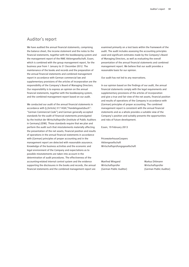## Auditor's report

We have audited the annual financial statements, comprising the balance sheet, the income statement and the notes to the financial statements, together with the bookkeeping system and the management report of the RWE Aktiengesellschaft, Essen, which is combined with the group management report, for the business year from 1 January to 31 December 2012. The maintenance of the books and records and the preparation of the annual financial statements and combined management report in accordance with German commercial law and supplementary provisions of the articles of incorporation are the responsibility of the Company's Board of Managing Directors. Our responsibility is to express an opinion on the annual financial statements, together with the bookkeeping system, and the combined management report based on our audit.

We conducted our audit of the annual financial statements in accordance with § (Article) 317 HGB ("Handelsgesetzbuch": "German Commercial Code") and German generally accepted standards for the audit of financial statements promulgated by the Institut der Wirtschaftsprüfer (Institute of Public Auditors in Germany) (IDW). Those standards require that we plan and perform the audit such that misstatements materially affecting the presentation of the net assets, financial position and results of operations in the annual financial statements in accordance with (German) principles of proper accounting and in the management report are detected with reasonable assurance. Knowledge of the business activities and the economic and legal environment of the Company and expectations as to possible misstatements are taken into account in the determination of audit procedures. The effectiveness of the accounting-related internal control system and the evidence supporting the disclosures in the books and records, the annual financial statements and the combined management report are

examined primarily on a test basis within the framework of the audit. The audit includes assessing the accounting principles used and significant estimates made by the Company's Board of Managing Directors, as well as evaluating the overall presentation of the annual financial statements and combined management report. We believe that our audit provides a reasonable basis for our opinion.

Our audit has not led to any reservations.

In our opinion based on the findings of our audit, the annual financial statements comply with the legal requirements and supplementary provisions of the articles of incorporation and give a true and fair view of the net assets, financial position and results of operations of the Company in accordance with (German) principles of proper accounting. The combined management report is consistent with the annual financial statements and as a whole provides a suitable view of the Company's position and suitably presents the opportunities and risks of future development.

Essen, 19 February 2013

PricewaterhouseCoopers Aktiengesellschaft Wirtschaftsprüfungsgesellschaft

Manfred Wiegand Markus Dittmann Wirtschaftsprüfer Wirtschaftsprüfer

(German Public Auditor) (German Public Auditor)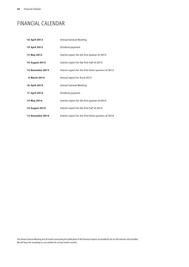# Financial Calendar

| 18 April 2013    | Annual General Meeting                              |
|------------------|-----------------------------------------------------|
| 19 April 2013    | Dividend payment                                    |
| 15 May 2013      | Interim report for the first quarter of 2013        |
| 14 August 2013   | Interim report for the first half of 2013           |
| 14 November 2013 | Interim report for the first three quarters of 2013 |
| 4 March 2014     | Annual report for fiscal 2013                       |
| 16 April 2014    | Annual General Meeting                              |
| 17 April 2014    | Dividend payment                                    |
| 14 May 2014      | Interim report for the first quarter of 2014        |
| 14 August 2014   | Interim report for the first half of 2014           |
| 13 November 2014 | Interim report for the first three quarters of 2014 |

The Annual General Meeting and all events concerning the publication of the financial reports are broadcast live on the internet and recorded. We will keep the recordings on our website for at least twelve months.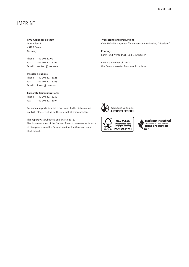# **IMPRINT**

#### **RWE Aktiengesellschaft**

Opernplatz 1 45128 Essen Germany

Phone +49 201 12-00 Fax +49 201 12-15199 E-mail contact@rwe.com

#### **Investor Relations:**

Phone +49 201 12-15025 Fax +49 201 12-15265 E-mail invest@rwe.com

#### **Corporate Communications:**

Phone +49 201 12-15250 Fax +49 201 12-15094

For annual reports, interim reports and further information on RWE, please visit us on the internet at www.rwe.com

This report was published on 5 March 2013.

This is a translation of the German financial statements. In case of divergence from the German version, the German version shall prevail.

**Typesetting and production:** CHIARI GmbH – Agentur für Markenkommunikation, Düsseldorf

**Printing:** Kunst- und Werbedruck, Bad Oeynhausen

RWE is a member of DIRK – the German Investor Relations Association.